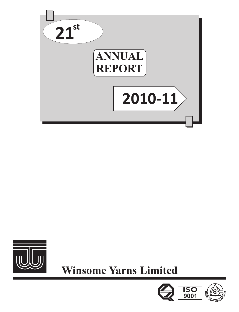



**Winsome Yarns Limited** 

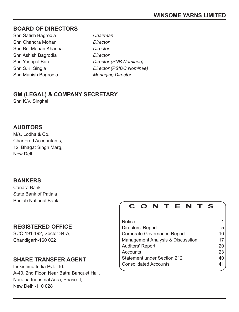## **BOARD OF DIRECTORS**

- Shri Satish Bagrodia *Chairman* Shri Chandra Mohan *Director* Shri Brij Mohan Khanna *Director* Shri Ashish Bagrodia *Director* Shri Manish Bagrodia *Managing Director*
- Shri Yashpal Barar *Director (PNB Nominee)* Shri S.K. Singla *Director (PSIDC Nominee)*

## **GM (LEGAL) & COMPANY SECRETARY**

Shri K.V. Singhal

## **AUDITORS**

M/s. Lodha & Co. Chartered Accountants, 12, Bhagat Singh Marg, New Delhi

## **BANKERS**

Canara Bank State Bank of Patiala Punjab National Bank

## **REGISTERED OFFICE**

SCO 191-192, Sector 34-A, Chandigarh-160 022

## **SHARE TRANSFER AGENT**

Linkintime India Pvt. Ltd. A-40, 2nd Floor, Near Batra Banquet Hall, Naraina Industrial Area, Phase-II, New Delhi-110 028

# **C O N T E N T S**

| <b>Notice</b>                      |    |
|------------------------------------|----|
| Directors' Report                  | 5  |
| Corporate Governance Report        | 10 |
| Management Analysis & Discusstion  | 17 |
| <b>Auditors' Report</b>            | 20 |
| Accounts                           | 23 |
| <b>Statement under Section 212</b> | 40 |
| <b>Consolidated Accounts</b>       | 41 |
|                                    |    |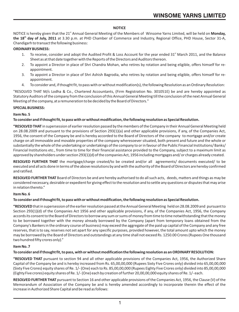## **NOTICE**

NOTICE is hereby given that the 21<sup>st</sup> Annual General Meeting of the Members of Winsome Yarns Limited, will be held on **Monday**, **th the 18 day of July, 2011** at 3.30 p.m. at PHD Chamber of Commerce and Industry, Regional Office, PHD House, Sector 31-A, Chandigarh to transact the following business:

## **ORDINARY BUSINESS:**

- 1. To receive, consider and adopt the Audited Profit & Loss Account for the year ended  $31<sup>st</sup>$  March 2011, and the Balance Sheet as at that date together with the Reports of the Directors and Auditors thereon.
- 2. To appoint a Director in place of Shri Chandra Mohan, who retires by rotation and being eligible, offers himself for reappointment.
- 3. To appoint a Director in place of Shri Ashish Bagrodia, who retires by rotation and being eligible, offers himself for reappointment.
- 4. To consider and, if thought fit, to pass with or without modification(s), the following Resolution as an Ordinary Resolution:

"RESOLVED THAT M/s Lodha & Co., Chartered Accountants, (Firm Registration No. 301051E) be and are hereby appointed as Statutory Auditors of the company from the conclusion of this Annual General Meeting till the conclusion of the next Annual General Meeting of the company, at a remuneration to be decided by the Board of Directors."

## **SPECIAL BUSINESS:**

## **Item No. 5**

## **To consider and if thought fit, to pass with or without modification, the following resolution as Special Resolution.**

**"RESOLVED THAT** in supersession of earlier resolution passed by the members of the Company in their Annual General Meeting held on 28.08.2009 and pursuant to the provisions of Section 293(1)(a) and other applicable provisions, if any, of the Companies Act, 1956, the consent of the Company be and is hereby accorded to the Board of Directors of the company to mortgage and/or create charge on all immovable and movable properties of the company wheresoever situated, both present and future and the whole or substantially the whole of the undertaking or undertakings of the company to or in favour of the Public Financial Institutions/ Banks/ Financial Institutions etc., from time to time for their financial assistance provided to the Company, subject to a maximum limit as approved by shareholders under section 293(1)(d) of the companies Act, 1956 including mortgages and/ or charges already created.

**RESOLVED FURTHER THAT** the mortgage/charge created/to be created and/or all agreements/ documents executed/ to be executed and all acts done in terms of the above resolutions by and with the authority of the Board of Directors are hereby confirmed and ratified.

**RESOLVED FURTHER THAT** Board of Directors be and are hereby authorised to do all such acts, deeds, matters and things as may be considered necessary, desirable or expedient for giving effect to the resolution and to settle any questions or disputes that may arise in relation thereto."

## **Item No. 6**

## **To consider and if thought fit, to pass with or without modification, the following resolution as Special Resolution.**

**"RESOLVED**that in supersession of the earlier resolution passed at the Annual General Meeting held on 28.08.2009 and pursuant to Section 293(1)(d) of the Companies Act 1956 and other applicable provisions, if any, of the Companies Act, 1956, the Company accords its consent to the Board of Directors to borrow any sum or sums of money from time to time notwithstanding that the money to be borrowed together with the money already borrowed by the Company (apart from temporary loans obtained from the Company's Bankers in the ordinary course of business) may exceed the aggregate of the paid up capital of the Company and any free reserves, that is to say, reserves not set apart for any specific purposes, provided however, the total amount upto which the money may be borrowed by the Board of Directors and outstandings at any time shall not exceed Rs. 1250.00 Crores (Rupees One thousand two hundred fifty crores only)."

## **Item No. 7**

## **To consider and if thought fit, to pass, with or without modification the following resolution as an ORDINARY RESOLUTION:**

**"RESOLVED THAT** pursuant to section 94 and all other applicable provisions of the Companies Act, 1956, the Authorized Share Capital of the Company be and is hereby increased from Rs. 65,00,00,000 (Rupees Sixty Five Crores only) divided into 65,00,00,000 (Sixty Five Crores) equity shares of Re. 1/- (One) each to Rs. 85,00,00,000 (Rupees Eighty Five Crores only) divided into 85,00,00,000 (Eighty Fivecrores) equity shares of Re. 1/-(One) each by creation of further 20,00,00,000 equity shares of Re. 1/- each.

**RESOLVED FURTHER THAT** pursuant to Section 16 and other applicable provisions of the Companies Act, 1956, the Clause (V) of the Memorandum of Association of the Company be and is hereby amended accordingly to incorporate therein the effect of the increase in Authorized Share Capital and be read as follows: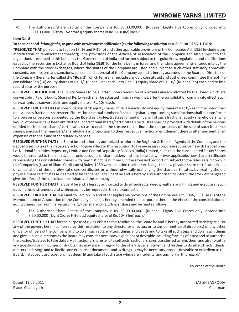(V) The Authorised Share Capital of the Company is Rs. 85,00,00,000 (Rupees Eighty Five Crores only) divided into 85,00,00,000 (Eighty Five crores) equity shares of Re. 1/- (One) each."

## **Item No. 8**

## **To consider and if thought fit, to pass with or without modification(s), the following resolution as a SPECIAL RESOLUTION:**

**"RESOLVED THAT** pursuant to Section 13, 16 and 94(1)(b) and other applicable provisions of the Companies Act, 1956 (including any modification or re-enactment thereof); the provisions of the Articles of Association of the Company and also subject to the regulations prescribed in this behalf by the Government of India and further subject to the guidelines, regulations and clarifications issued by the Securities & Exchange Board of India (SEBI) for the time being in force, and the listing agreements entered into by the Company with the stock exchanges, where the shares of the Company are listed and subject to such other statutory approvals, consents, permissions and sanctions, consent and approval of the Company be and is hereby accorded to the Board of Directors of the Company (hereinafter called the **"Board"**, which term shall include any duly constituted and authorized committee thereof), to consolidate Ten (10) equity shares of Re. 1/- (Rupee One) each into One (1) equity share of Rs. 10/- (Rupees Ten) each and to fix a record date for the purpose.

**RESOLVED FURTHER THAT** the Equity Shares to be allotted upon conversion of warrants already allotted by the Board which are convertible in to one Equity Share of Re. 1/- each shall be adjusted in such a way that, after the consolidation coming into effect, such ten warrants be convertible in one equity share of Rs. 10/- each.

**RESOLVED FURTHER THAT** in consolidation of 10 equity shares of Re. 1/- each into one equity share of Rs.10/- each, the Board shall not issue any fractional shares/certificates, but the total number of the equity shares representing such fractions shall be transferred to a person or persons appointed by the Board as trustee/trustees for and on behalf of such fractional equity shareholders, who would, otherwise have been entitled to such fractional shares/certificates. The trustee shall be provided with details of the persons entitled for fractions shares/ certificates so as to enable the trustee to distribute the net proceeds of the sale of such fractional shares, amongst the members/ shareholders in proportion to their respective fractional entitlement thereto after payment of all expenses of the sale and other related expenses.

**RESOLVED FURTHER THAT t**he Board be and is hereby authorized to inform the Registrar & Transfer Agents of the Company and the depositories, to take the necessary action to give effect to this resolution, to file necessary corporate action forms with Depositories i.e. National Securities Depository Limited and Central Depository Services (India) Limited, such that the consolidated Equity Shares would be credited to the demat/electronic accounts of shareholders and also to issue, wherever applicable, new share certificates representing the consolidated shares with new distinctive numbers, in the aforesaid proportion subject to the rules as laid down in the Companies (Issue of Share Certificates) Rules, 1960 with an option to either exchange the new physical share certificates in lieu of cancellation of the old physical share certificates or without physically exchanging the share certificates, by treating the old physical share certificates as deemed to be cancelled. The Board be and is hereby also authorised to inform the stock exchanges to give the effect of the consolidation of shares of the company.

**RESOLVED FURTHER THAT** the Board be and is hereby authorized to do all such acts, deeds, matters and things and execute all such documents, instruments and writings as may be required in the said connection.

**RESOLVED FURTHER THAT** pursuant to Section 16 and other applicable provisions of the Companies Act, 1956, Clause (V) of the Memorandum of Association of the Company be and is hereby amended to incorporate therein the effect of the consolidation of equity shares from nominal value of Re. 1/- per share to Rs. 10/- per share and be read as follows:

(V) The Authorised Share Capital of the Company is Rs. 85,00,00,000 (Rupees Eighty Five Crores only) divided into 8,50,00,000 (Eight Crores Fifty lacs) equity shares of Re. 10/- (Ten) each."

**RESOLVED FURTHER THAT** for the purpose of giving effect to this resolution, the Board be and is hereby authorized to delegate all or any of the powers herein conferred by this resolution to any director or directors or to any committee of director(s) or any other officer or officers of the company and to do all such acts, matters, things and deeds and to take all such steps and do all such things and give all such directions as the Board may consider necessary, expedient or desirable including forming of trust and to authorise the trustee/trustees to take delivery of fractional shares and to sell such fractional shares transferred to him/them and also to settle any questions or difficulties or doubts that may arise in regard to the offer/issue, allotment and further to do all such acts, deeds, matters and things and to finalize and execute all documents and writings as may be necessary, proper, desirable or expedient as the Board, in its absolute discretion, may deem fit and take all such steps which are incidental and ancillary in this regard."

By order of the Board

Dated : 12.05.2011 SATISH BAGRODIA Place : Chandigarh Chairman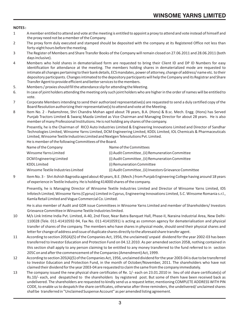## **NOTES :**

- 1 A member entitled to attend and vote at the meeting is entitled to appoint a proxy to attend and vote instead of himself and the proxy need not be a member of the Company.
- 2 The proxy form duly executed and stamped should be deposited with the company at its Registered Office not less than forty-eight hours before the meeting.
- 3 The Register of Members and Share Transfer Books of the Company will remain closed on 27.06.2011 and 28.06.2011 (both days inclusive).
- 4 Members who hold shares in dematerialised form are requested to bring their Client ID and DP ID Numbers for easy identification for attendance at the meeting. The members holding shares in dematerialized mode are requested to intimate all changes pertaining to their bank details, ECSmandates, power of attorney, change of address/ name etc. to their depository participants. Changes intimated to the depository participants will help the Company and its Registrar and Share Transfer Agent to provide efficient and better services to the members.
- 5. Members / proxies should fill the attendance slip for attending the Meeting.
- 6. In case of joint holders attending the meeting only such joint holders who are higher in the order of names will be entitled to vote.
- 7 Corporate Members intending to send their authorized representative(s) are requested to send a duly certified copy of the Board Resolution authorizing their representative(s) to attend and vote at the Meeting.
- 8 Item No. 2 Padamshree, Shri Chandra Mohan aged about 78 years, B.A. (Hons) & B.sc. Mech. Engg. (Hons) has Served Punjab Tractors Limited & Swaraj Mazda Limited as Vice Chairman and Managing Director for about 28 years. He is also member of many Professional Institutions. He is not holding any shares of the company.

Presently, he is the Chairman of RICO Auto Industries Limited & Engineering Innovations Limited and Director of Sandhar Technologies Limited, Winsome Yarns Limited, DCM Engineering Limited, KDDL Limited, IOL Chemicals & Pharmaceuticals Limited, Winsome Textile Industries Limited and Nextgen Telesolutions Pvt. Limited.

He is member of the following Committees of the Board.

| Name of the Committees                                  |
|---------------------------------------------------------|
| (i) Audit Committee, (ii) Remuneration Committee        |
| (i) Audit Committee, (ii) Remuneration Committee        |
| (i) Remuneration Committee                              |
| (i) Audit Committee, (ii) Investors Grievance Committee |
|                                                         |

9 Item No. 3 - Shri Ashish Bagrodia aged about 40 years, B.E. (Mech.) from Punjab Engineering College having around 18 years of experience in Textile Industry. He is holding 414000 shares of the company.

Presently, he is Managing Director of Winsome Textile Industries Limited and Director of Winsome Yarns Limited, IDS Infotech Limited, Winsome Yarns (Cyprus) Limited in Cyprus, Engineering Innovations Limited, S.C. Winsome Romania s.r.l., Kamla Retail Limited and Vogue Commercial Co. Limited.

He is also member of Audit and GDR issue Committees in Winsome Yarns Limited and member of Shareholders/ Investors Grievance Committeein Winsome Textile Industries limited.

- 10 M/s Link Intime India Pvt. Limited, A-40, 2nd Floor, Near Batra Banquet Hall, Phase-II, Naraina Industrial Area, New Delhi-110028 (Tele. 011-41410592-94, Fax No. 011-41410591) is acting as common agency for dematerialisation and physical transfer of shares of the company. The members who have shares in physical mode, should send their physical shares and letter for change of address and issue of duplicate shares directly to the aforesaid share transfer agent.
- 11 According to section 205(A)(5) of the Companies Act, 1956, the unclaimed/ unpaid dividend for the year 2002-03 has been transferred to Investor Education and Protection Fund on 04.12.2010. As per amended section 205B, nothing contained in this section shall apply to any person claiming to be entitled to any money transferred to the fund referred to in section 205C on and after the commencement of the Companies (Amendment) Act, 1999.
- 12 According to section 205(A)(5) of the Companies Act, 1956, unclaimed dividend for the year 2003-04 is due to be transferred to Investor Education and Protection Fund, in the month of October/November, 2011. The shareholders who have not claimed their dividend for the year 2003-04 are requested to claim the same from the company immediately.
- 13 The company issued the new physical share certificates of Re. 1/- each on 23.01.2010 in lieu of old share certificate(s) of Rs.10/- each, and despatched to the shareholders by registered post. But some of them have been received back as undelivered. The shareholders are requested to kindly send us a request letter, mentioning COMPLETE ADDRESS WITH PIN CODE, to enable us to despatch the share certificates, otherwise after three reminders, the undelivered/ unclaimed shares shall be transferred in "Unclaimed Suspense Account" as per amended listing agreement.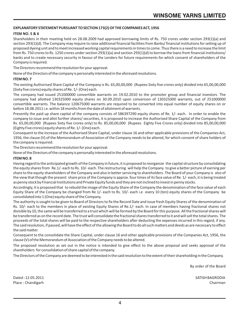## **EXPLANATORY STATEMENT PURSUANT TO SECTION 173(2) OF THE COMPANIES ACT, 1956**

## **ITEM NO. 5 & 6**

Shareholders in their meeting held on 28.08.2009 had approved borrowing limits of Rs. 750 crores under section 293(1)(a) and section 293(1)(d). The Company may require to raise additional financial facilities from Banks/ financial institutions for setting up of proposed dyeing unit and to meet increased working capital requirements in times to come. Thus there is a need to increase the limit from Rs. 750 crores to Rs. 1250 crores under section 293(1)(a) and section 293(1)(d) to borrow the loans from financial institutions/ banks and to create necessary security in favour of the Lenders for future requirements for which consent of shareholders of the Company is required.

The Directors recommend the resolution for your approval.

None of the Directors of the company is personally interested in the aforesaid resolutions.

## **ITEM NO. 7**

The existing Authorised Share Capital of the Company is Rs. 65,00,00,000 (Rupees Sixty five crores only) divided into 65,00,00,000 (Sixty five crores) equity shares of Re. 1/- (One) each.

The company had issued 251000000 convertible warrants on 19.02.2010 to the promoter group and financial investors. The company had allotted 130325000 equity shares on 30.09.2010 upon conversion of 130325000 warrants, out of 251000000 convertible warrants. The balance 120675000 warrants are required to be converted into equal number of equity shares on or before 18.08.2011 i.e. within 18 months from the date of allotment of warrants.

Presently the paid up share capital of the company consists of 586397290 equity shares of Re. 1/- each. In order to enable the company to issue and allot further shares/ securities, it is proposed to increase the Authorised Share Capital of the Company from Rs. 65,00,00,000 (Rupees Sixty five crores only) to Rs. 85,00,00,000 (Rupees Eighty Five Crores only) divided into 85,00,00,000 (Eighty Fivecrores) equity shares of Re. 1/- (One) each.

Consequent to the increase of the Authorised Share Capital, under clause 16 and other applicable provisions of the Companies Act, 1956, the clause (V) of the Memorandum of Association of the Company needs to be altered, for which consent of share holders of the company is required.

The Directors recommend the resolution for your approval.

None of the Directors of the company is personally interested in the aforesaid resolutions.

## **ITEM NO. 8**

Having regard to the anticipated growth of the Company in future, it is proposed to reorganize the capital structure by consolidating the equity shares from Re.1/- each to Rs. 10/- each. The restructuring will help the Company to give a better picture of earning per share to the equity shareholders of the Company and also in betterservicing to shareholders. The Board of your Company is also of the view that though the present share price of the Company is approx. four times of its face value of Re. 1/- each, it is being treated as penny stock by Financial Institutions and Private Equity funds and they are not inclined to invest in penny stocks.

Accordingly, it is proposed that to rebuild the image of the Equity Share of the Company the denomination of the face value of each Equity Share of the Company be changed from Re 1/- each to Rs. 10/- each i.e every 10 (ten) equity shares of the Company be consolidated into 1 (One) equity share of the Company.

The authority is sought to be given to Board of Directors to fix the Record Date and issue fresh Equity Shares of the denomination of Rs. 10/- each to the members in place of existing Equity Shares of Re.1/- each. In case of members having fractional shares not divisible by 10, the same will be transferred to a trust which will be formed by the Board for this purpose. All the fractional shares will be transferred as on the record date. The trust will consolidate the fractional shares transferred to it and will sell the total shares. The proceeds of the total shares will be paid to the respective shareholders after deducting the expenses incurred in this regard, if any. The said resolution, if passed, will have the effect of the allowing the Board to do all such matters and deeds as are necessary to effect the said matter.

Consequent to the consolidate the Share Capital, under clause 16 and other applicable provisions of the Companies Act, 1956, the clause (V) of the Memorandum of Association of the Company needs to be altered.

The proposed resolution as set out in the notice is intended to give effect to the above proposal and seeks approval of the shareholders for consolidation of share capital of the company.

The Directors of the Company are deemed to be interested in the said resolution to the extent of their shareholding in the Company.

By order of the Board

Dated : 12.05.2011 SATISH BAGRODIA Place : Chandigarh Chairman Chairman Chairman Chairman Chairman Chairman Chairman Chairman Chairman Chairman Chairman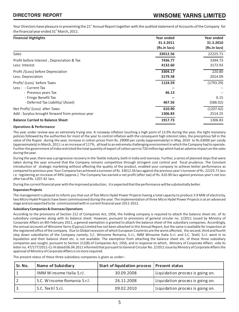Your Directors have pleasure in presenting the 21<sup>st</sup> Annual Report together with the audited statement of Accounts of the Company for the financial year ended 31<sup>st</sup> March, 2011.

| <b>Financial Highlights</b>                     | Year ended   | Year ended   |
|-------------------------------------------------|--------------|--------------|
|                                                 | 31.3.2011    | 31.3.2010    |
|                                                 | (Rs.in lacs) | (Rs.in lacs) |
| Sales                                           | 33012.56     | 22225.71     |
| Profit before Interest, Depreciation & Tax      | 7436.77      | 3394.73      |
| Less: Interest                                  | 4132.60      | 3173.93      |
| Profit /(Loss) before Depreciation              | 3304.17      | 220.80       |
| Less: Depreciation                              | 2179.58      | 2014.09      |
| Profit/ (Loss) before Taxes                     | 1124.59      | (1793.29)    |
| Less: - Current Tax                             |              |              |
| - Previous years Tax                            | 46.13        |              |
| - Fringe Benefit Tax                            |              | 0.15         |
| - Deferred Tax Liability/ (Asset)               | 467.56       | (586.02)     |
| Net Profit/ (Loss) after Taxes                  | 610.90       | (1207.42)    |
| Add: Surplus brought forward from previous year | 1306.83      | 2514.25      |
| <b>Balance Carried to Balance Sheet</b>         | 1917.73      | 1306.83      |

#### **Operations & Performance**

The year under review was an extremely trying one. A runaway inflation touching a high point of 13.9% during the year, the tight monetary policies followed by the authorities for most of the year to control inflation with the consequent high interest rates, the precipitous fall in the value of the Rupee during the year, increase in cotton prices from Rs. 29000 per candy (approximately) in May, 2010 to Rs.63000 per candy (approximately) in March, 2011 i.e an increase of 117%, all lead to an extremely challenging environment in which the Company had to operate. Further the government of India restricted the total quantity of export of cotton yarn to 720 million kgs which had an adverse impact on the sales during the year.

During the year, there was a progressive recovery in the Textile industry, both in India and overseas. Further, a series of planned steps that were taken during the year ensured that the Company remains competitive through stringent cost control and fiscal prudence. The Constant introduction of strategic marketing without affecting the quality of the product, enabled your company to achieve better performance as compared to previous year. Your Company has achieved a turnover of Rs. 33012.56 lacs against the previous year's turnover of Rs. 22225.71 lacs i.e registering an increase of 49% (approx.). The Company has earned a net profit (after tax) of Rs. 610.90 lacs against previous year's net loss after tax of Rs. 1207.42 lacs.

During the current financial year with the improved production, it is expected that the performance will be substantially better.

#### **Expansion Projects**

The management is pleased to inform you that out of five Micro Hydel Power Projects having a total capacity to produce 3.9 MW of electricity, two Micro Hydel Projects have been commissioned during the year. The implementation of three Micro Hydel Power Projects is at an advanced stage and are expected to be commissioned with in current financial year 2011-2012.

#### **Subsidiary Companies & Overseas Operations**

According to the provisions of Section 212 of Companies Act, 1956, the holding company is required to attach the balance sheet etc. of its subsidiary companies along with its balance sheet. However, pursuant to provisions of general circular no. 2/2011 issued by Ministry of Corporate Affairs on 8th February 2011, a general exemption is granted to attach the balance sheet of the subsidiary companies. Accordingly, the annual accounts of Winsome Yarns (Cyprus) Limited has not been attached in this Annual Report, but the same is available for inspection at the registered office of the company. Due to Global recession of which European Countries are the worst affected, the second, third and fourth step down subsidiaries of the Company namely; S.C. Winsome Romania, S.r.l., IMM Winsome Italia S.r.l. and S.C. Textil, S.r.l. went in to liquidation and their balance sheet etc. is not available. The exemption from attaching the balance sheet etc. of these three subsidiary companies was sought, pursuant to Section 212(8) of Companies Act, 1956, and in response to which, Ministry of Corporate Affairs vide its letter no. 47/177/2011-CL-III dated 06.04.2011 informed that pursuant to General Circular No. 2/2011 issue by Ministry of Corporate Affairs the approval of Ministry of Corporate Affairs is no more required.

The present status of these three subsidiary companies is given as under:-

| Sr. No. | Name of Subsidiary          | Start of liquidation process   Present status |                                  |
|---------|-----------------------------|-----------------------------------------------|----------------------------------|
|         | IMM Winsome Italia S.r.I.   | 30.09.2008                                    | Liquidation process is going on. |
|         | S.C. Winsome Romania S.r.I. | 26.11.2008                                    | Liquidation process is going on. |
|         | S.C. Textil S.r.I.          | 09.02.2010                                    | Liquidation process is going on. |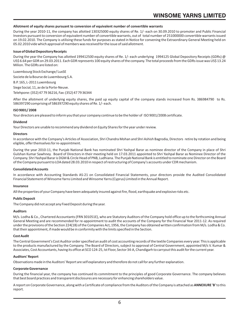#### **Allotment of equity shares pursuant to conversion of equivalent number of convertible warrants**

During the year 2010-11, the company has allotted 130325000 equity shares of Re. 1/- each on 30.09.2010 to promoter and Public Financial Investors pursuant to conversion of equivalent number of convertible warrants, out of total number of 251000000 convertible warrants issued on 19.02.2010. The Company is utilising these funds for purposes as stated in Notice for convening the Extraordinary General Meeting held on 05.02.2010 vide which approval of members was received for the issue of said allotment.

#### **Issue of Global Depository Receipts**

During the year the Company has allotted 199412500 equity shares of Re. 1/- each underlying 1994125 Global Depository Receipts (GDRs) @ US\$ 6.64 per GDR on 29.03.2011. Each GDR represents 100 equity shares of the company. The total proceeds from the GDRs issue was US\$ 13.24 Milion. The GDRs are listed on:

Luxembourg Stock Exchange/ LuxSE

Societe de la Bourse de Luxembourg S.A.

B.P. 165, L-2011 Luxembourg

Siege Social, 11, av de la Porte-Neuve.

Telehpone: (352) 47 79 36216, Fax: (352) 47 79 36344

After the allotment of underlying equity shares, the paid up equity capital of the company stands increased from Rs. 386984790 to Rs. 586397290 comprising of 586397290 equity shares of Re. 1/- each.

#### **ISO 9001/ 2008**

Your directors are pleased to inform you that your company continue to be the holder of ISO 9001/2008 certificate.

#### **Dividend**

Your Directors are unable to recommend any dividend on Equity Shares for the year under review.

#### **Directors**

In accordance with the Company's Articles of Association, Shri Chandra Mohan and Shri Ashish Bagrodia, Directors retire by rotation and being eligible, offer themselves for re-appointment.

During the year 2010-11, the Punjab National Bank has nominated Shri Yashpal Barar as nominee director of the Company in place of Shri Gulshan Kumar Sawhney. Board of Directors in their meeting held on 17.03.2011 appointed to Shri Yashpal Barar as Nominee Director of the Company. Shri Yashpal Barar is DGM & Circle Head of PNB, Ludhiana. The Punjab National Bank is entitled to nominate one Director on the Board of the Company pursuant to LOA dated 28.03.2010 in respect of restructuring of Company's accounts under CDR mechanism.

#### **Consolidated Accounts**

In accordance with Accounting Standards AS-21 on Consolidated Financial Statements, your directors provide the Audited Consolidated Financial Statement of Winsome Yarns Limited and Winsome Yarns (Cyprus) Limited in the Annual Report.

#### **Insurance**

All the properties of your Company have been adequately insured against fire, flood, earthquake and explosive risks etc.

#### **Public Deposit**

The Company did not accept any Fixed Deposit during the year.

#### **Auditors**

M/s. Lodha & Co., Chartered Accountants (FRN 301051E), who are Statutory Auditors of the Company hold office up to the forthcoming Annual General Meeting and are recommended for re-appointment to audit the accounts of the Company for the Financial Year 2011-12. As required under the provisions of the Section 224(1B) of the Companies Act, 1956, the Company has obtained written confirmation from M/s. Lodha & Co. that their appointment, if made would be in conformity with the limits specified in the Section.

#### **Cost Audit**

The Central Government's Cost Auditor order specified an audit of cost accounting records of the textile Companies every year. This is applicable to the products manufactured by the Company. The Board of Directors, subject to approval of Central Government, appointed M/s V. Kumar & Associates, Cost Accountants, having its office at SCO 124-25, Ist Floor, Sector 34-A, Chandigarh to carryout this audit for the current year.

#### **Auditors' Report**

Observations made in the Auditors' Report are self explanatory and therefore do not call for any further explanation.

#### **Corporate Governance**

During the financial year, the company has continued its commitment to the principles of good Corporate Governance. The company believes that best board practices and transparent disclosures are necessary for enhancing shareholders value.

A report on Corporate Governance, along with a Certificate of compliance from the Auditors of the Company is attached as **ANNEXURE 'B'**to this report.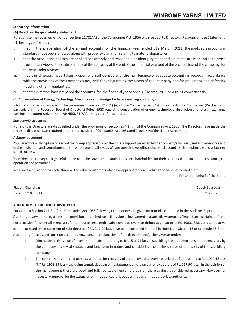## **Statutory Information**

## **(A) Directors' Responsibility Statement**

Pursuant to the requirement under section 217(2AA) of the Companies Act, 1956 with respect to Directors' Responsibilities Statement, it is hereby confirmed :

- i. that in the preparation of the annual accounts for the financial year ended 31st March, 2011, the applicable accounting standards have been followed along with proper explanation relating to material departures;
- ii. that the accounting policies are applied consistently and reasonable prudent judgment and estimates are made so as to give a true and fair view of the state of affairs of the company at the end of the financial year and of the profit or loss of the company for the year under review;
- iii. that the directors have taken proper and sufficient care for the maintenance of adequate accounting records in accordance with the provisions of the Companies Act,1956 for safeguarding the assets of the company and for preventing and defecting fraud and other irregularities;
- iv. that the directors have prepared the accounts for the financial year ended  $31<sup>st</sup>$  March, 2011 on a going concern basis.

## **(B) Conservation of Energy, Technology Absorption and Foreign Exchange earning and outgo.**

Information in accordance with the provisions of section 217 (1) (e) of the Companies Act, 1956, read with the Companies (Disclosure of particulars in the Report of Board of Directors) Rules, 1988 regarding conservation of energy, technology absorption and foreign exchange earnings and outgo is given in the **ANNEXURE 'A'**forming part of this report.

#### **Statutory Disclosures**

None of the Directors are disqualified under the provisions of Section 274(1)(g) of the Companies Act, 1956. The Directors have made the requisite disclosures, as required under the provisions of Companies Act, 1956 and Clause 49 of the Listing Agreement.

#### **Acknowledgement**

Your Directors wish to place on record their deep appreciation of the timely support provided by the Company's bankers, and all the vendors and of the dedication and commitment of the employees at all levels. We are sure that we will continue to dare and reach the pinnacle of our journey called success.

Your Directors convey their grateful thanks to all the Government authorities and shareholders for their continued and unstinted assistance, cooperation and patronage.

We also take this opportunity to thank all the valued customers who have appreciated our products and have patronised them.

For and on behalf of the Board

Place : Chandigarh Satish Bagrodia and Satish Bagrodia and Satish Bagrodia and Satish Bagrodia and Satish Bagrodia Dated : 12.05.2011 Chairman

#### **ADDENDUM TO THE DIRECTORS' REPORT**

Pursuant to Section 217(3) of the Companies Act 1956 following explanations are given on remarks contained in the Auditors Report : Auditor's observations regarding non provision for diminution in the value of investment in a subsidiary company (impact unascertainable) and non provision for shortfall in recovery (amount unascertained) against overdue overseas debtor aggregating to Rs. 1900.18 lacs and cumulative gain recognised on restatement of said debtros of Rs. 217.90 lacs have been explained in detail in Note No. 10B and 16 of Schedule 15(B) on Accounting Policies and Notes on accounts. However, the explanations of the directors are further given as under:

- 1. Diminution in the value of investment made amounting to Rs. 1516.71 lacs in subsidiary has not been considered necessary by the company in view of strategic and long term in nature and considering the intrinsic value of the assets of the subsidiary company.
- 2. The company has initiated persuasive action for recovery of certain overdue overseas debtors of amounting to Rs. 1900.18 lacs (P.Y. Rs. 1903.39 lacs) {excluding cumulative gain on restatement of foreign currency debtors of Rs. 217.90 lacs}. In the opinion of the management these are good and fully realizable hence no provision there against is considered necessary. However for necessary approval for the extension of time applicable have been filed with the appropriate authority.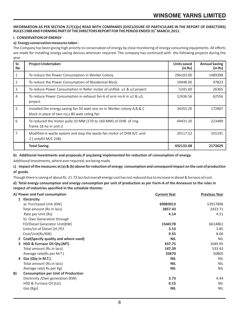## **INFORMATION AS PER SECTION 217(1)(e) READ WITH COMPANIES (DISCLOSURE OF PARTICULARS IN THE REPORT OF DIRECTORS) st RULES 1988 AND FORMING PART OF THE DIRECTORS REPORT FOR THE PERIOD ENDED 31 MARCH, 2011.**

## **I. CONSERVATION OF ENERGY**

## **a) Energy conservation measures taken :**

The Company has been giving high priority to conservation of energy by close monitoring of energy consuming equipments. All efforts are made for installing energy saving devices wherever required. The company has continued with the following projects during the year.

| Sr.<br>No      | Project Undertaken                                                                                                          | Units saved<br>(in Rs) | <b>Annual Saving</b><br>(in Rs) |
|----------------|-----------------------------------------------------------------------------------------------------------------------------|------------------------|---------------------------------|
|                | To reduce the Power Consumption in Worker Colony                                                                            | 296103.00              | 1489398                         |
| $\overline{2}$ | To reduce the Power Consumption of Residential Block                                                                        | 19448.00               | 97823                           |
| 3              | To reduce Power Consumption in Roller motar of uniflok u1 & u2 project                                                      | 5241.60                | 26365                           |
| 4              | To reduce Power Consumption in exhaust fan-6 of erm no-6 in u2 & u3,<br>project                                             | 12436.56               | 62556                           |
| 5              | Installed the energy saving fan 50 watt one no in Worker colony A, B, & C<br>block in place of two no; s 80 watt celing fan | 34355.20               | 172807                          |
| 6              | To reduced the motor pully 10 MM (170 to 160 MM) of OHB of ring<br>frame 18 no in unit-2                                    | 44431.20               | 223489                          |
| 7              | Modified in waste system and stop the waste fan motor of OHB A/C unit-<br>2 (only03 M/C 238)                                | 20117.52               | 101191                          |
|                | <b>Total Saving</b>                                                                                                         | 432133.08              | 2173629                         |

**b) Additional investments and proposals,if any,being implemented for reduction of consumption of energy.**

Additional Investments, where ever required, are being made.

**c) Impact of the measures at (a) & (b) above for reduction of energy consumption and consequent impact on the cost of production of goods.** 

Though there is saving of about Rs. 21.73 lacs but overall energy cost has not reduced due to increase in diesel & furnace oil cost.

| d) Total energy consumption and energy consumption per unit of production as per Form-A of the Annexure to the rules in |  |
|-------------------------------------------------------------------------------------------------------------------------|--|
| respect of industries specified in the schedule thereto:                                                                |  |

|    | A) Power and Fuel consumption             | <b>Current Year</b> | <b>Previous Year</b> |
|----|-------------------------------------------|---------------------|----------------------|
|    | Electricity<br>$\mathbf{1}$               |                     |                      |
|    | a) Purchased Unit (KW)                    | 69083013            | 53917896             |
|    | Total amount (Rs in lacs)                 | 2857.43             | 2433.71              |
|    | Rate per Unit (Rs)                        | 4.14                | 4.51                 |
|    | b) Own Generation through                 |                     |                      |
|    | FO/Diesel Generator Unit(KW)              | 1544178             | 6614861              |
|    | Units/Ltr.of Diesel Oil /FO               | 3.53                | 3.85                 |
|    | Cost/Unit(Rs/KW)                          | 9.55                | 8.06                 |
|    | 2 Coal(Specify quality and where used)    | <b>NIL</b>          | <b>NIL</b>           |
| 3  | HSD & Furnace Oil Qty.(MT)                | 437.75              | 1049.95              |
|    | Total amount (Rs.in lacs)                 | 147.39              | 533.43               |
|    | Average rate(Rs.per M.T)                  | 33670               | 50805                |
|    | 4 Gas (Qty in M.T.)                       | <b>NIL</b>          | <b>NIL</b>           |
|    | Total amount (Rs.in lacs)                 | <b>NIL</b>          | <b>NIL</b>           |
|    | Average rate (Rs.per Kg)                  | <b>NIL</b>          | <b>NIL</b>           |
| B) | <b>Consumption per Unit of Production</b> |                     |                      |
|    | Electricity / Own generation (KW)         | 3.73                | 4.44                 |
|    | HSD & Furnace Oil (Lts)                   | 0.15                | <b>NIL</b>           |
|    | Gas (Kgs)                                 | <b>NIL</b>          | <b>NIL</b>           |
|    |                                           |                     |                      |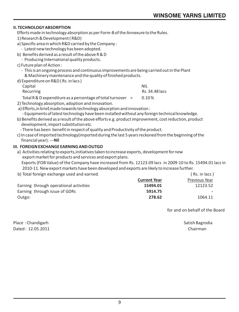## **II. TECHNOLOGY ABSORPTION**

Efforts made in technology absorption as per Form-B of the Annexure to the Rules.

1) Research & Development ( R&D)

a) Specific area in which R&D carried by the Company :

- Latest new technology has been adopted.
- b) Benefits derived as a result of the above R & D
	- Producing International quality products.

## c) Future plan of Action :

- This is an ongoing process and continuous improvements are being carried out in the Plant & Machinery maintenance and the quality of finished products.
- d) Expenditure on R&D ( Rs. in lacs )

| Capital                                                       | <b>NIL</b>     |
|---------------------------------------------------------------|----------------|
| Recurring                                                     | Rs. 34.48 lacs |
| Total R & D expenditure as a percentage of total turnover $=$ | $0.10\%$       |

- 2) Technology absorption, adoption and innovation.
- a) Efforts,in brief,made towards technology absorption and innovation : - Equipments of latest technology have been installed without any foreign technical knowledge.
- b) Benefits derived as a result of the above efforts e.g. product improvement, cost reduction, product development, import substitution etc.
	- There has been benefit in respect of quality and Productivity of the product.
- c) In case of imported technology(imported during the last 5 years reckoned from the beginning of the financial year). ---**Nil**

## **III. FOREIGN EXCHANGE EARNING AND OUTGO**

 a) Activities relating to exports,initiatives taken to increase exports, development for new export market for products and services and export plans.

Exports (FOB Value) of the Company have increased from Rs. 12123.09 lacs in 2009-10 to Rs. 15494.01 lacs in 2010-11. New export markets have been developed and exports are likely to increase further.

b) Total foreign exchange used and earned. (a) the same state of the state of the state of the state of the state of the state of the state of the state of the state of the state of the state of the state of the state of t

|                                        | <b>Current Year</b> | Previous Year |
|----------------------------------------|---------------------|---------------|
| Earning through operational activities | 15494.01            | 12123.52      |
| Earning through issue of GDRs          | 5914.75             | $\sim$ $\sim$ |
| Outgo:                                 | 278.62              | 1064.11       |

for and on behalf of the Board

Place : Chandigarh Satish Bagrodia Dated : 12.05.2011 Chairman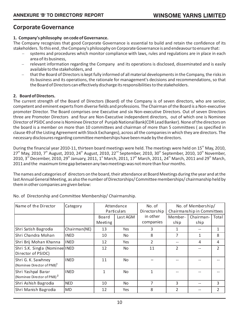## **Corporate Governance**

## **1. Company's philosophy on code of Governance.**

The Company recognizes that good Corporate Governance is essential to build and retain the confidence of its stakeholders. To this end , the Company's philosophy on Corporate Governance is and endeavour to ensure that:

systems and procedures which monitor compliance with laws, rules and regulations are in place in each area of its business,

relevant information regarding the Company and its operations is disclosed, disseminated and is easily available to the stakeholders, and

that the Board of Directors is kept fully informed of all material developments in the Company, the risks in its business and its operations, the rationale for management's decisions and recommendations, so that the Board of Directors can effectively discharge its responsibilities to the stakeholders.

## **2. Board of Directors.**

The current strength of the Board of Directors (Board) of the Company is of seven directors, who are senior, competent and eminent experts from diverse fields and professions. The Chairman of the Board is a Non-executive promoter Director. The Board comprises one Executive and six Non-executive Directors. Out of seven Directors three are Promoter Directors and four are Non-Executive independent directors, out of which one is Nominee Director of PSIDC and one is Nominee Director of Punjab National Bank(CDR Lead Banker). None of the directors on the board is a member on more than 10 committees and chairman of more than 5 committees ( as specified in clause 49 of the Listing Agreement with Stock Exchanges), across all the companies in which they are directors. The necessary disclosures regarding committee memberships have been made by the directors.

During the financial year 2010-11, thirteen board meetings were held. The meetings were held on  $15<sup>th</sup>$  May, 2010,  $27<sup>th</sup>$  May, 2010, 7<sup>th</sup> August, 2010, 24<sup>th</sup> August, 2010, 22<sup>nd</sup> September, 2010, 30<sup>th</sup> September, 2010, 10<sup>th</sup> November, 2010, 3<sup>rd</sup> December, 2010, 29<sup>th</sup> January, 2011, 1<sup>st</sup> March, 2011, 17<sup>th</sup> March, 2011, 24<sup>th</sup> March, 2011 and 29<sup>th</sup> March, 2011 and the maximum time gap between any two meetings was not more than four months.

The names and categories of directors on the board, their attendance at Board Meetings during the year and at the last Annual General Meeting, as also the number of Directorships/ Committee memberships/ chairmanship held by them in other companies are given below:

| Name of the Director                                         | Category     |                  | Attendance<br>Particulars |                       |                 | No. of Membership/<br>Chairmanship in Committees |                |
|--------------------------------------------------------------|--------------|------------------|---------------------------|-----------------------|-----------------|--------------------------------------------------|----------------|
|                                                              |              | Board<br>Meeting | Last AGM                  | in other<br>companies | Member-<br>ship | Chairman-<br>ship                                | Total          |
| Shri Satish Bagrodia                                         | Chairman(NE) | 13               | Yes                       | 3                     | 1               |                                                  |                |
| Shri Chandra Mohan                                           | <b>INED</b>  | 10               | <b>No</b>                 | 8                     | 7               |                                                  | 8              |
| Shri Brij Mohan Khanna                                       | <b>INED</b>  | 12               | Yes                       | $\mathfrak{D}$        |                 | 4                                                | 4              |
| Shri S.K. Singla (Nominee INED<br>Director of PSIDC)         |              | 12               | <b>No</b>                 | 11                    | $\overline{2}$  |                                                  | $\mathfrak{p}$ |
| Shri G. K. Sawhney<br>(Nominee Director of PNB) <sup>1</sup> | <b>INED</b>  | 11               | <b>No</b>                 |                       |                 |                                                  |                |
| Shri Yashpal Barar<br>(Nominee Director of PNB) <sup>2</sup> | <b>INED</b>  | 1                | <b>No</b>                 | 1                     |                 |                                                  |                |
| Shri Ashish Bagrodia                                         | <b>NED</b>   | 10               | <b>No</b>                 | 7                     | 3               |                                                  | 3              |
| Shri Manish Bagrodia                                         | <b>MD</b>    | 12               | Yes                       | 8                     | $\mathfrak{D}$  |                                                  | $\overline{2}$ |

No. of Directorship and Committee Membership/ Chairmanship.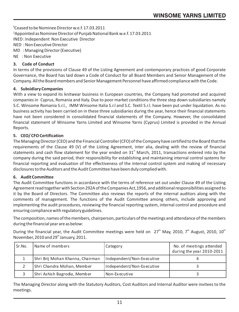$1C$ eased to be Nominee Director w.e.f. 17.03.2011 ²Appointed as Nominee Director of Punjab National Bank w.e.f. 17.03.2011 INED : Independent Non Executive Director NED : Non Executive Director MD : Managing Director (Executive) NE : Non Executive

## **3. Code of Conduct**

In terms of the provisions of Clause 49 of the Listing Agreement and contemporary practices of good Corporate Governance, the Board has laid down a Code of Conduct for all Board Members and Senior Management of the Company. All the Board members and Senior Management Personnel have affirmed compliance with the Code.

## **4. Subsidiary Companies**

With a view to expand its knitwear business in European countries, the Company had promoted and acquired companies in Cyprus, Romania and Italy. Due to poor market conditions the three step down subsidiaries namely S.C. Winsome Romania S.r.l., IMM Winsome Italia S.r.l and S.C. Textil S.r.l. have been put under liquidation. As no business activity has been carried on in these three subsidiaries during the year, hence their financial statements have not been considered in consolidated financial statements of the Company. However, the consolidated financial statement of Winsome Yarns Limited and Winsome Yarns (Cyprus) Limited is provided in the Annual Reports.

## **5. CEO/ CFO Certification**

The Managing Director (CEO) and the Financial Controller (CFO) of the Company have certified to the Board that the requirements of the Clause 49 (V) of the Listing Agreement, inter alia, dealing with the review of financial statements and cash flow statement for the year ended on  $31<sup>st</sup>$  March, 2011, transactions entered into by the company during the said period, their responsibility for establishing and maintaining internal control systems for financial reporting and evaluation of the effectiveness of the internal control system and making of necessary disclosures to the Auditors and the Audit Committee have been duly complied with.

## **6. Audit Committee**

The Audit Committee functions in accordance with the terms of reference set out under Clause 49 of the Listing Agreement read together with Section 292A of the Companies Act,1956, and additional responsibilities assigned to it by the Board of Directors. The Committee also reviews the reports of the internal auditors along with the comments of management. The functions of the Audit Committee among others, include approving and implementing the audit procedures, reviewing the financial reporting system, internal control and procedure and ensuring compliance with regulatory guidelines.

The composition, names of the members, chairperson, particulars of the meetings and attendance of the members during the financial year are as below:

During the financial year, the Audit Committee meetings were held on  $27<sup>th</sup>$  May, 2010, 7<sup>th</sup> August, 2010, 10<sup>th</sup> November, 2010 and 29<sup>th</sup> January, 2011.

| Sr.No. | Name of members                  | Category                  | No. of meetings attended<br>during the year 2010-2011 |
|--------|----------------------------------|---------------------------|-------------------------------------------------------|
|        | Shri Brij Mohan Khanna, Chairman | Independent/Non-Executive |                                                       |
|        | Shri Chandra Mohan, Member       | Independent/Non-Executive |                                                       |
|        | Shri Ashish Bagrodia, Member     | Non-Executive             |                                                       |

The Managing Director along with the Statutory Auditors, Cost Auditors and Internal Auditor were invitees to the meetings.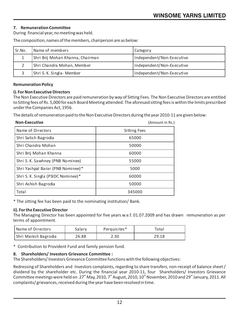## **7. Remuneration Committee**

During financial year, no meeting was held.

The composition, names of the members, chairperson are as below:

| Sr.No. | Name of members                  | Category                  |
|--------|----------------------------------|---------------------------|
|        | Shri Brij Mohan Khanna, Chairman | Independent/Non-Executive |
|        | Shri Chandra Mohan, Member       | Independent/Non-Executive |
|        | Shri S. K. Singla- Member        | Independent/Non-Executive |

## **Remuneration Policy**

## **i). For Non Executive Directors**

The Non Executive Directors are paid remuneration by way of Sitting Fees. The Non Executive Directors are entitled to Sitting fees of Rs. 5,000 for each Board Meeting attended. The aforesaid sitting fees is within the limits prescribed under the Companies Act, 1956.

The details of remuneration paid to the Non Executive Directors during the year 2010-11 are given below:

| <b>Non-Executive</b>               | (Amount in Rs.)     |
|------------------------------------|---------------------|
| Name of Directors                  | <b>Sitting Fees</b> |
| Shri Satish Bagrodia               | 65000               |
| Shri Chandra Mohan                 | 50000               |
| Shri Brij Mohan Khanna             | 60000               |
| Shri S. K. Sawhney (PNB Nominee)   | 55000               |
| Shri Yashpal Barar (PNB Nominee)*  | 5000                |
| Shri S. K. Singla (PSIDC Nominee)* | 60000               |
| Shri Ashish Bagrodia               | 50000               |
| Total                              | 345000              |

\* The sitting fee has been paid to the nominating institution/ Bank.

## **ii). For the Executive Director**

The Managing Director has been appointed for five years w.e.f. 01.07.2009 and has drawn remuneration as per terms of appointment.

| Name of Directors    | Salary | Perquisites* | Total |
|----------------------|--------|--------------|-------|
| Shri Manish Bagrodia | 26.88  | 2.30         | 29.18 |

\* Contribution to Provident Fund and family pension fund.

## **8. Shareholders/ Investors Grievance Committee :**

The Shareholders/ Investors Grievance Committee functions with the following objectives:

Redressing of Shareholders and Investors complaints, regarding to share transfers, non-receipt of balance sheet / dividend by the shareholder etc. During the financial year 2010-11, four Shareholders/ Investors Grievance Committee meetings were held on 27<sup>th</sup> May, 2010, 7<sup>th</sup> August, 2010, 10<sup>th</sup> November, 2010 and 29<sup>th</sup> January, 2011. All complaints/ grievances, received during the year have been resolved in time.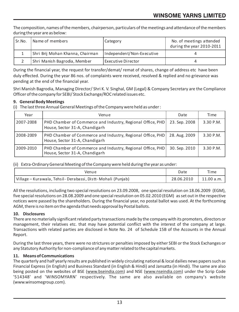The composition, names of the members, chairperson, particulars of the meetings and attendance of the members during the year are as below:

| Sr.No. | Name of members                  | Category                  | No. of meetings attended<br>during the year 2010-2011 |
|--------|----------------------------------|---------------------------|-------------------------------------------------------|
|        | Shri Brij Mohan Khanna, Chairman | Independent/Non-Executive |                                                       |
|        | Shri Manish Bagrodia, Member     | Executive Director        |                                                       |

During the financial year, the request for transfer/demat/ remat of shares, change of address etc have been duly effected. During the year 86 nos. of complaints were received, resolved & replied and no grievance was pending at the end of the financial year.

Shri Manish Bagrodia, Managing Director/ Shri K. V. Singhal, GM (Legal) & Company Secretary are the Compliance Officer of the company for SEBI/ Stock Exchange/ROC related issues etc.

## **9. General Body Meetings**

(i) The last three Annual General Meetings of the Company were held as under :

| Year      | Venue                                                                                        | Date          | <b>Time</b> |
|-----------|----------------------------------------------------------------------------------------------|---------------|-------------|
| 2007-2008 | PHD Chamber of Commerce and Industry, Regional Office, PHD<br>House, Sector 31-A, Chandigarh | 23. Sep. 2008 | 3.30 P.M.   |
| 2008-2009 | PHD Chamber of Commerce and Industry, Regional Office, PHD<br>House, Sector 31-A, Chandigarh | 28. Aug. 2009 | 3.30 P.M.   |
| 2009-2010 | PHD Chamber of Commerce and Industry, Regional Office, PHD<br>House, Sector 31-A, Chandigarh | 30. Sep. 2010 | 3.30 P.M.   |

(ii) Extra-Ordinary General Meeting of the Company were held during the year as under:

| Venue                                                         | Date       | Time       |
|---------------------------------------------------------------|------------|------------|
| Village – Kurawala, Tehsil - Derabassi, Distt-Mohali (Punjab) | 28.06.2010 | 11.00 a.m. |

All the resolutions, including two special resolutions on 23.09.2008, one special resolution on 18.06.2009 (EGM), five special resolutions on 28.08.2009 and one special resolution on 05.02.2010 (EGM) as set out in the respective notices were passed by the shareholders. During the financial year, no postal ballot was used. At the forthcoming AGM, there is no item on the agenda that needs approval by Postal ballots.

## **10. Disclosures**

There are no materially significant related party transactions made by the company with its promoters, directors or management, their relatives etc. that may have potential conflict with the interest of the company at large. Transactions with related parties are disclosed in Note No. 24 of Schedule 15B of the Accounts in the Annual Report.

During the last three years, there were no strictures or penalties imposed by either SEBI or the Stock Exchanges or any Statutory Authority for non-compliance of any matter related to the capital markets.

## **11. Means of Communications**

The quarterly and half yearly results are published in widely circulating national & local dailies news papers such as Financial Express (in English) and Business Standard (in English & Hindi) and Jansatta (in Hindi). The same are also being posted on the websites of BSE (www.bseindia.com) and NSE (www.nseindia.com) under the Scrip Code '514348' and 'WINSOMYARN' respectively. The same are also available on company's website (www.winsomegroup.com).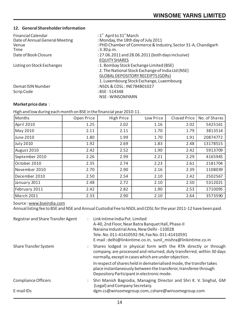## **12. General Shareholder information**

| <b>Financial Calendar</b>      | : $1st$ April to $31st$ March                                 |
|--------------------------------|---------------------------------------------------------------|
| Date of Annual General Meeting | : Monday, the 18th day of July 2011                           |
| Venue                          | : PHD Chamber of Commerce & Industry, Sector 31-A, Chandigarh |
| Time                           | :3.30 p.m.                                                    |
| Date of Book Closure           | : 27.06.2011 and 28.06.2011 (both days inclusive)             |
|                                | <b>EQUITY SHARES</b>                                          |
| Listing on Stock Exchanges     | : 1. Bombay Stock Exchange Limited (BSE)                      |
|                                | 2. The National Stock Exchange of India Ltd (NSE)             |
|                                | GLOBAL DEPOSITORY RECEIPTS (GDRs)                             |
|                                | 1. Luxembourg Stock Exchange, Luxembourg                      |
| Demat ISIN Number              | : NSDL & CDSL: INE784B01027                                   |
| Scrip Code                     | : BSE - 514348                                                |
|                                | NSE - WINSOMYARN                                              |

## **Market price data** :

High and low during each month on BSE in the financial year 2010-11.

| Months         | Open Price | High Price | Low Price | Closed Price | No. of Shares |
|----------------|------------|------------|-----------|--------------|---------------|
| April 2010     | 1.25       | 2.02       | 1.16      | 2.02         | 5425161       |
| May 2010       | 2.11       | 2.11       | 1.70      | 1.79         | 3813514       |
| June 2010      | 1.80       | 1.99       | 1.70      | 1.91         | 20874772      |
| July 2010      | 1.92       | 2.69       | 1.83      | 2.48         | 13178515      |
| August 2010    | 2.42       | 2.52       | 1.90      | 2.42         | 5913709       |
| September 2010 | 2.26       | 2.99       | 2.21      | 2.29         | 4165945       |
| October 2010   | 2.35       | 2.74       | 2.23      | 2.61         | 2181704       |
| November 2010  | 2.70       | 2.90       | 2.16      | 2.39         | 1108039       |
| December 2010  | 2.50       | 2.54       | 2.10      | 2.42         | 2502567       |
| January 2011   | 2.48       | 2.72       | 2.10      | 2.50         | 5312021       |
| February 2011  | 2.42       | 2.82       | 1.90      | 2.53         | 1710095       |
| March 2011     | 2.33       | 2.90       | 2.10      | 2.64         | 3573590       |

## Source : www.bseindia.com

Annual listing fee to BSE and NSE and Annual Custodial Fee to NSDL and CDSL for the year 2011-12 have been paid.

| Registrar and Share Transfer Agent | Link Intime India Pyt. Limited<br>A-40, 2nd Floor, Near Batra Banquet Hall, Phase-II<br>Naraina Industrial Area, New Delhi - 110028<br>Tele. No. 011-41410592-94, Fax No. 011-41410591<br>E-mail: delhi@linkintime.co.in, sunil mishra@linkintime.co.in |
|------------------------------------|---------------------------------------------------------------------------------------------------------------------------------------------------------------------------------------------------------------------------------------------------------|
| Share Transfer System              | Shares lodged in physical form with the RTA directly or through<br>company, are processed and returned, duly transferred, within 30 days<br>normally, except in cases which are under objection.                                                        |
|                                    | In respect of shares held in dematerialised mode, the transfer takes<br>place instantaneously between the transferor, transferee through<br>Depository Participant in electronic mode.                                                                  |
| Compliance Officers                | : Shri Manish Bagrodia, Managing Director and Shri K. V. Singhal, GM<br>(Legal) and Company Secretary.                                                                                                                                                  |
| E-mail IDs                         | dgm.cs@winsomegroup.com, cshare@winsomegroup.com                                                                                                                                                                                                        |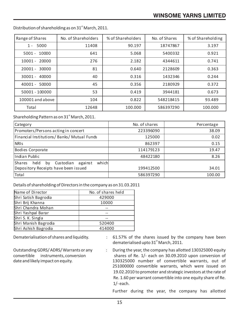| Range of Shares    | No. of Shareholders | % of Shareholders | No. of Shares | % of Shareholding |
|--------------------|---------------------|-------------------|---------------|-------------------|
| 5000<br>$1 -$      | 11408               | 90.197            | 18747867      | 3.197             |
| $5001 - 10000$     | 641                 | 5.068             | 5400332       | 0.921             |
| $10001 - 20000$    | 276                 | 2.182             | 4344611       | 0.741             |
| $20001 -$<br>30000 | 81                  | 0.640             | 2128609       | 0.363             |
| 30001 - 40000      | 40                  | 0.316             | 1432346       | 0.244             |
| 40001 - 50000      | 45                  | 0.356             | 2180929       | 0.372             |
| 50001 - 100000     | 53                  | 0.419             | 3944181       | 0.673             |
| 100001 and above   | 104                 | 0.822             | 548218415     | 93.489            |
| Total              | 12648               | 100.000           | 586397290     | 100.000           |

Distribution of shareholding as on  $31<sup>st</sup>$  March, 2011.

Shareholding Pattern as on  $31<sup>st</sup>$  March, 2011.

| Category                                                     | No. of shares | Percentage |
|--------------------------------------------------------------|---------------|------------|
| Promoters/Persons acting in concert                          | 223396090     | 38.09      |
| Financial Institutions/Banks/Mutual Funds                    | 125000        | 0.02       |
| <b>NRIS</b>                                                  | 862397        | 0.15       |
| Bodies Corporate                                             | 114179123     | 19.47      |
| Indian Public                                                | 48422180      | 8.26       |
| <b>Shares</b><br>which<br>held<br>Custodian<br>against<br>by |               |            |
| Depository Receipts have been issued                         | 199412500     | 34.01      |
| Total                                                        | 586397290     | 100.00     |

Details of shareholding of Directors in the company as on 31.03.2011

| Name of Director     | No. of shares held |
|----------------------|--------------------|
| Shri Satish Bagrodia | 429000             |
| Shri Brij Khanna     | 10000              |
| lShri Chandra Mohan  |                    |
| Shri Yashpal Barar   | --                 |
| Shri S. K. Singla    |                    |
| Shri Manish Bagrodia | 520400             |
| Shri Ashish Bagrodia | 414000             |

Dematerialisation of shares and liquidity. : 61.57% of the shares issued by the company have been dematerialised upto 31<sup>st</sup> March, 2011.

Outstanding GDRS/ ADRS/ Warrants or any : During the year, the company has allotted 130325000 equity convertible instruments, conversion shares of Re. 1/- each on 30.09.2010 upon conversion of date and likely impact on equity. 130325000 number of convertible warrants, out of 251000000 convertible warrants, which were issued on 19.02.2010 to promoter and strategic investors at the rate of Re. 1.60 per warrant convertible into one equity share of Re. 1/- each.

Further during the year, the company has allotted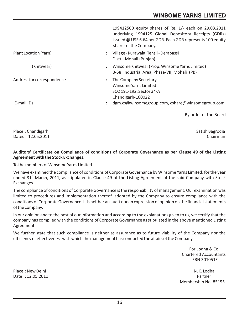|                            |               | 199412500 equity shares of Re. 1/- each on 29.03.2011<br>underlying 1994125 Global Depository Receipts (GDRs)<br>issued @ US\$ 6.64 per GDR. Each GDR represents 100 equity<br>shares of the Company. |
|----------------------------|---------------|-------------------------------------------------------------------------------------------------------------------------------------------------------------------------------------------------------|
| Plant Location (Yarn)      |               | Village - Kurawala, Tehsil - Derabassi<br>Distt - Mohali (Punjab)                                                                                                                                     |
| (Knitwear)                 | ÷             | Winsome Knitwear (Prop. Winsome Yarns Limited)<br>B-58, Industrial Area, Phase-VII, Mohali (PB)                                                                                                       |
| Address for correspondence | $\mathcal{L}$ | The Company Secretary<br>Winsome Yarns Limited<br>SCO 191-192, Sector 34-A<br>Chandigarh-160022                                                                                                       |
| E-mail IDs                 |               | dgm.cs@winsomegroup.com, cshare@winsomegroup.com                                                                                                                                                      |

By order of the Board

Place : Chandigarh Satish Bagrodia<br>
Dated : 12.05.2011 Chairman  $Data: 12.05.2011$ 

## **Auditors' Certificate on Compliance of conditions of Corporate Governance as per Clause 49 of the Listing Agreement with the Stock Exchanges.**

To the members of Winsome Yarns Limited

We have examined the compliance of conditions of Corporate Governance by Winsome Yarns Limited, for the year ended 31<sup>st</sup> March, 2011, as stipulated in Clause 49 of the Listing Agreement of the said Company with Stock Exchanges.

The compliance of conditions of Corporate Governance is the responsibility of management. Our examination was limited to procedures and implementation thereof, adopted by the Company to ensure compliance with the conditions of Corporate Governance. It is neither an audit nor an expression of opinion on the financial statements of the company.

In our opinion and to the best of our information and according to the explanations given to us, we certify that the company has complied with the conditions of Corporate Governance as stipulated in the above mentioned Listing Agreement.

We further state that such compliance is neither as assurance as to future viability of the Company nor the efficiency or effectiveness with which the management has conducted the affairs of the Company.

 For Lodha & Co. Chartered Accountants FRN 301051E

Place : New Delhi N. K. Lodha (1999) 2014 12: No. 8 (1999) 2014 12: N. K. Lodha (1999) 2014 12: N. K. Lodha (1<br>Partner 12: 05: 2011 Membership No. 85155

Date:  $12.05.2011$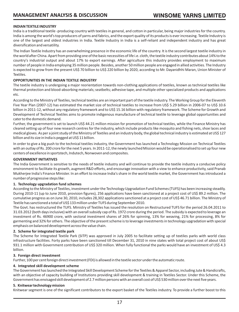## **INDIAN TEXTILE INDUSTRY**

India is a traditional textile -producing country with textiles in general, and cotton in particular, being major industries for the country. India is among the world's top producers of yarns and fabrics, and the export quality of its products is ever increasing. Textile Industry is one of the largest and oldest industries in India. Textile Industry in India is a self-reliant and independent industry and has great diversification and versatility.

The Indian Textile Industry has an overwhelming presence in the economic life of the country. It is the second largest textile industry in the world after China. Apart from providing one of the basic necessities of life i.e. cloth, the textile industry contributes about 14% to the country's industrial output and about 17% to export earnings. After agriculture this industry provides employment to maximum number of people in India employing 35 million people. Besides, another 50 million people are engaged in allied activities. The Industry is expected to grow from the present US\$ 70 billion to US\$ 220 billion by 2020, according to Mr. Dayanidhhi Maran, Union Minister of Textiles.

## **OPPORTUNITIES IN THE INDIAN TEXTILE INDUSTRY**

The textile industry is undergoing a major reorientation towards non-clothing applications of textiles, known as technical textiles like thermal protection and blood-absorbing materials; seatbelts; adhesive tape, and multiple other specialized products and applications etc.

According to the Ministry of Textiles, technical textiles are an important part of the textile industry. The Working Group for the Eleventh Five Year Plan (2007-12) has estimated the market size of technical textiles to increase from US\$ 5.29 billion in 2006-07 to US\$ 10.6 billion in 2011-12, without any regulatory framework and to US\$ 15.16 billion with regulatory framework. The Scheme for Growth and Development of Technical Textiles aims to promote indigenous manufacture of technical textile to leverage global opportunities and cater to the domestic demand.

Further, the government is set to launch US\$ 44.21 million mission for promotion of technical textiles, while the Finance Ministry has cleared setting up of four new research centres for the industry, which include products like mosquito and fishing nets, shoe laces and medical gloves. As per a joint study of the Ministry of Textiles and an industry body, the global technical industry is estimated at US\$ 127 billion and its size in India is pegged at US\$ 11 billion.

In order to give a big push to the technical textiles industry, the Government has launched a Technology Mission on Technical Textiles with an outlay of Rs. 200 crore for the next 5 years. In 2011-12, the newly launched Mission would be operationalised to set up four new centers of excellence in sportstech, Indutech, Nonwoven and composites.

## **GOVERNMENT INITIATIVES**

The India Government is sensitive to the needs of textile industry and will continue to provide the textile industry a conducive policy environment to facilitate its growth, augment R&D efforts, and encourage innovation with a view to enhance productivity, said Pranab Mukherjee India's Finance Minister. In an effort to increase India's share in the world textile market, the Government has introduced a number of progressive steps like:

## **1. Technology upgradation fund schemes**

According to the Ministry of Textiles, investment under the Technology Upgradation Fund Schemes (TUFS) has been increasing steadily. During 2010-11 (up to June 2010, provision figures), 256 applications have been sanctioned at a project cost of US\$ 89.2 million. The cumulative progress as on June 30, 2010, includes 28,302 applications sanctioned at a project cost of US\$ 46.71 billion. The Ministry of Textile has sanctioned a total of US\$ 133 million under TUFS during September 2010.

The Govt. has restructured the TUFS. Ministry of Textiles has issued the resolution on Restructured TUFS for the period 26.04.2011 to 31.03.2012 (both days inclusive) with an overall subsidy cap of Rs. 1972 crore during the period. The subsidy is expected to leverage an investment of Rs. 46900 crore, with sectoral investment shares of 26% for spinning, 13% for weaving, 21% for processing, 8% for garmenting and 32% for others. The objective of the present scheme is to leverage investments in technology upgradation with special emphasis on balanced development across the value chain.

## **2. Scheme for integrated textile park**

The Scheme for Integrated Textile Park (SITP) was approved in July 2005 to facilitate setting up of textiles parks with world class infrastructure facilities. Forty parks have been sanctioned till December 31, 2010 in nine states with total project cost of about US\$ 931.1 million with Government contribution of US\$ 320 million. When fully functional the parks would have an investment of US\$ 4.3 billion.

## **3. Foreign direct investment**

Further, 100 per cent foreign direct investment (FDI) is allowed in the textile sector under the automatic route.

## **4. Integrated skill development scheme**

The Government has launched the Integrated Skill Development Scheme for the Textiles & Apparel Sector, including Jute & Handicrafts, with an objective of capacity building of Institutions providing skill development & training in Textiles Sector. Under this Scheme, the Government has envisaged skill development of 2.7 million persons with an overall cost of US\$ 530 million over the next five years.

## **5. Knitwear technology mission**

Knitwear segment is one of the significant contributors to the export basket of the Textiles industry. To provide a further boost to this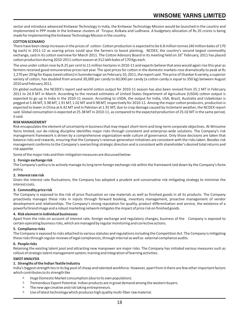sector and introduce advanced Knitwear Technology in India, the Knitwear Technology Mission would be launched in the country and implemented in PPP mode in the knitwear clusters of Tirupur, Kolkata and Ludhiana. A budgetary allocation of Rs.35 crores is being made for implementing the knitwear Technology Mission in the country.

## **COTTON SCENARIO**

There have been steep increases in the prices of cotton. Cotton production is expected to be 6.8 million tonnes (40 million bales of 170 kg each) in 2011-12 as soaring prices could spur the farmers to boost planting, NCDEX, the country's second largest commodity exchange, said in its cotton overview for March 2011. The Cotton Advisory Board in its meeting held on 26" February, 2011 has placed cotton production during 2010-2011 cotton season at 312 lakh bales of 170 Kgs each.

The area under cotton rose by 8.25 per cent to 11 million hectares in 2010-11 and experts believe that area would again rise this year as farmers received good remunerative prices last year. The spot prices for cotton in the domestic markets rose dramatically to peak at Rs 1,270 per 20 kg for Kapas (seed cotton) in Surendernagar on February 10, 2011, the report said. The price of Shankar 6 variety, a superior variety of cotton, has doubled from around 30,000 per candy to 60,000 per candy (a cotton candy is equal to 350 kg) between August 2010 and February 2011.

On global outlook, the NCDEX's report said world cotton output for 2010-11 season has also been revised from 25.1 MT in February 2011 to 24.9 MT in March. According to the revised estimates of United States Department of Agriculture (USDA) cotton output is expected to go up in India in the 2010-11 season. According to USDA, the output for India, USA, Brazil, Australia and Uzbekistan is pegged at 5.44 MT, 3.98 MT, 1.91 MT, 1.02 MT and 0.98 MT, respectively for 2010-11. Among the major cotton producers, production is expected to lower in China at 6.42 MT and in Pakistan at 1.91 MT, due to crop damage caused by inclement weather, the NCDEX report said. Global consumption is expected at 25.38 MT in 2010-11, as compared to the expected production of 25.02 MT in the same period, it said.

## **RISK MANAGEMENT**

Risk encapsulates the element of uncertainty in business that may impact short-term and long-term corporate objectives. At Winsome Yarns limited, our de-risking discipline identifies major risks through consistent and enterprise-wide solutions. The Company's risk management framework is driven by a comprehensive organization-wide culture of governance. Only those decisions are taken that balance risks and rewards, ensuring that the Company's revenue-generation initiatives are consistent with the risks taken. Besides risk management conforms to the Company's overarching strategic direction and is consistent with shareholder's desired total returns and risk appetite.

Some of the major risks and their mitigation measures are discussed below:

## **1. Foreign exchange risk**

The Company's policy is to actively manage its long term foreign exchange risk within the framework laid down by the Company's forex policy.

#### **2. Interestrate risk**

Given the interest rate fluctuations, the Company has adopted a prudent and conservative risk mitigating strategy to minimize the interest costs.

#### **3. Commodity price risk**

The Company is exposed to the risk of price fluctuation on raw materials as well as finished goods in all its products. The Company proactively manages these risks in inputs through forward booking, inventory management, proactive management of vendor development and relationships. The Company's strong reputation for quality, product differentiation and service, the existence of a powerful brand image and a robust marketing network mitigates the impact of price risk on finished goods.

## **4. Risk element in individual businesses**

Apart from the risks on account of interest rate, foreign exchange and regulatory changes, business of the Company is exposed to certain operating business risks, which are managed by regular monitoring and correctiveactions.

#### **5. Compliance risks**

The Company is exposed to risks attached to various statutes and regulations including the Competition Act. The Company is mitigating these risks through regular reviews of legal compliances, through internal as well as external compliance audits.

#### **6. People risks**

Retaining the existing talent pool and attracting new manpower are major risks. The Company has initiated various measures such as rollout of strategic talent management system; training and integration of learning activities.

## **SWOT ANALYSIS**

## **1. Strengths of the Indian Textile Industry**

India's biggest strength lies in its big pool of cheap and talented workforce. However, apart from it there are few other important factors which contributes to its strength like

- 1 contributes to its strength like<br>▲ Huge Domestic Market consumption (due to its own population).
- $\lambda$  Tremendous Export Potential. Indian products are in great demand among the western buyers.
- A The new age creative and risk taking entrepreneurs.
- A Use of latest technology which produces high quality multi-fiber raw material.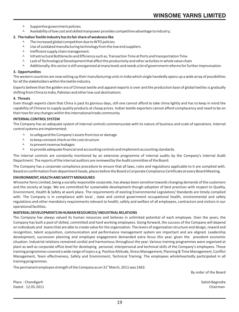- <sup>A</sup> Supportive government policies.
- $\lambda$  Availability of low cost and skilled manpower provides competitive advantage to industry;

## **2. The Indian Textile Industry has its fair share of weakness like**

- $\lambda$  The increased global competition due to WTO policies.
- $\lambda$  Use of outdated manufacturing technology from the low end suppliers.
- ? Inefficient supply chain management.
- $\sim$  Infrastructural Bottlenecks and Efficiency such as, Transaction Time at Ports and transportation Time
- $\lambda$  Lack of Technological Development that affect the productivity and other activities in whole value chain
- A calditionally, this sector is still unorganized at many levels and needs a lot of government reforms for further improvisation.

## **3. Opportunities**

The western countries are now setting up their manufacturing units in India which single handedly opens up a wide array of possibilities for all the stakeholders within the textile industry.

Experts believe that the golden era of Chinese textile and apparel exports is over and the production base of global textiles is gradually shifting from China to India, Pakistan and other low cost destinations.

## **4. Threats**

Even though experts claim that China is past its glorious days, still one cannot afford to take china lightly and has to keep in mind the capability of Chinese to supply quality products at cheap prices. Indian textile exporters cannot afford complacency and need to be on their toes for any changes within the international trade community.

## **INTERNAL CONTROL SYSTEM**

The Company has an adequate system of internal controls commensurate with its nature of business and scale of operations. Internal

- control systems are implemented:<br>Lo safeguard the Compa to safeguard the Company's assets from loss or damage
	- A to keep constant check on the cost structure
	- A to prevent revenue leakages
	- $\lambda$  to provide adequate financial and accounting controls and implement accounting standards.

The internal controls are constantly monitored by an extensive programme of internal audits by the Company's Internal Audit Department. The reports of the internal auditors are reviewed by the Audit committee of the Board.

The Company has a corporate compliance procedure to ensure that all laws, rules and regulations applicable to it are complied with. Based on confirmation from department heads, places before the Board a Corporate Compliance Certificate at every Board Meeting.

## **ENVIRONMENT, HEALTH AND SAFETY MENASURES**

Winsome Yarns Limited, being a socially responsible corporate, has always been sensitive towards changing demands of the customers and the society at large. We are committed for sustainable development though adoption of best practices with respect to Quality, Environment, Health & Safety at work place. The requirements of existing Environmental Legislation/ Standards are timely complied with. The Company is in compliance with local , state and central government occupational health, environmental and safety regulations and other mandatory requirements relevant to health, safety and welfare of all employees, contractors and visitors in our operational facilities.

## **MATERIAL DEVELOPMENTS IN HUMAN RESOURCES/ INDUSTRIAL RELATIONS**

The Company has always valued its human resources and believes in unlimited potential of each employee. Over the years, the Company has built a pool of skilled, committed and hard working employees. Going forward, the success of the Company will depend on individuals and teams that are able to create value for the organization. The levers of organization structure and design, reward and recognition, talent acquisition, communication and performance management system are important and are aligned. Leadership development, succession planning and employee engagement demanded extra focus this year, given the prevalent economic situation. Industrial relations remained cordial and harmonious throughout the year. Various training programmes were organized at plant as well as corporate office level for developing personal, interpersonal and technical skills of the Company's employees. These training programmes covered a wide range of topics e.g. Positive Attitude, Stress Management, Planning & Time Management, Conflict Management, Team effectiveness, Safety and Environment, Technical Training. The employees wholeheartedly participated in all training programmes.

The permanent employee strength of the Company as on  $31<sup>st</sup>$  March, 2011 was 1463.

By order of the Board

Place : Chandigarh Satish Bagrodia Dated : 12.05.2011 Chairman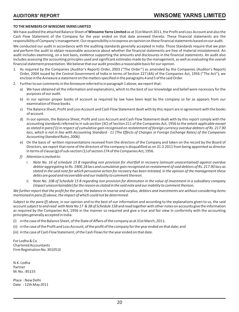## **TO THE MEMBERS OF WINSOME YARNS LIMITED**

We have audited the attached Balance Sheet of **Winsome Yarns Limited** as at 31st March 2011, the Profit and Loss Account and also the Cash Flow Statement of the Company for the year ended on that date annexed thereto. These financial statements are the responsibility of Company's management. Our responsibility is to express an opinion on these financial statements based on our audit.

We conducted our audit in accordance with the auditing standards generally accepted in India. Those Standards require that we plan and perform the audit to obtain reasonable assurance about whether the financial statements are free of material misstatement. An audit includes examining, on a test basis, evidence supporting the amounts and disclosures in the financial statements. An audit also includes assessing the accounting principles used and significant estimates made by the management, as well as evaluating the overall financial statement presentation. We believe that our audit provides a reasonable basis for our opinion.

- 1. As required by the Companies (Auditor's Report) Order, 2003 ("The Order") as amended by the Companies (Auditor's Report) Order, 2004 issued by the Central Government of India in terms of Section 227 (4A) of the Companies Act, 1956 ("The Act"), we enclose in the Annexure a statement on the matters specified in the paragraphs 4 and 5 of the said Order.
- 2. Further to our comments in the Annexure referred to in paragraph 1 above, we report that:
	- a) We have obtained all the information and explanations, which to the best of our knowledge and belief were necessary for the purposes of our audit.
	- b) In our opinion proper books of account as required by law have been kept by the company so far as appears from our examination of those books.
	- c) The Balance Sheet, Profit and Loss Account and Cash Flow Statement dealt with by this report are in agreement with the books of account.
	- d) In our opinion, the Balance Sheet, Profit and Loss Account and Cash Flow Statement dealt with by this report comply with the accounting standards referred to in sub section (3C) of Section 211 of the Companies Act, 1956 to the extent applicable *except as stated in para f (i) in respect of cumulative gain recognised on restatement of foreign currency overdue debtors of Rs. 217.90 lacs, which is not in line with Accounting Standard - 11 (The Effects of Changes in Foreign Exchange Rates) of the Companies Accounting Standard Rules, 2006).*
	- e) On the basis of written representations received from the directors of the Company and taken on the record by the Board of Directors, we report that none of the directors of the company is disqualified as on 31.3.2011 from being appointed as director in terms of clause (g) of sub-section (1) of section 274 of the Companies Act, 1956.
	- *f) Attention is invited to:* 
		- *i. Note No. 16 of schedule 15 B regarding non provision for shortfall in recovery (amount unascertained) against overdue debtor aggregating to Rs. 1900.18 lacs and cumulative gain recognised on restatement of said debtors of Rs. 217.90 lacs as stated in the said note for which persuasive action for recovery has been initiated, in the opinion of the management these debts are good and recoverable and our inability to comment thereon.*
		- *ii. Note No. 10B of Schedule 15 B regarding non provision for diminution in the value of investment in a subsidiary company (impact unascertainable) for the reason as stated in the said note and our inability to comment thereon.*

*We further report that the profit for the year, the balance in reserve and surplus, debtors and investments are without considering items mentioned in para (f) above, the impact of which could not be determined.*

*Subject to the para (f) above,* in our opinion and to the best of our information and according to the explanations given to us, the said account*subject to and read with Note No 17 & 3B of Schedule 15B* and read together with other notes on accounts give the information as required by the Companies Act, 1956 in the manner so required and give a true and fair view in conformity with the accounting principles generally accepted in India:

- (i) in the case of the Balance Sheet, of the State of Affairs of the company as at 31st March, 2011;
- (ii) in the case of the Profit and Loss Account, of the profit of the company for the year ended on that date; and
- (iii) in the case of Cash Flow Statement, of the Cash Flows for the year ended on that date.

For Lodha & Co. Chartered Accountants Firm Registration No. 301051E

N.K. Lodha Partner M. No.: 85155

Place : New Delhi Date : 12th May 2011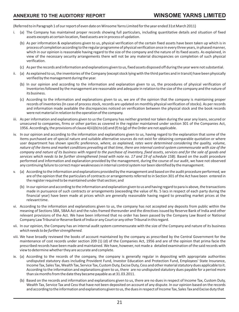(Referred to in Paragraph 1 of our report of even date on Winsome Yarns Limited for the year ended 31st March 2011)

- i. (a) The Company has maintained proper records showing full particulars, including quantitative details and situation of fixed assets excepts at certain location, fixed assets are in process of updation.
	- (b) As per information & explanations given to us, physical verification of the certain fixed assets have been taken up which is in process of completion according to the regular programme of physical verification once in every three years, in phased manner, which in our opinion is reasonable having regard to the size of the company and the nature of its fixed assets. As explained, in view of the necessary security arrangements there will not be any material discrepancies on completion of such physical verification.
	- (c) As per the records and information and explanations given to us, fixed assets disposed off during the year were not substantial.
- ii. (a) As explained to us, the inventories of the Company (except stock lying with the third parties and in transit) have been physically verified by the management during the year.
	- (b) In our opinion and according to the information and explanation given to us, the procedures of physical verification of Inventories followed by the management are reasonable and adequate in relation to the size of the company and the nature of its business.
	- (c) According to the information and explanations given to us, we are of the opinion that the company is maintaining proper records of inventories (In case of process stock, records are updated on monthly physical verification of stocks). As per records and information made available the discrepancies noticed on verification between the physical stock and the book records were not material in relation to the operation of the company.
- iii. As per information and explanations given to us the Company has neither granted nor taken during the year any loans, secured or unsecured to companies, firms or other parties as covered in the register maintained under section 301 of the Companies Act, 1956. Accordingly, the provisions of clause  $4(iii)(b)$  to (d) and (f) to (g) of the Order are not applicable.
- iv. In our opinion and according to the information and explanations given to us, having regard to the explanation that some of the items purchased are of special nature and suitable alternative sources do not exist for obtaining comparable quotation or where user department has shown specific preference, *where, as explained, rates were determined considering the quality, volume, nature of the items and market conditions prevailing at that time, there are internal control system commensurate with size of the*  company and nature of its business with regard to the purchase of inventory, fixed assets, services and for the sale of goods and services which needs to be further strengthened (read with note no. 17 and 19 of schedule 15B). Based on the audit procedure performed and information and explanation provided by the management, during the course of our audit, we have not observed any continuing failure to correct major weaknesses in internal control system nor been identified by the management.
- v. (a) According to the information and explanations provided by the management and based on the audit procedure performed, we are of the opinion that the particulars of contracts or arrangements referred to in Section 301 of the Act have been entered in the register required to be maintained under that section; and
	- (b) In our opinion and according to the information and explanation given to us and having regard to para iv above, the transactions made in pursuance of such contracts or arrangements (exceeding the value of Rs. 5 lacs in respect of each party during the financial year) have been made at prices which are generally reasonable having regard to prevailing market prices at the relevant time.
- vi. According to the information and explanations given to us, the company has not accepted any deposits from public within the meaning of Sections 58A, 58AA Act and the rules framed thereunder and the directives issued by Reserve Bank of India and other relevant provisions of the Act. We have been informed that no order has been passed by the Company Law Board or National Company Law Tribunal or Reserve Bank of India or any Court or any other Tribunal in this regard.
- vii. In our opinion, the Company has an internal audit system commensurate with the size of the Company and nature of its business *which needs to be further strengthened.*
- viii. We have broadly reviewed the books of account maintained by the company as prescribed by the Central Government for the maintenance of cost records under section 209 (1) (d) of the Companies Act, 1956 and are of the opinion that prima facie the prescribed records have been made and maintained. We have, however, not made a detailed examination of the said records with view to determine whether they are accurate and complete.
- ix. (a) According to the records of the company, the company is generally regular in depositing with appropriate authorities undisputed statutory dues including Provident Fund, Investor Education and Protection Fund, Employees' State Insurance, Income Tax, Sales Tax, Wealth Tax, Service Tax, Custom Duty, Excise Duty, Cess and other material statutory dues applicable to it. According to the information and explanations given to us, there are no undisputed statutory dues payable for a period more than six months from the date they became payable as at 31.03.2011.
	- (b) Based on the records and information and explanations given to us, there are no dues in respect of Income Tax, Custom Duty, Wealth Tax, Service Tax and Cess that have not been deposited on account of any dispute. In our opinion based on the records and according to the information and explanations given to us, the dues in respect of Income Tax, Sales Tax and Excise duty that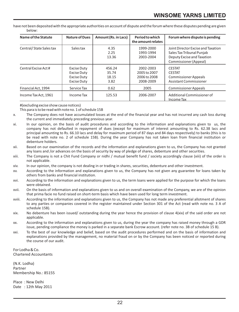have not been deposited with the appropriate authorities on account of dispute and the forum where these disputes pending are given below:

| Name of the Statute     | <b>Nature of Dues</b>                                                                | Amount (Rs. in Lacs)             | Period to which<br>the amount relates                  | Forum where dispute is pending                                                                                         |
|-------------------------|--------------------------------------------------------------------------------------|----------------------------------|--------------------------------------------------------|------------------------------------------------------------------------------------------------------------------------|
| Central/State Sales tax | Sales tax                                                                            | 4.35<br>2.25<br>13.36            | 1999-2000<br>1993-1994<br>2003-2004                    | Joint Director Excise and Taxation<br>Sales Tax Tribunal Puniab<br>Deputy Excise and Taxation<br>Commissioner (Appeal) |
| Central Excise Act #    | <b>Excise Duty</b><br><b>Excise Duty</b><br><b>Excise Duty</b><br><b>Excise Duty</b> | 456.24<br>35.74<br>18.15<br>3.82 | 2002-2003<br>2005 to 2007<br>2006 to 2008<br>2008-2009 | <b>CESTAT</b><br><b>CESTAT</b><br><b>Commissioner Appeals</b><br>Assistant Commissioner                                |
| Financial Act, 1994     | Service Tax                                                                          | 0.62                             | 2005                                                   | <b>Commissioner Appeals</b>                                                                                            |
| Income Tax Act, 1961    | Income Tax                                                                           | 125.53                           | 2006-2007                                              | Additional Commissioner of<br>Income Tax                                                                               |

#(excluding excise show cause notices)

This para is to be read with note no. 1 of schedule 15B

- x. The Company does not have accumulated losses at the end of the financial year and has not incurred any cash loss during the current and immediately preceding previous year.
- xi. In our opinion, on the basis of audit procedures and according to the information and explanations given to us, the company has not defaulted in repayment of dues (except for maximum of interest amounting to Rs. 62.38 lacs and principal amounting to Rs. 66.10 lacs and delay for maximum period of 87 days and 84 days respectively) to banks (this is to be read with note no. 2 of schedule 15B). During the year Company has not taken loan from financial institution or debenture holders.
- xii. Based on our examination of the records and the information and explanations given to us, the Company has not granted any loans and /or advances on the basis of security by way of pledge of shares, debenture and other securities.
- xiii. The Company is not a Chit Fund Company or nidhi / mutual benefit fund / society accordingly clause (xiii) of the order is not applicable.
- xiv. In our opinion, the company is not dealing in or trading in shares, securities, debenture and other investment.
- xv. According to the information and explanations given to us, the Company has not given any guarantee for loans taken by others from banks and financial institution.
- xvi. According to the information and explanations given to us, the term loans were applied for the purpose for which the loans were obtained.
- xvii. On the basis of information and explanations given to us and on overall examination of the Company, we are of the opinion that prima facie no fund raised on short-term basis which have been used for long term investment.
- xviii. According to the information and explanations given to us, the Company has not made any preferential allotment of shares to any parties or companies covered in the register maintained under Section 301 of the Act (read with note no. 3 A of schedule 15B).
- xix. No debenture has been issued/ outstanding during the year hence the provision of clause 4(xix) of the said order are not applicable.
- xx. According to the information and explanations given to us, during the year the company has raised money through a GDR issue, pending compliance the money is parked in a separate bank Escrow account. (refer note no. 3B of schedule 15 B).
- xxi. To the best of our knowledge and belief, based on the audit procedures performed and on the basis of information and explanations provided by the management, no material fraud on or by the Company has been noticed or reported during the course of our audit.

For Lodha & Co. Chartered Accountants

(N.K. Lodha) Partner Membership No.: 85155

Place : New Delhi Date : 12th May 2011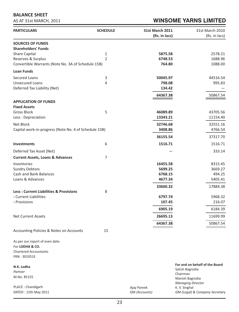## **BALANCE SHEET**

AS AT 31st MARCH, 2011

# **WINSOME YARNS LIMITED**

| <b>PARTICULARS</b>                                                         | <b>SCHEDULE</b> | <b>31st March 2011</b> | 31st March 2010                                   |
|----------------------------------------------------------------------------|-----------------|------------------------|---------------------------------------------------|
|                                                                            |                 | (Rs. in lacs)          | (Rs. in lacs)                                     |
| <b>SOURCES OF FUNDS</b>                                                    |                 |                        |                                                   |
| <b>Shareholders' Funds</b>                                                 |                 |                        |                                                   |
| Share Capital                                                              | 1               | 5875.58                | 2578.21                                           |
| Reserves & Surplus                                                         | $\overline{2}$  | 6748.53                | 1688.96                                           |
| Convertible Warrants (Note No. 3A of Schedule 15B)                         |                 | 764.80                 | 1088.00                                           |
| <b>Loan Funds</b>                                                          |                 |                        |                                                   |
| <b>Secured Loans</b>                                                       | 3               | 50045.97               | 44516.54                                          |
| <b>Unsecured Loans</b>                                                     | 4               | 798.08                 | 995.83                                            |
| Deferred Tax Liability (Net)                                               |                 | 134.42                 |                                                   |
|                                                                            |                 | 64367.38               | 50867.54                                          |
| <b>APPLICATION OF FUNDS</b>                                                |                 |                        |                                                   |
| <b>Fixed Assets</b>                                                        |                 |                        |                                                   |
| <b>Gross Block</b><br>Less: Depreciation                                   | 5               | 46089.89<br>13343.21   | 43705.56<br>11154.40                              |
|                                                                            |                 |                        |                                                   |
| Net Block                                                                  |                 | 32746.68               | 32551.16<br>4766.54                               |
| Capital work-in-progress (Note No. 4 of Schedule 15B)                      |                 | 3408.86                |                                                   |
|                                                                            |                 | 36155.54               | 37317.70                                          |
| <b>Investments</b>                                                         | 6               | 1516.71                | 1516.71                                           |
| Deferred Tax Asset (Net)                                                   |                 |                        | 333.14                                            |
| <b>Current Assets, Loans &amp; Advances</b>                                | 7               |                        |                                                   |
| Inventories                                                                |                 | 16455.58               | 8315.45                                           |
| <b>Sundry Debtors</b>                                                      |                 | 5699.25                | 3669.27                                           |
| Cash and Bank Balances                                                     |                 | 6768.15                | 494.25                                            |
| Loans & Advances                                                           |                 | 4677.34                | 5405.41                                           |
|                                                                            |                 | 33600.32               | 17884.38                                          |
| <b>Less: Current Liabilities &amp; Provisions</b><br>- Current Liabilities | 8               |                        |                                                   |
| - Provisions                                                               |                 | 6797.74<br>107.45      | 5968.32<br>216.07                                 |
|                                                                            |                 |                        |                                                   |
|                                                                            |                 | 6905.19                | 6184.39                                           |
| <b>Net Current Assets</b>                                                  |                 | 26695.13               | 11699.99                                          |
|                                                                            |                 | 64367.38               | 50867.54                                          |
| Accounting Policies & Notes on Accounts                                    | 15              |                        |                                                   |
|                                                                            |                 |                        |                                                   |
| As per our report of even date.<br>For LODHA & CO.                         |                 |                        |                                                   |
| <b>Chartered Accountants</b>                                               |                 |                        |                                                   |
| FRN: 301051E                                                               |                 |                        |                                                   |
|                                                                            |                 |                        |                                                   |
| N.K. Lodha                                                                 |                 |                        | For and on behalf of the Board<br>Satish Bagrodia |
| Partner                                                                    |                 |                        | Chairman                                          |
| M.No. 85155                                                                |                 |                        | Manish Bagrodia                                   |
| PLACE: Chandigarh                                                          |                 | Ajay Pareek            | <b>Managing Director</b><br>K. V. Singhal         |
| DATED: 12th May 2011                                                       |                 | GM (Accounts)          | GM (Legal) & Company Secretary                    |
|                                                                            |                 |                        |                                                   |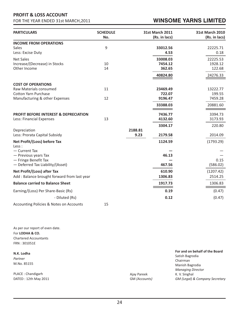# **PROFIT & LOSS ACCOUNT**

FOR THE YEAR ENDED 31st MARCH,2011

# **WINSOME YARNS LIMITED**

| <b>PARTICULARS</b>                                       | <b>SCHEDULE</b><br>No. |         | <b>31st March 2011</b><br>(Rs. in lacs) | <b>31st March 2010</b><br>(Rs. in lacs) |
|----------------------------------------------------------|------------------------|---------|-----------------------------------------|-----------------------------------------|
| <b>INCOME FROM OPERATIONS</b>                            |                        |         |                                         |                                         |
| <b>Sales</b>                                             | 9                      |         | 33012.56                                | 22225.71                                |
| Less: Excise Duty                                        |                        |         | 4.53                                    | 0.18                                    |
| <b>Net Sales</b>                                         |                        |         | 33008.03                                | 22225.53                                |
| Increase/(Decrease) in Stocks                            | 10                     |         | 7454.12                                 | 1928.12                                 |
| Other Income                                             | 14                     |         | 362.65                                  | 122.68                                  |
|                                                          |                        |         | 40824.80                                | 24276.33                                |
| <b>COST OF OPERATIONS</b>                                |                        |         |                                         |                                         |
| Raw Materials consumed                                   | 11                     |         | 23469.49                                | 13222.77                                |
| <b>Cotton Yarn Purchase</b>                              |                        |         | 722.07                                  | 199.55                                  |
| Manufacturing & other Expenses                           | 12                     |         | 9196.47                                 | 7459.28                                 |
|                                                          |                        |         | 33388.03                                | 20881.60                                |
| <b>PROFIT BEFORE INTEREST &amp; DEPRECIATION</b>         |                        |         | 7436.77                                 | 3394.73                                 |
| Less: Financial Expenses                                 | 13                     |         | 4132.60                                 | 3173.93                                 |
|                                                          |                        |         | 3304.17                                 | 220.80                                  |
| Depreciation                                             |                        | 2188.81 |                                         |                                         |
| Less: Prorata Capital Subsidy                            |                        | 9.23    | 2179.58                                 | 2014.09                                 |
| Net Profit/(Loss) before Tax<br>Less :                   |                        |         | 1124.59                                 | (1793.29)                               |
| - Current Tax                                            |                        |         |                                         |                                         |
| - Previous years Tax                                     |                        |         | 46.13                                   |                                         |
| - Fringe Benefit Tax<br>- Deferred Tax Liability/(Asset) |                        |         | 467.56                                  | 0.15<br>(586.02)                        |
|                                                          |                        |         |                                         |                                         |
| Net Profit/(Loss) after Tax                              |                        |         | 610.90                                  | (1207.42)                               |
| Add: Balance brought forward from last year              |                        |         | 1306.83                                 | 2514.25                                 |
| <b>Balance carried to Balance Sheet</b>                  |                        |         | 1917.73                                 | 1306.83                                 |
| Earning/(Loss) Per Share-Basic (Rs)                      |                        |         | 0.19                                    | (0.47)                                  |
| - Diluted (Rs)                                           |                        |         | 0.12                                    | (0.47)                                  |
| <b>Accounting Policies &amp; Notes on Accounts</b>       | 15                     |         |                                         |                                         |

As per our report of even date. For **LODHA & CO.** Chartered Accountants FRN : 301051E

Ajay Pareek GM *(Accounts)* **For and on behalf of the Board** Satish Bagrodia Chairman Manish Bagrodia *Managing Director* K. V. Singhal *GM (Legal) & Company Secretary* **N.K. Lodha** *Partner* M.No. 85155 PLACE : Chandigarh DATED : 12th May 2011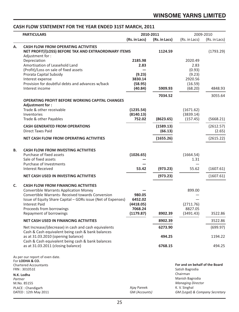## **CASH FLOW STATEMENT FOR THE YEAR ENDED 31ST MARCH, 2011**

|         | <b>PARTICULARS</b>                                                                                                                                                                                                                                                                              |                                                            | 2010-2011            |                                                                                                              | 2009-2010              |
|---------|-------------------------------------------------------------------------------------------------------------------------------------------------------------------------------------------------------------------------------------------------------------------------------------------------|------------------------------------------------------------|----------------------|--------------------------------------------------------------------------------------------------------------|------------------------|
|         |                                                                                                                                                                                                                                                                                                 | (Rs. in Lacs)                                              | (Rs. in Lacs)        | (Rs. in Lacs)                                                                                                | (Rs. in Lacs)          |
| А.      | <b>CASH FLOW FROM OPERATING ACTIVITIES</b><br>NET PROFIT/(LOSS) BEFORE TAX AND EXTRAORDINARY ITEMS                                                                                                                                                                                              |                                                            | 1124.59              |                                                                                                              | (1793.29)              |
|         | Adjustment for :<br>Depreciation<br>Amortisation of Leasehold Land<br>(Profit)/Loss on sale of fixed assets<br>Prorata Capital Subsidy<br>Interest expense<br>Provision for doubtful debts and advances w/back<br>Interest income                                                               | 2185.98<br>2.83<br>(9.23)<br>3830.14<br>(58.95)<br>(40.84) | 5909.93              | 2020.49<br>2.83<br>(0.93)<br>(9.23)<br>2920.56<br>(16.59)<br>(68.20)                                         | 4848.93                |
|         |                                                                                                                                                                                                                                                                                                 |                                                            | 7034.52              |                                                                                                              | 3055.64                |
|         | <b>OPERATING PROFIT BEFORE WORKING CAPITAL CHANGES</b><br>Adjustment for:<br>Trade & other receivable<br>Inventories<br>Trade & other Payables                                                                                                                                                  | (1235.54)<br>(8140.13)<br>752.02                           | (8623.65)            | (1671.62)<br>(3839.14)<br>(157.45)                                                                           | (5668.21)              |
|         | <b>CASH GENERATED FROM OPERATIONS</b>                                                                                                                                                                                                                                                           |                                                            | (1589.13)            |                                                                                                              | (2612.57)              |
|         | <b>Direct Taxes Paid</b>                                                                                                                                                                                                                                                                        |                                                            | (66.13)              |                                                                                                              | (2.65)                 |
|         | NET CASH FLOW FROM OPERATING ACTIVITIES                                                                                                                                                                                                                                                         |                                                            | (1655.26)            |                                                                                                              | (2615.22)              |
| В.      | <b>CASH FLOW FROM INVESTING ACTIVITIES</b><br>Purchase of fixed assets<br>Sale of fixed assets<br>Purchase of Investments<br><b>Interest Received</b><br>NET CASH USED IN INVESTING ACTIVITIES                                                                                                  | (1026.65)<br>53.42                                         | (973.23)<br>(973.23) | (1664.54)<br>1.31<br>55.62                                                                                   | (1607.61)<br>(1607.61) |
| C.      | <b>CASH FLOW FROM FINANCING ACTIVITIES</b><br><b>Convertible Warrants Application Money</b><br>Convertible Warrants- Received towards Conversion<br>Issue of Equity Share Capital - GDRs issue (Net of Expenses)<br><b>Interest Paid</b><br>Proceeds from borrowings<br>Repayment of borrowings | 980.05<br>6452.02<br>(4418.05)<br>7068.24<br>(1179.87)     | 8902.39              | 899.00<br>(2711.76)<br>8827.05<br>(3491.43)                                                                  | 3522.86                |
|         | <b>NET CASH USED IN FINANCING ACTIVITIES</b>                                                                                                                                                                                                                                                    |                                                            | 8902.39              |                                                                                                              | 3522.86                |
|         | Net Increase/(decrease) in cash and cash equivalents                                                                                                                                                                                                                                            |                                                            | 6273.90              |                                                                                                              | (699.97)               |
|         | Cash & Cash equivalent being cash & bank balances<br>as at 31.03.2010 (opening balance)<br>Cash & Cash equivalent being cash & bank balances<br>as at 31.03.2011 (closing balance)                                                                                                              |                                                            | 494.25<br>6768.15    |                                                                                                              | 1194.22<br>494.25      |
| Partner | As per our report of even date.<br>For LODHA & CO.<br><b>Chartered Accountants</b><br>FRN: 301051E<br>N.K. Lodha<br>M.No. 85155                                                                                                                                                                 |                                                            |                      | For and on behalf of the Board<br>Satish Bagrodia<br>Chairman<br>Manish Bagrodia<br><b>Managing Director</b> |                        |

Ajay Pareek GM *(Accounts)* K. V. Singhal

*GM (Legal) & Company Secretary*

PLACE : Chandigarh DATED : 12th May 2011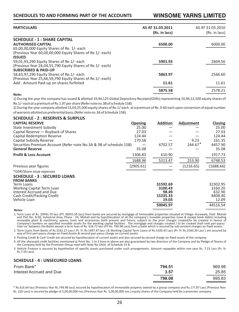## **WINSOME YARNS LIMITED**

| <b>PARTICULARS</b>                                                                                                                                                          | AS AT 31.03.2011<br>(Rs. in lacs) | AS AT 31.03.2010<br>(Rs. in lacs) |
|-----------------------------------------------------------------------------------------------------------------------------------------------------------------------------|-----------------------------------|-----------------------------------|
| <b>SCHEDULE - 1 : SHARE CAPITAL</b><br><b>AUTHORISED CAPITAL</b><br>65,00,00,000 Equity Shares of Re. 1/- each<br>(Previous Year 60,00,00,000 Equity Shares of Re.1/- each) | 6500.00                           | 6000.00                           |
| <b>ISSUED</b><br>59,01,93,290 Equity Shares of Re.1/- each<br>(Previous Year 26,04,55,790 Equity Shares of Re.1/- each)                                                     | 5901.93                           | 2604.56                           |
| <b>SUBSCRIBED &amp; PAID-UP</b><br>58,63,97,290 Equity Shares of Re.1/- each<br>(Previous Year 25,66,59,790 Equity Shares of Re.1/- each)                                   | 5863.97                           | 2566.60                           |
| Add : Amount Paid-up on shares forfeited                                                                                                                                    | 11.61                             | 11.61                             |
| Note:                                                                                                                                                                       | 5875.58                           | 2578.21                           |

1) During the year the company has issued & allotted 19,94,125 Global Depository Receipts(GDRs) representing 19,94,12,500 equity shares of Re.1/- each at a premium of Rs.1.97 per share (Refer note no.3B of schedule 15B)

2) During the year company allotted 13,03,25,000 equity shares of Re.1/-each at a premium of Re. 0.60 each upon conversion of equal number of warrants allotted on preferential basis.(Refer note no.3A of Schedule 15B)

## **SCHEDULE - 2 : RESERVES & SURPLUS CAPITAL RESERVE Opening Addition Adjustment Closing** State Investment Subsidy 25.00 — — 25.00 Capital Reserve — Buyback of Shares 27.03 — 27.03 — 27.03 — 27.03 27.03 27.03 — 27.03 27.03 27.03 27.03 27.03 27.03 27.03 27.03 27.03 27.03 27.03 27.03 27.03 27.03 27.03 27.03 27.03 27.03 27.03 27.03 27.03 27.03 27.03 27.0  $\frac{24.44}{20.58}$  Capital Redemption Reserve 124.44 and  $\frac{124.44}{20.58}$  and  $\frac{24.44}{20.58}$  and  $\frac{24.44}{20.58}$  and  $\frac{24.44}{20.58}$  and  $\frac{24.44}{20.58}$  and  $\frac{24.44}{20.58}$  and  $\frac{24.44}{20.58}$  and  $\frac{24.44}{$ Capital Subsidy Reserve 170.58 — 9.23 161.35 Securities Premium Account (Refer note No.3A & 3B of schedule 15B)  $-$  4702.57 244.67 4457.90<br>
General Reserve  $-$  35.08  $-$  457.08 **General Reserve** 35.08 — — 35.08 **Profit & Loss Account** 1306.83 610.90 1917.73 1688.96 5313.47 253.90 6748.53 Previous year figures (2905.61) — (1216.65) (1688.66) \*GDR/Share issue expenses **SCHEDULE - 3 : SECURED LOANS FROM BANKS**<br>Term Loans Term Loans **31592.69** 32302.95 Working Capital Term Loan **3100.43** 3160.20 Interest Accrued and Due **98.49** 632.90 Cash Credit/Packing Credit **15235.33** 8408.40 Vehicle Loan **19.03** 12.09 **50045.97** 44516.54  $244.67*$

**Notes:**

1. Term Loan of Rs. 29943.70 lacs (PY. 30055.50 lacs) from banks are secured by mortgage of Immovable properties situated at Village- Kurawala, Distt. Mohali<br>and Plot No. B-58, Industrial Area, Phase - VII, Mohali and by h moveable plant & machinery, spares, tools and accessories both present and future, subject to the prior charges created/to be created in favour of Company's bankers on specified movable assets for the working capital facilities . The mortgage and charges created / to be created shall rank pari-passu '<br>inter-se' between the Banks except a term loan of Rs. 616.72 lacs

2. Term Loans from Banks of Rs.1032.27 Lacs ( Pr. Yr. Rs.1497.47 lacs ) & Working Capital Term Loans of Rs.3100.43 Lacs (Pr. Yr. Rs.3160.20 Lacs ) are secured by way of first pari-passu charge on Fixed Assets & second pari-passu charge on current assets.

3. Packing Credit & Cash Credit are secured by hypothecation of current assets and also secured by second charge on fixed assets of the company.

4. All the aforesaid credit facilities mentioned at Point No. 1 to 3 here-in-above are also guaranteed by two directors of the Company and by Pledge of Shares of the Company held by the Promoter Group read with Note No 2A(ii) of Schedule 15 B.

5. Vehicle Finance is secured by hypothetion of specific assets purchased under such arrangements. Amount repayable within one year Rs. 7.23 Lacs (Pr. Yr. Rs.7.50 Lacs)

## **SCHEDULE - 4 : UNSECURED LOANS**

| From Bank*               | 794.51 | 969.98 |
|--------------------------|--------|--------|
| Interest Accrued and Due | 3.57   | 25.85  |
|                          | 798.08 | 995.83 |

\* Rs.616.64 lacs (Previous Year Rs.749.98 lacs) secured by hypothecation of immovable property owned by a group company and Rs.177.87 Lacs (Previous Year Rs. 220 Lacs) is secured by pledge of 5,00,00,000 nos.(Previous Year Rs. 5,00,00,000 nos.) equity shares of the Company held be a promoter company.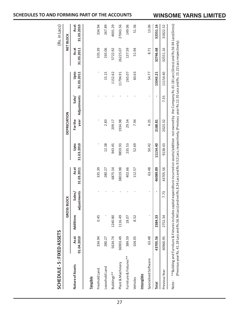|                        |                    |           | <b>GROSS BLOCK</b>    |                    |                    | <b>DEPRECIATION</b>    |                      |                    |                    | NET BLOCK          |
|------------------------|--------------------|-----------|-----------------------|--------------------|--------------------|------------------------|----------------------|--------------------|--------------------|--------------------|
| Nature of Assets       | Asat<br>01.04.2010 | Additions | adjustments<br>Sales/ | Asat<br>31.03.2011 | Upto<br>31.03.2010 | year<br><b>For the</b> | Adjustments<br>Sale/ | Upto<br>31.03.2011 | 31.03.2011<br>Asat | 31.03.2010<br>Asat |
| <b>Tangible</b>        |                    |           |                       |                    |                    |                        |                      |                    |                    |                    |
| Freehold Land          | 334.94             | 0.45      |                       | 335.39             |                    |                        |                      |                    | 335.39             | 334.94             |
| Leasehold Land         | 280.27             |           |                       | 280.27             | 12.38              | 2.83                   |                      | 15.21              | 265.06             | 267.89             |
| Buildings**            | 5634.74            | 1240.80   |                       | 6875.54            | 943.45             | 209.17                 |                      | 1152.62            | 5722.92            | 4691.29            |
| Plant & Machinery      | 36903.49           | 1116.49   |                       | 38019.98           | 9859.93            | 1934.98                |                      | 11794.91           | 26225.07           | 27043.56           |
| Furniture & Fixtures** | 384.59             | 18.07     |                       | 402.66             | 235.53             | 29.54                  |                      | 265.07             | 137.59             | 149.06             |
| Vehicles               | 104.05             | 8.52      |                       | 112.57             | 52.69              | 7.94                   |                      | 60.63              | 51.94              | 51.36              |
| Intangible             |                    |           |                       |                    |                    |                        |                      |                    |                    |                    |
| Specialised Software   | 63.48              | ı         | ı                     | 63.48              | 50.42              | 4.35                   |                      | 54.77              | 8.71               | 13.06              |
| Total                  | 43705.56           | 2384.33   | ı                     | 46089.89           | 11154.40           | 2188.81                |                      | 13343.21           | 32746.68           | 32551.16           |
| Previous Year          | 40960.95           | 2752.34   | 7.73                  | 43705.56           | 9138.43            | 2023.32                | 7.35                 | 11154.40           | 32551.16           | 31822.52           |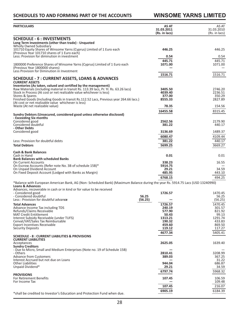## **WINSOME YARNS LIMITED**

| PARTICULARS                                                                                                                                                                                                                     | AS AT<br>31.03.2011<br>(Rs. in lacs)  | AS AT<br>31.03.2010<br>(Rs. in lacs)  |
|---------------------------------------------------------------------------------------------------------------------------------------------------------------------------------------------------------------------------------|---------------------------------------|---------------------------------------|
| <b>SCHEDULE - 6 : INVESTMENTS</b><br>Long Term Investments (other than trade) - Unquoted                                                                                                                                        |                                       |                                       |
| <b>Wholly Owned Subsidiary</b><br>101710 Equity Shares of Winsome Yarns (Cyprus) Limited of 1 Euro each<br>(Previous Year 101710 shares of 1 Euro each)                                                                         | 446.25                                | 446.25                                |
| Less: Provision for diminution in investment                                                                                                                                                                                    | 0.54                                  | 0.54                                  |
| 1800000 Preference Shares of Winsome Yarns (Cyprus) Limited of 1 Euro each<br>(Previous Year 1800000 shares)<br>Less Provision for Diminution in Investment                                                                     | 445.71<br>1071.00                     | 445.71<br>1071.00                     |
| SCHEDULE - 7 : CURRENT ASSETS, LOANS & ADVANCES<br><b>CURRENT ASSETS</b>                                                                                                                                                        | 1516.71                               | 1516.71                               |
| Inventories (As taken, valued and certified by the management)<br>Raw Materials (including material in transit Rs. 113.39 lacs, Pr. Yr. Rs. 63.26 lacs)<br>Stock in Process (At cost or net realizable value whichever is less) | 3405.50<br>4039.40                    | 2746.20<br>2236.51                    |
| Stores & Spares<br>Finished Goods (Including Goods in transit Rs.112.52 Lacs, Previous year 264.66 lacs.)<br>(At cost or net realizable value whichever is less)                                                                | 377.00<br>8555.33                     | 350.29<br>2827.89                     |
| Waste (At net realizable value)                                                                                                                                                                                                 | 78.35<br>16455.58                     | 154.56<br>8315.45                     |
| Sundry Debtors (Unsecured, considered good unless otherwise disclosed)<br>- Exceeding Six months                                                                                                                                |                                       |                                       |
| Considered good<br>Considered doubtful<br>- Other Debts                                                                                                                                                                         | 2562.56<br>381.22                     | 2179.90<br>440.17                     |
| Considered good                                                                                                                                                                                                                 | 3136.69<br>6080.47                    | 1489.37                               |
| Less: Provision for doubtful debts<br><b>Total Debtors</b>                                                                                                                                                                      | 381.22<br>5699.25                     | 4109.44<br>440.17<br>3669.27          |
| <b>Cash &amp; Bank Balances</b><br>Cash in Hand                                                                                                                                                                                 | 0.01                                  | 0.01                                  |
| <b>Bank Balances with scheduled Banks</b><br><b>On Current Accounts</b>                                                                                                                                                         | 338.23                                | 16.55                                 |
| On Escrow Accounts (Refer note No. 3B of schedule 15B)*<br>On Unpaid Dividend Account                                                                                                                                           | 5914.75<br>29.21                      | 34.59                                 |
| On Fixed Deposit Account (Lodged with Banks as Margin)                                                                                                                                                                          | 485.95<br>6768.15                     | 443.10<br>494.25                      |
| *Balance with European American Bank, AG (Non-Scheduled Bank) (Maximum Balance during the year Rs. 5914.75 Lacs (USD 13240990)<br><b>Loans &amp; Advances</b>                                                                   |                                       |                                       |
| Advances, recoverable in cash or in kind or for value to be received<br>- Considered good<br>- Considered doubtful                                                                                                              | 1726.57<br>56.25                      | 1470.45<br>56.25                      |
| Less: Provision for doubtful advance<br><b>Total Advances</b>                                                                                                                                                                   | (56.25)<br>1726.57                    | (56.25)<br>1470.45                    |
| Advance Income Tax including TDS<br>Refunds/Claims Receivable<br><b>MAT Credit Entitlement</b>                                                                                                                                  | 240.19<br>577.90<br>50.43             | 301.57<br>821.92<br>99.13             |
| Interest Subsidy Receivable (under TUFS)<br>Cenvat/VAT/Sales Tax Reimbursable<br><b>Export Incentives Receivable</b><br><b>Security Deposits</b>                                                                                | 1313.21<br>190.32<br>459.60<br>119.12 | 1291.74<br>433.83<br>869.50<br>117.27 |
| <b>SCHEDULE - 8 : CURRENT LIABILITIES &amp; PROVISIONS</b>                                                                                                                                                                      | 4677.34                               | 5405.41                               |
| <b>CURRENT LIABILITIES</b><br>Acceptances<br><b>Sundry Creditors</b>                                                                                                                                                            | 2625.05                               | 1639.40                               |
| - Due to Micro, Small and Medium Enterprises (Note no. 19 of Schedule 15B)<br>- Others<br><b>Advance from Customers</b>                                                                                                         | 2810.41<br>389.03                     | 3208.99<br>367.25                     |
| Interest Accrued but not due on Loans<br><b>Other Liabilities</b><br>Unpaid Dividend*                                                                                                                                           | 944.04<br>29.21                       | 31.22<br>686.87<br>34.59              |
| <b>PROVISIONS</b><br><b>For Retirement Benefits</b>                                                                                                                                                                             | 6797.74<br>107.45                     | 5968.32<br>106.59                     |
| For Income Tax                                                                                                                                                                                                                  | 107.45                                | 109.48<br>216.07                      |
| *shall be credited to Investor's Education and Protection Fund when due.                                                                                                                                                        | 6905.19                               | 6184.39                               |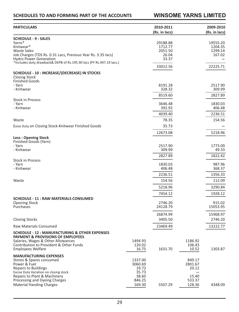## **WINSOME YARNS LIMITED**

| <b>PARTICULARS</b>                                                                 |                   | 2010-2011<br>(Rs. in lacs) |                   | 2009-2010<br>(Rs. in lacs) |
|------------------------------------------------------------------------------------|-------------------|----------------------------|-------------------|----------------------------|
| <b>SCHEDULE - 9 : SALES</b>                                                        |                   |                            |                   |                            |
| Yarns*                                                                             |                   | 29188.88                   |                   | 19555.20                   |
| Knitwear*                                                                          |                   | 1712.77                    |                   | 1204.35                    |
| <b>Waste Sales</b><br>Job Charges (TDS Rs. 0.31 Lacs, Previous Year Rs. 3.35 lacs) |                   | 2051.50<br>26.04           |                   | 1299.14<br>167.02          |
| <b>Hydro Power Generation</b>                                                      |                   | 33.37                      |                   |                            |
| *Includes duty drawback& DEPB of Rs.195.90 lacs (PY Rs.947.19 lacs.)               |                   | 33012.56                   |                   | 22225.71                   |
| SCHEDULE - 10 : INCREASE/(DECREASE) IN STOCKS                                      |                   |                            |                   |                            |
| <b>Closing Stock</b>                                                               |                   |                            |                   |                            |
| <b>Finished Goods</b><br>- Yarn                                                    |                   | 8191.28                    |                   | 2517.90                    |
| - Knitwear                                                                         |                   | 328.32                     |                   | 309.99                     |
|                                                                                    |                   | 8519.60                    |                   | 2827.89                    |
| <b>Stock in Process</b>                                                            |                   |                            |                   |                            |
| - Yarn                                                                             |                   | 3646.48                    |                   | 1830.03                    |
| - Knitwear                                                                         |                   | 392.92                     |                   | 406.48                     |
|                                                                                    |                   | 4039.40                    |                   | 2236.51                    |
| Waste                                                                              |                   | 78.35                      |                   | 154.56                     |
| Exise Duty on Closing Stock-Knitwear Finished Goods                                |                   | 35.73                      |                   |                            |
|                                                                                    |                   | 12673.08                   |                   | 5218.96                    |
| <b>Less: Opening Stock</b><br>Finished Goods (Yarn)                                |                   |                            |                   |                            |
| - Yarn                                                                             |                   | 2517.90                    |                   | 1773.09                    |
| - Knitwear                                                                         |                   | 309.99                     |                   | 49.33                      |
|                                                                                    |                   | 2827.89                    |                   | 1822.42                    |
| <b>Stock in Process</b><br>- Yarn                                                  |                   | 1830.03                    |                   | 987.96                     |
| - Knitwear                                                                         |                   | 406.48                     |                   | 368.37                     |
|                                                                                    |                   | 2236.51                    |                   | 1356.33                    |
| Waste                                                                              |                   | 154.56                     |                   | 112.09                     |
|                                                                                    |                   |                            |                   |                            |
|                                                                                    |                   | 5218.96                    |                   | 3290.84                    |
|                                                                                    |                   | 7454.12                    |                   | 1928.12                    |
| <b>SCHEDULE - 11 : RAW MATERIALS CONSUMED</b>                                      |                   |                            |                   |                            |
| <b>Opening Stock</b><br>Purchases                                                  |                   | 2746.20<br>24128.79        |                   | 915.02<br>15053.95         |
|                                                                                    |                   | 26874.99                   |                   | 15968.97                   |
| <b>Closing Stocks</b>                                                              |                   | 3405.50                    |                   | 2746.20                    |
| <b>Raw Materials Consumed</b>                                                      |                   | 23469.49                   |                   | 13222.77                   |
| <b>SCHEDULE - 12: MANUFACTURING &amp; OTHER EXPENSES</b>                           |                   |                            |                   |                            |
| <b>PAYMENT &amp; PROVISIONS OF EMPLOYEES</b>                                       |                   |                            |                   |                            |
| Salaries, Wages & Other Allowances<br>Contribution to Provident & Other Funds      | 1494.93<br>120.02 |                            | 1186.92<br>106.43 |                            |
| <b>Employees Welfare</b>                                                           | 16.75             | 1631.70                    | 10.52             | 1303.87                    |
| <b>MANUFACTURING EXPENSES</b>                                                      |                   |                            |                   |                            |
| Stores & Spares consumed                                                           | 1337.00           |                            | 849.17            |                            |
| Power & Fuel                                                                       | 3060.69           |                            | 2801.67           |                            |
| <b>Repairs to Buildings</b><br>Excise Duty Variation on closing stock              | 19.72<br>35.73    |                            | 20.12             |                            |
| Repairs to Plant & Machinery                                                       | 38.60             |                            | 15.40             |                            |
| Processing and Dyeing Charges                                                      | 846.25            |                            | 533.37            |                            |
| <b>Material Handing Charges</b>                                                    | 169.30            | 5507.29                    | 128.36            | 4348.09                    |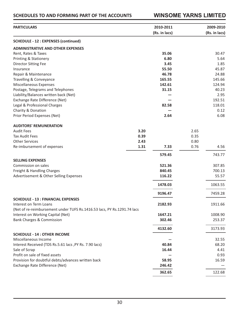## **SCHEDULES TO AND FORMING PART OF THE ACCOUNTS WINSOME YARNS LIMITED**

| <b>PARTICULARS</b>                                                      |      | 2010-2011     |      | 2009-2010     |
|-------------------------------------------------------------------------|------|---------------|------|---------------|
|                                                                         |      | (Rs. in lacs) |      | (Rs. in lacs) |
| <b>SCHEDULE - 12 : EXPENSES (continued)</b>                             |      |               |      |               |
| <b>ADMINISTRATIVE AND OTHER EXPENSES</b>                                |      |               |      |               |
| Rent, Rates & Taxes                                                     |      | 35.06         |      | 30.47         |
| <b>Printing &amp; Stationery</b>                                        |      | 6.80          |      | 5.64          |
| <b>Director Sitting Fee</b>                                             |      | 3.45          |      | 1.85          |
| Insurance                                                               |      | 55.50         |      | 45.87         |
| Repair & Maintenance                                                    |      | 46.78         |      | 24.88         |
| Travelling & Conveyance                                                 |      | 165.55        |      | 145.66        |
| Miscellaneous Expenses                                                  |      | 142.61        |      | 124.94        |
| Postage, Telegrams and Telephones                                       |      | 31.15         |      | 40.23         |
| Liability/Balances written back (Net)                                   |      |               |      | 2.95          |
| Exchange Rate Difference (Net)                                          |      |               |      | 192.51        |
| Legal & Professional Charges                                            |      | 82.58         |      | 118.01        |
| Charity & Donation                                                      |      |               |      | 0.12          |
| Prior Period Expenses (Net)                                             |      | 2.64          |      | 6.08          |
|                                                                         |      |               |      |               |
| <b>AUDITORS' REMUNERATION</b>                                           |      |               |      |               |
| <b>Audit Fees</b>                                                       | 3.20 |               | 2.65 |               |
| <b>Tax Audit Fees</b>                                                   | 0.39 |               | 0.35 |               |
| <b>Other Services</b>                                                   | 2.43 |               | 0.80 |               |
| Re-imbursement of expenses                                              | 1.31 | 7.33          | 0.76 | 4.56          |
|                                                                         |      | 579.45        |      | 743.77        |
| <b>SELLING EXPENSES</b>                                                 |      |               |      |               |
| Commission on sales                                                     |      | 521.36        |      | 307.85        |
| Freight & Handling Charges                                              |      | 840.45        |      | 700.13        |
| Advertisement & Other Selling Expenses                                  |      | 116.22        |      | 55.57         |
|                                                                         |      |               |      |               |
|                                                                         |      | 1478.03       |      | 1063.55       |
|                                                                         |      | 9196.47       |      | 7459.28       |
| <b>SCHEDULE - 13 : FINANCIAL EXPENSES</b>                               |      |               |      |               |
| Interest on Term Loans                                                  |      | 2182.93       |      | 1911.66       |
| (Net of re-reimbursement under TUFS Rs.1416.53 lacs, PY Rs.1291.74 lacs |      |               |      |               |
| Interest on Working Capital (Net)                                       |      | 1647.21       |      | 1008.90       |
| <b>Bank Charges &amp; Commission</b>                                    |      | 302.46        |      | 253.37        |
|                                                                         |      | 4132.60       |      | 3173.93       |
| <b>SCHEDULE - 14 : OTHER INCOME</b>                                     |      |               |      |               |
| Miscellaneous Income                                                    |      |               |      | 32.55         |
| Interest Received (TDS Rs.5.61 lacs , PY Rs. 7.90 lacs)                 |      | 40.84         |      | 68.20         |
| Sale of Scrap                                                           |      | 16.44         |      | 4.41          |
| Profit on sale of fixed assets                                          |      |               |      | 0.93          |
| Provision for doubtful debts/advances written back                      |      | 58.95         |      | 16.59         |
| Exchange Rate Difference (Net)                                          |      | 246.42        |      |               |
|                                                                         |      | 362.65        |      | 122.68        |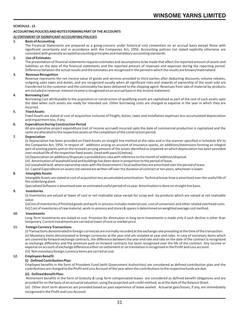## **SCHEDULE - 15**

## **ACCOUNTING POLICIES AND NOTES FORMING PART OF THE ACCOUNTS**

## **A) STATEMENT OF SIGNIFICANT ACCOUNTING POLICIES**

#### **1. Basis of Accounting**

The Financial Statements are prepared as a going-concern under historical cost convention on an accrual basis except those with significant uncertainty and in accordance with the Companies Act, 1956. Accounting policies not stated explicitly otherwise are consistent with generally accepted accounting principles and mandatory accounting standards.

#### **2. Use of Estimates**

The presentation of financial statements requires estimates and assumptions to be made that affect the reported amount of assets and liabilities on the date of the financial statements and the reported amount of revenues and expenses during the reporting period. Difference between the actual results and the estimates are recognised in the period in which the results are known/materialized.

#### **3. Revenue Recognition**

Revenue represents the net invoice value of goods and services provided to third parties after deducting discounts, volume rebates, outgoing sales taxes and duties, and are recognised usually when all significant risks and rewards of ownership of the asset sold are transferred to the customer and the commodity has been delivered to the shipping agent. Revenues from sale of material by-products are included in revenue. Interest income is recognised on an accrual basis in the income statement.

#### **4. Borrowing Cost**

Borrowing Cost attributable to the acquisition or construction of qualifying assets are capitalised as part of the cost of such assets upto the date when such assets are ready for intended use. Other borrowing costs are charged as expense in the year in which they are incurred.

#### **5. Fixed Assets**

Fixed Assets are stated at cost of acquisition inclusive of freight, duties, taxes and installation expenses less accumulated depreciation and impairment loss, if any.

## **6. Expenditure During Construction Period**

All pre-operative project expenditure (net of income accrued) incurred upto the date of commercial production is capitalized and the same are allocated to the respective assets on the completion of the construction period.

## **7. Depreciation**

(i) Depreciation has been provided on Fixed Assets on straight line method at the rates and in the manner specified in Schedule XIV to the Companies Act, 1956. In respect of additions arising on account of Insurance spares, on additions/extensions forming an integral part of existing plants and on the revised carrying amount of the assets identified as impaired on which depreciation has been provided over residual life of the respective fixed assets. (read with para (ii) below).

- (ii) Depreciation on additions/disposals is provided pro-rata with reference to the month of addition/disposal.
- (iii) Amortisation of leasehold land and buildings has been done in proportion to the period of lease.

(iv) Leasehold land, where ownership vests with the Government / local authorities are amortized over the period of lease.

(v) Capital Expenditure on assets not owned are written off over the duration of contract or ten years, whichever is lower.

#### **8. Intangible Assets**

Intangible Assets are stated at cost of acquisition less accumulated amortisation. Technical know-how is amortised over the useful life of the underlying plant.

Specialised Software is amortised over an estimated useful period of six year. Amortisation is done on straight line basis.

#### **9. Inventories**

(i) Inventories are valued at lower of cost or net realisable value except for scrap and by-products which are valued at net realisable value.

(ii)Cost of inventories of finished goods and work-in-process includes material cost, cost of conversion and other related overhead costs. (iii) Cost of inventories of raw material, work-in-process and stores & spares is determined on weighted average cost method.

## **10. Investments**

Long Term Investments are stated at cost. Provision for diminution in long term investments is made only if such decline is other than temporary. Current investments are carried at lower of cost or market price.

## **11. Foreign Currency Transactions**

(i) Transactions denominated in foreign currencies are normally recorded at the exchange rate prevailing at the time of the transaction. (ii) Monetary items denominated in foreign currencies at the year end are restated at year end rates. In case of monetary items which are covered by forward exchange contracts, the difference between the year end rate and rate on the date of the contract is recognised as exchange difference and the premium paid on forward contracts has been recognised over the life of the contract. Any income or expense on account of exchange difference either on settlement or on translation is recognised in the Profit and Loss account. (iii) Non monetary foreign currency items are carried at cost.

#### **12. Employees Benefit**

## **(i) Defined ContributionPlan:**

Employee benefits in the form of Provident Fund (with Government Authorities) are considered as defined contribution plan and the contributions are charged to the Profit and Loss Account of the year when the contributions to the respective funds are due.

## **(ii) Defined Benefit Plan:**

 Retirement benefits in the form of Gratuity & Long Term compensated leaves are considered as defined benefit obligations and are provided for on the basis of an actuarial valuation, using the projected unit credit method, as at the date of the Balance Sheet.

(iii) Other short term absences are provided based on past experience of leave availed. Actuarial gain/losses, if any, are immediately recognised in the Profit and Loss Account.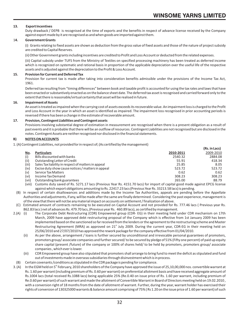**(Rs. in Lacs)**

## **13. Export Incentives**

Duty drawback / DEPB is recognised at the time of exports and the benefits in respect of advance license received by the Company against export made by it are recognised as and when goods are imported against them.

## 1**4. Government Grants**

(i) Grants relating to fixed assets are shown as deduction from the gross value of fixed assets and those of the nature of project subsidy are credited to Capital Reserves.

(ii) Other Government grants including incentives are credited to Profit and Loss Account or deducted from the related expenses.

(iii) Capital subsidy under TUFS from the Ministry of Textiles on specified processing machinery has been treated as deferred income which is recognized on systematic and rational basis in proportion of the applicable depreciation over the useful life of the respective assets and is adjusted against the depreciation to the Profit & Loss Account.

#### **15. Provision for Current and Deferred Tax**

Provision for current tax is made after taking into consideration benefits admissible under the provisions of the Income Tax Act, 1961.

Deferred tax resulting from "timing differences" between book and taxable profit is accounted for using the tax rates and laws that have been enacted or substantively enacted as on the balance sheet date. The deferred tax asset is recognised and carried forward only to the extent that there is reasonable/virtual certainty that asset will be realised in future.

## **16. Impairment of Assets**

An asset is treated as impaired when the carrying cost of assets exceeds its recoverable value. An impairment loss is charged to the Profit and Loss Account in the year in which an asset is identified as impaired. The impairment loss recognised in prior accounting periods is reversed if there has been a change in the estimate of recoverable amount.

#### **17. Provision, Contingent Liabilities and Contingent assets**

Provisions involving substantial degree of estimation in measurement are recognised when there is a present obligation as a result of past events and it is probable that there will be an outflow of resources. Contingent Liabilities are not recognised but are disclosed in the notes. Contingent Assets are neither recognised nor disclosed in the financial statements.

### **B) NOTES ON ACCOUNTS**

1. (A) Contingent Liabilities, not provided for in respect of; (As certified by the management)

|       |                                                     |           | (RS. In Lacs) |
|-------|-----------------------------------------------------|-----------|---------------|
| No.   | <b>Particulars</b>                                  | 2010-2011 | 2009-2010     |
| (i)   | Bills discounted with banks                         | 2540.32   | 2884.08       |
| (ii)  | Outstanding Letter of Credit                        | 55.91     | 418.34        |
| (iii) | Sales Tax liability in respect of matters in appeal | 25.85     | 8.05          |
| (iv)  | Excise duty show cause notices / matters in appeal  | 523.72    | 523.72        |
| (v)   | Service Tax Matters                                 | 0.62      | 0.62          |
| (vi)  | Income Tax Demand                                   | 308.23    | 308.23        |
| (vii) | Outstanding bank guarantees                         | 265.00    | 88.79         |

(viii) Customs duty saved of Rs. 5271.17 lacs (Previous Year Rs. 4151.70 lacs) for import of capital good made against EPCG license against which export obligations amounting to Rs. 22417.23 lacs (Previous Year Rs. 33213.58 lacs) is pending.

 (B) In respect of certain disallowances and additions made by the Income Tax Authorities, appeals are pending before the Appellate Authorities and adjustments, if any, will be made after the same are finally determined. Considering the past experience, management is of the view that there will not be any material impact on accounts on settlement / finalization of above.

- (C) Estimated amount of contracts remaining to be executed on Capital Account and not provided for Rs. 777.46 lacs ( Previous year Rs. 862.83 lacs) net of advances Rs. 479.70 lacs, (Previous year Rs. 460.89 lacs), as certified by management.<br>2.(A) (i) The Corporate Debt Restructuring (CDR) Empowered group (CDR-EG) in their meeting held u
- The Corporate Debt Restructuring (CDR) Empowered group (CDR- EG) in their meeting held under CDR mechanism on 17th March, 2009 have approved debt restructuring proposal of the Company which is effective from 1st January 2009 has been implemented based on the sanctioned so far received from the lenders or the agreement to the restructuring scheme and Master Restructuring Agreement (MRA) as approved on 21<sup>st</sup> July 2009. During the current year, CDR-EG in their meeting held on 25/06/2010 and 27/07/2010 has approved the rework package for the company effective from 01/04/2010.
	- (ii) As per the above, arrangement / loans is further secured by unconditional and irrevocable personal guarantees of promoters, promoters group/ associate companies and further secured/ to be secured by pledge of 51% (Fifty one percent) of paid up equity share capital (present /future) of the company or 100% of shares held/ to be held by promoters, promoters group/ associate companies , which ever is lower.
	- (iii) CDR Empowered group have also stipulated that promoters shall arrange to bring fund to meet the deficit as stipulated and fund out of investments made in overseas subsidiaries through disinvestment which is in process.
- (B) Certain covenants /conditions as stipulated in the CDR package is pending for compliance.
- 3. (A) In the EGM held on 5<sup>th</sup> February, 2010 shareholders of the Company have approved the issue of 25,10,00,000 nos. convertible warrant at Rs. 1.60 per warrant (including premium of Rs. 0.60 per warrant) on preferential allotment basis and have received aggregate amount of Rs.1004 lacs (total received Rs.1088 lacs) being applicable 25% (Re.0.40 on issue price of Rs. 1.60 per warrant, including premium of Re.0.60 per warrant) of such warrant and made the allotment of Convertible Warrant in Board of Directors meeting held on 19.02.2010 , with a conversion right of 18 months from the date of allotment of warrant. Further, during the year, warrant holder has exercised their rights of conversion of 130325000 warrants & balance amount comprising of 75% ( Rs 1.20 on the issue price of 1.60 per warrant) of such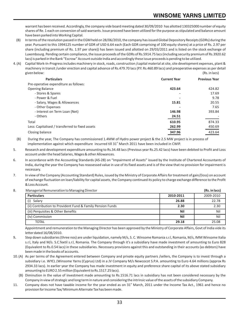warrant has been received.Accordingly, the company vide board meeting dated 30/09/2010 has allotted 130325000 number of equity shares of Re. 1 each on conversion of said warrants. Issue proceed have been utilized for the purpose as stipulated and balance amount have been parked into Working Capital.

- (B) In terms of the resolution passed in the EGM held on 28/06/2010, the company has issued Global Depository Receipts (GDRs) during the year. Pursuant to this 1994125 number of GDR of USD 6.64 each (Each GDR comprising of 100 equity shares) at a price of Rs. 2.97 per share (including premium of Rs. 1.97 per share)) has been issued and allotted on 29/03/2011 and is listed on the stock exchange of Luxembourg. Pending certain compliance, the issue proceeds of the GDRs of Rs.5914.75 lacs (including security premium of Rs.3920.62 lacs) is parked in the Bank "Escrow" Account outside India and accordingly these issue proceeds is pending to be utilized.
- 4. (A) Capital Work-In-Progress includes machinery in stock, roads, construction /capital material at site, site development expenses, plant & machinery in transit /under erection and capital advance of Rs.479.70 lacs (P.Y. Rs.460.89 lacs) and preoperative expenses as per detail given below: (Rs. in lacs)

| <b>Particulars</b>                              | <b>Current Year</b> | <b>Previous Year</b> |
|-------------------------------------------------|---------------------|----------------------|
| Pre-operative expenditure as follows:           |                     |                      |
| <b>Opening Balance</b>                          | 423.64              | 424.82               |
| - Stores & Spares                               | $\blacksquare$      | 17.69                |
| - Power & Fuel                                  | $\blacksquare$      | 9.78                 |
| - Salary, Wages & Allowances                    | 15.81               | 20.55                |
| - Other Expenses                                |                     | 7.65                 |
| - Interest on Term Loan (Net)                   | 146.98              | 393.84               |
| - Others                                        | 24.51               |                      |
| Total                                           | 610.95              | 874.33               |
| Less: Capitalised / transferred to fixed assets | 262.99              | 450.69               |
| Closing balance                                 | 347.96              | 423.64               |

 (B) During the year, The Company has commissioned 1.4MW of Hydro power project & the 2.5 MW project is in process of implementation against which expenditure incurred till 31<sup>st</sup> March 2011 have been included in CWIP.

- 5. Research and development expenditure amounting to Rs.34.48 lacs (Previous year Rs.25.42 lacs) have been debited to Profit and Loss account under the head Salaries, Wages & other Allowances.
- 6. In accordance with the Accounting Standards (AS-28) on "Impairment of Assets" issued by the Institute of Chartered Accountants of India, during the year the Company has reassessed value in use of its fixed assets and is of the view that no provision for impairment is necessary.
- 7. In view of the Company (Accounting Standard) Rules, issued by the Ministry of Corporate Affairs for treatment of gain/(loss) on account of exchange fluctuation on loan/liability for capital assets, the Company continued its policy to charge exchange difference to the Profit & Loss Account.
- 8. Managerial Remuneration to Managing Director **(Rs. in lacs)**

| Vidilagerial Neilluileration to Managhig Director          |           | (NS. III IdCS) |
|------------------------------------------------------------|-----------|----------------|
| <b>Particulars</b>                                         | 2010-2011 | 2009-2010      |
| (i) Salary                                                 | 26.88     | 22.78          |
| (ii) Contribution to Provident Fund & Family Pension Funds | 2.30      | 2.30           |
| (iii) Perquisites & Other Benefits                         | Nil       | Nil            |
| (iv) Commission                                            | Nil       | Nil            |
| <b>TOTAL</b>                                               | 29.18     | 25.08          |

Appointment and remuneration to the Managing Director has been approved by the Ministry of Corporate Affairs, Govt of India vide its letter dated 16/08/2010.

- 9**.** Step down subsidiaries (three nos) are under liquidation, namely M/s, S. C. Winsome Romania s.r.l, Romania, M/s, IMM Winsome Italia s.r.l, Italy and M/s. S.C.Textil s.r.l, Romania. The Company through it's a subsidiary have made investment of amounting to Euro 828 (Equivalent to Rs.0.54 lacs) in these subsidiaries. Necessary provisions against this and outstanding in their accounts (as debtors) have been made in the books of accounts.
- 10.(A) As per terms of the Agreement entered between Company and private equity partners /sellers, the Company is to invest through a subsidiary i.e. WYCL (Winsome Yarns (Cyprus) Ltd) in a JV Company M/s Newcocot S.P.A. amounting to Euro 4.64 millions (approx Rs 2934.33 lacs). In earlier year the Company has made investment in equity and preference share capital of its above stated subsidiary amounting to EURO 2.55 million (Equivalent to Rs.1517.25 lacs).
	- (B) Diminution in the value of investment made amounting to Rs.1516.71 lacs in subsidiary has not been considered necessary by the Company in view of strategic and long term in nature and considering the intrinsic value of the assets of the subsidiary Company.
- 11. Company does not have taxable income for the year ended as on  $31<sup>st</sup>$  March, 2011 under the Income Tax Act., 1961 and hence no provision for Income Tax/ Minimum Alternate Tax has been made.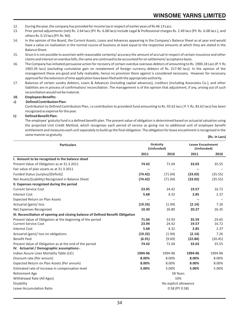- 12. During the year, the company has provided for income tax in respect of earlier years of Rs 46.13 Lacs.
- 13. Prior period adjustments (net) Rs. 2.64 lacs (P.Y. Rs. 6.08 lacs) include Legal & Professional charges Rs. 2.49 lacs (P.Y. Rs. 6.08 lacs ), and others Rs. 0.15 lacs (P.Y. Rs. Nil).
- 14. In the opinion of the Board, the Current Assets, Loans and Advances appearing in the Company's Balance Sheet as at year end would have a value on realisation in the normal course of business at least equal to the respective amounts at which they are stated in the Balance Sheet.
- 15. Since it is not possible to ascertain with reasonable certainty/ accuracy the amount of accrual in respect of certain insurance and other claims and interest on overdue bills, the same are continued to be accounted for on settlement/ acceptance basis.
- 16. The Company has initiated persuasive action for recovery of certain overdue overseas debtors of amounting to Rs. 1900.18 Lacs (P. Y. Rs 1903.39 lacs) {excluding cumulative gain on restatement of foreign currency debtors of Rs. 217.90 lacs}. In the opinion of the management these are good and fully realizable, hence no provision there against is considered necessary. However for necessary approval for the extension of time application have been filed with the appropriate authority.
- 17. Balances of certain sundry debtors, Loans & Advances (including capital advances), creditors (including Associates Co.), and other liabilities are in process of confirmation/ reconciliation. The management is of the opinion that adjustment, if any, arising out of such reconciliation would not be material.

## **18. Employees Benefits:**

## a**) Defined ContributionPlan:**

Contribution to Defined Contribution Plan, i.e contribution to provident fund amounting to Rs. 93.62 lacs ( P. Y. Rs. 83.62 lacs) has been recognized as expense for the year.

## b**) Defined Benefit Plan:**

The employee' gratuity fund is a defined benefit plan. The present value of obligation is determined based on actuarial valuation using the projected Unit Credit Method, which recognizes each period of service as giving rise to additional unit of employee benefit entitlement and measures each unit separately to build up the final obligation. The obligation for leave encashment is recognized in the same manner as gratuity. **(Rs. in Lacs)**

| <b>Particulars</b>                                                                                   |                | Gratuity<br>(Unfunded) | <b>Leave Encashment</b><br>(Unfunded) |         |
|------------------------------------------------------------------------------------------------------|----------------|------------------------|---------------------------------------|---------|
|                                                                                                      | 2011           | 2010                   | 2011                                  | 2010    |
| I. Amount to be recognized in the balance sheet                                                      |                |                        |                                       |         |
| Present Value of Obligation as at 31.3.2011                                                          | 74.42          | 71.04                  | 33.03                                 | 35.55   |
| Fair value of plan assets as at 31.3.2011                                                            | $\overline{a}$ | $\overline{a}$         | --                                    |         |
| Funded Status [surplus/(Deficit)]                                                                    | (74.42)        | (71.04)                | (33.03)                               | (35.55) |
| Net Assets/(Liability) Recognized in Balance Sheet                                                   | (74.42)        | (71.04)                | (33.03)                               | (35.55) |
| II. Expenses recognized during the period                                                            |                |                        |                                       |         |
| <b>Current Service Cost</b>                                                                          | 23.95          | 24.42                  | 19.57                                 | 16.72   |
| <b>Interest Cost</b>                                                                                 | 5.68           | 4.32                   | 2.85                                  | 2.37    |
| <b>Expected Return on Plan Assets</b>                                                                |                | $\overline{a}$         |                                       |         |
| Actuarial (gain)/ loss                                                                               | (19.33)        | (1.94)                 | (2.14)                                | 7.26    |
| Net Expenses Recognized                                                                              | 10.30          | 26.80                  | 20.27                                 | 26.35   |
| III. Reconciliation of opening and closing balance of Defined Benefit Obligation                     |                |                        |                                       |         |
| Present Value of Obligation at the beginning of the period                                           | 71.04          | 53.93                  | 35.59                                 | 29.65   |
| <b>Current Service Cost</b>                                                                          | 23.94          | 24.42                  | 19.57                                 | 16.72   |
| <b>Interest Cost</b>                                                                                 | 5.68           | 4.32                   | 2.85                                  | 2.37    |
| Actuarial (gain)/ loss on obligations                                                                | (19.33)        | (1.94)                 | (2.14)                                | 7.26    |
| <b>Benefit Paid</b>                                                                                  | (6.91)         | (9.69)                 | (22.84)                               | (20.45) |
| Present Value of Obligation as at the end of the period<br>IV. Actuarial / Demographic assumptions:- | 74.42          | 71.04                  | 33.03                                 | 35.55   |
| Indian Assure Lives Mortality Table (LIC)                                                            | 1994-96        | 1994-96                | 1994-96                               | 1994-96 |
| Discount rate (Per annum)                                                                            | 8.00%          | 8.00%                  | 8.00%                                 | 8.00%   |
| Expected Return on Plan Assets (Per annum)                                                           | 8.00%          | 8.00%                  | 8.00%                                 | 8.00%   |
| Estimated rate of increase in compensation level                                                     | 5.00%          | 5.00%                  | 5.00%                                 | 5.00%   |
| <b>Retirement Age</b>                                                                                |                | 58 Years               |                                       |         |
| Withdrawal Rate (All Ages)                                                                           |                | 10%                    |                                       |         |
| Disability                                                                                           |                | No explicit allowance  |                                       |         |
| <b>Leave Accumulation Ratio</b>                                                                      |                | $0.58$ (PY $0.58$ )    |                                       |         |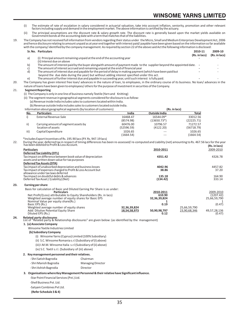- (i) The estimate of rate of escalation in salary considered in actuarial valuation, take into account inflation, seniority, promotion and other relevant factors including supply and demand in the employment market. The above information is certified by the actuary.
- (ii) The principal assumptions are the discount rate & salary growth rate. The discount rate is generally based upon the market yields available on Government bonds at the accounting date with a term that matches that of the liabilities.
- 19. The Company has not received full information from vendors regarding their status under the Micro, Small and Medium Enterprises Development Act, 2006 and hence disclosure relating to amount unpaid as at year end together with interest paid/ payable have been given based on the information so far available with the company/ identified by the company management. As required by section 22 of the abovesaid Act the following information is disclosed:

|     | Sr. No. Particulars                                                                                                                                                                                      | 2010-11<br>(Rs. in lacs) | 2009-10<br>(Rs. in lacs) |
|-----|----------------------------------------------------------------------------------------------------------------------------------------------------------------------------------------------------------|--------------------------|--------------------------|
| a   | (i) Principal amount remaining unpaid at the end of the accounting year                                                                                                                                  |                          |                          |
|     | (ii) Interest due on above                                                                                                                                                                               |                          |                          |
| b)  | The amount of interest paid by the buyer alongwith amount of payment made to the supplier beyond the appointed date.                                                                                     |                          |                          |
|     | The amount of interest accrued and remaining unpaid at the end of financial year                                                                                                                         |                          |                          |
| d l | The amount of interest due and payable for the period of delay in making payment (which have been paid but<br>beyond the due date during the year) but without adding interest specified under this act. |                          |                          |

- e) The amount of further interest due and payable in succeeding year, until such interest is fully paid. **-** -
- 20. The Company has given interest free loan/ advances in the nature of loan, to employees, in the ordinary course of its business. No loan/ advances in the
	- nature of loans have been given to employees/ others for the purpose of investment in securities of the Company.

#### 21. **Segment Reporting**

- (i) The Company is only in one line of business namely Textile (Yarn and Knitting)
- (ii) The segment revenue in geographical segments considered for disclosure is as follow:
	- (a) Revenue inside India includes sales to customers located within India.

(b) Revenue outside India includes sales to customers located outside India.

Information about geographical segments (by location of customers) **(Rs. in lacs)**

|      | 1111011118001180081 gc0graphical scgnichts (DV location of customici s) |                        | 1113. 111 1013 <i>1</i>    |                        |
|------|-------------------------------------------------------------------------|------------------------|----------------------------|------------------------|
| No.  | <b>Particulars</b>                                                      | India                  | Outside India              | Total                  |
| i)   | External Revenue-Sale                                                   | 16468.47<br>(8574.98)  | 16544.09*<br>$(13650.73*)$ | 33012.56<br>(22225.71) |
| ii)  | Carrying amount of segment assets by<br>location of assets              | 60476.00<br>(52596.59) | 10796.57<br>(4122.20)      | 71272.57<br>(56718.79) |
| iii) | Capital Expenditure                                                     | 1026.65<br>(1664.54)   | $- - -$<br>---             | 1026.65<br>(1664.54)   |

\*Includes Export Incentives of Rs. 195.90 lacs (P.Y. Rs. 947.19 lacs)

22. During the year, deferred tax in respect of timing differences has been re-assessed/ re-computed and Liability (net) amounting to Rs. 467.56 lacs for the year has been debited to Profit & Loss Account.  **(Rs. in lacs)**

|     | <b>Particulars</b>                                                                                            | 2010-2011    | (113. III 1663)<br>2009-2010 |
|-----|---------------------------------------------------------------------------------------------------------------|--------------|------------------------------|
|     | Deferred Tax Liability (DTL)                                                                                  |              |                              |
|     | Tax impact on difference between book value of depreciation<br>assets and written down value for tax purposes | 4351.42      | 4326.78                      |
|     | Deferred Tax Assets (DTA)                                                                                     |              |                              |
|     | Tax impact of unabsorbed depreciation and business losses                                                     | 4042.96      | 4457.82                      |
|     | Tax impact of expenses charged to Profit & Loss Account but<br>allowance under tax laws deferred              | 38.86        | 37.20                        |
|     | Tax impact on doubtful debts & advances                                                                       | 135.18       | 164.90                       |
|     | Deferred Tax Asset / (Liability) (Net)                                                                        | (134.42)     | 333.14                       |
| 23. | Earning per share                                                                                             |              |                              |
|     | Basis for calculation of Basic and Diluted Earning Per Share is as under:                                     |              |                              |
|     | <b>Particulars</b>                                                                                            | 2010-2011    | 2009-2010                    |
|     | Net Profit/(Loss) attributable to Equity Shareholders (Rs. in lacs)                                           | 610.90       | (1207.42)                    |
|     | Weighted average number of equity shares for Basic EPS                                                        | 32,36,39,824 | 25,66,59,790                 |
|     | Nominal Value non courturehous(De)                                                                            |              |                              |

| Nominal Value per equity share(Rs.)      |              |              |              |              |
|------------------------------------------|--------------|--------------|--------------|--------------|
| Basic EPS (Rs.)                          |              | 0.19         |              | (0.47)       |
| Weighted average number of equity shares | 32.36.39.824 |              | 25,66,59,790 |              |
| Add: Dilutive Potential Equity Share     | 18.54.58.973 | 50.90.98.797 | 23.90.68.346 | 49.57.28.136 |
| Diluted EPS (Rs.)                        |              |              |              | (0.47)       |

#### **24. Related party disclosures**

List of "Related party & Relationship disclosures" are given below: (as identified by the management)

#### **1. (a) Associate Company**

Winsome Textile Industries Limited

#### **(b) Subsidiary Company**

- (i) Winsome Yarns (Cyprus) Limited (100% Subsidiary)
- (ii) S.C. Winsome Romania s.r.l (Subsidiary of (I) above)
- (iii) I.M.M. Winsome Italia s.r.l (Subsidiary of (ii) above)
- (iv) S.C. Textil s.r.l. (Subsidiary of (iii) above)

#### **2. Key management personnel and their relatives.**

| - Shri Satish Bagrodia | Chairman                 |
|------------------------|--------------------------|
| - Shri Manish Bagrodia | <b>Managing Director</b> |
| - Shri Ashish Bagrodia | Director                 |

#### **3. Organisations where Key Management Personnel & their relative have Significant influence.**

-Star Point Financial Services (Pvt.) Ltd. -Shell Business Pvt. Ltd.

-Satyam Combines Pvt Ltd.

 **(Refer Schedule 3 & 4)**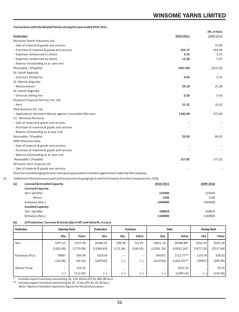**Transactions with the Related Parties during the year ended 2010-2011.**

|      |                                                                                                                  |           | (Rs. In lacs) |
|------|------------------------------------------------------------------------------------------------------------------|-----------|---------------|
|      | <b>Particulars</b>                                                                                               | 2010-2011 | 2009-2010     |
|      | Winsome Textile Industries Ltd.                                                                                  |           |               |
|      | Sale of material & goods and services                                                                            |           | 23.00         |
|      | Purchase of material & goods and services                                                                        | 232.17    | 354.49        |
|      | Expenses reimbursed to others                                                                                    | 3.35      | 0.25          |
|      | Expenses reimbursed by others                                                                                    | 12.28     | 5.01          |
|      | Balance Outstanding as at year end                                                                               |           |               |
|      | Receivable / (Payable)                                                                                           | (467.50)  | (254.26)      |
|      | Sh. Satish Bagrodia                                                                                              |           |               |
|      | <b>Directors Sitting Fee</b>                                                                                     | 0.65      | 0.35          |
|      | Sh. Manish Bagrodia                                                                                              |           |               |
|      | Remuneration                                                                                                     | 29.18     | 25.08         |
|      | Sh. Ashish Bagrodia                                                                                              |           |               |
|      | <b>Directors Sitting Fee</b>                                                                                     | 0.50      | 0.30          |
|      | Starpoint Financial Services Pvt. Ltd.                                                                           |           |               |
| Rent |                                                                                                                  | 21.31     | 19.32         |
|      | Shell Business Pvt. Ltd.                                                                                         |           |               |
|      | Application/ Allotment Money against Convertible Warrants                                                        | 1182.00   | 473.00        |
|      | S.C. Winsome Romania                                                                                             |           |               |
|      | Sale of material & goods and services                                                                            |           |               |
|      | Purchase of material & goods and services                                                                        |           |               |
|      | Balance Outstanding as at year end                                                                               |           |               |
|      | Receivable / (Payable)                                                                                           | 53.83     | 86.81         |
|      | <b>IMM Winsome Italia</b>                                                                                        |           |               |
|      | Sale of material & goods and services                                                                            |           |               |
|      | Purchase of material & goods and services                                                                        |           |               |
|      | Balance Outstanding as at year end                                                                               |           |               |
|      | Receivable / (Payable)                                                                                           | 157.85    | 171.01        |
|      | Winsome Yarns (Cyprus) Ltd.                                                                                      |           |               |
|      | Sale of material & goods and services                                                                            |           |               |
|      | Chairman and Managing Director have given guarantees to lenders against loans taken by the Company.              |           |               |
|      | Additional information pursuant to the provision of paragraph 3 and 4 of Schedule VI to the Companies Act, 1956. |           |               |
| (a)  | <b>Licensed &amp; Installed Capacity</b><br>2010-2011                                                            |           | 2009-2010     |
|      | <b>Licensed Capacity:</b>                                                                                        |           |               |
|      | Yarn Spindles                                                                                                    | 133440    | 133440        |
|      | - Rotors                                                                                                         | 1536      | 1536          |
|      | Knitwears (Nos.)                                                                                                 | 1944000   | 1944000       |
|      | <b>Installed Capacity:</b>                                                                                       |           |               |
|      | Yarn Spindles                                                                                                    | 109824    | 109824        |

## **(b) (i) Production, Turnover & Stocks (Qty in MT and Value Rs. in Lacs)**

| <b>Particulars</b> | <b>Opening Stock</b> |           | Production | Purchase |          | <b>Sales</b> |                |           | <b>Closing Stock</b> |
|--------------------|----------------------|-----------|------------|----------|----------|--------------|----------------|-----------|----------------------|
|                    | Qty                  | Value     | Qty.       | Qty.     | Value    | Qty.         | Value          | Qty.      | Value                |
| Yarn               | 1477.22              | 2517.90   | 16306.35   | 289.49   | 722.07   | 14811.14     | 29188.88*      | 3261.92   | 8191.28              |
|                    | (1202.89)            | (1773.09) | (13384.63) | (171.46) | (199.55) | (13281.76)   | $(19555.20)^*$ | (1477.22) | (2517.90)            |
| Knitwears (Pcs)    | 78997                | 309.99    | 625534     | $- - -$  | $-$      | 594355       | 1712.77**      | 110176    | 328.32               |
|                    | (16228)              | (49.33)   | (287503)   | (--)     | l--      | (224734)     | $(1204.35)$ ** | (78997)   | (309.99)             |
| Waste/Scrap        | $- -$                | 154.56    | -          | -        | -        | -            | 2051.50        |           | 78.35                |
|                    | (--)                 | (112.09)  | (--)       | (--)     | -        | (--)         | (1299.14)      | (--)      | (154.56)             |

Knitwears (Nos.) **1160000** 1160000

\* Includes export incentives amounting Rs. 114.18 lacs (P.Y. Rs. 881.80 lacs) \*\* Includes export incentives amounting Rs. 81.72 lacs (P.Y. Rs. 65.39 lacs )

Note: Figures in brackets represents figures for the previous years.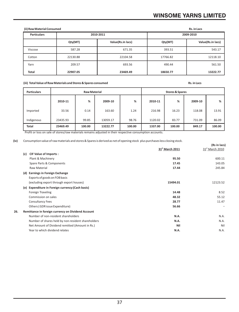## **WINSOME YARNS LIMITED**

| (ii) Raw Material Consumed      |          | Rs. in Lacs       |          |                   |
|---------------------------------|----------|-------------------|----------|-------------------|
| <b>Particulars</b><br>2010-2011 |          |                   |          | 2009-2010         |
|                                 | Qty(MT)  | Value(Rs.in lacs) | Qty(MT)  | Value(Rs.in lacs) |
| Viscose                         | 587.28   | 671.35            | 393.51   | 543.17            |
| Cotton                          | 22130.88 | 22104.58          | 17766.82 | 12118.10          |
| Yarn                            | 209.57   | 693.56            | 490.44   | 561.50            |
| <b>Total</b>                    | 22907.05 | 23469.49          | 18650.77 | 13222.77          |

## **(iii) Total Value of Raw Materials and Stores & Spares consumed Rs. in Lacs**

| <b>Particulars</b> | <b>Raw Material</b> |        |          | <b>Stores &amp; Spares</b> |         |        |         |        |
|--------------------|---------------------|--------|----------|----------------------------|---------|--------|---------|--------|
|                    | 2010-11             | %      | 2009-10  | %                          | 2010-11 | %      | 2009-10 | %      |
| Imported           | 33.56               | 0.14   | 163.60   | 1.24                       | 216.98  | 16.23  | 118.08  | 13.91  |
| Indigenous         | 23435.93            | 99.85  | 13059.17 | 98.76                      | 1120.02 | 83.77  | 731.09  | 86.09  |
| Total              | 23469.49            | 100.00 | 13222.77 | 100.00                     | 1337.00 | 100.00 | 849.17  | 100.00 |

Profit or loss on sale of stores/raw materials remains adjusted in their respective consumption accounts.

**(iv)** Consumption value of raw materials and stores & Spares is derived as net of opening stock plus purchases less closing stock.

|     |                                                    |                             | (Rs in lacs)    |
|-----|----------------------------------------------------|-----------------------------|-----------------|
|     |                                                    | 31 <sup>st</sup> March 2011 | 31st March 2010 |
| (c) | <b>CIF Value of Imports:</b>                       |                             |                 |
|     | Plant & Machinery                                  | 95.50                       | 600.11          |
|     | Spare Parts & Components                           | 17.45                       | 143.05          |
|     | Raw Material                                       | 17.44                       | 245.84          |
|     | (d) Earnings in Foreign Exchange                   |                             |                 |
|     | Exports of goods on FOB basis                      |                             |                 |
|     | (excluding export through export houses)           | 15494.01                    | 12123.52        |
|     | (e) Expenditure in Foreign currency: (Cash basis)  |                             |                 |
|     | Foreign Traveling                                  | 14.48                       | 8.52            |
|     | Commission on sales                                | 48.32                       | 55.12           |
|     | <b>Consultancy Fees</b>                            | 28.77                       | 11.47           |
|     | Others (GDR issue Expenditure)                     | 56.66                       |                 |
| 26. | Remittance in foreign currency on Dividend Account |                             |                 |
|     | Number of non-resident shareholders                | N.A.                        | N.A.            |
|     | Number of shares held by non-resident shareholders | N.A.                        | N.A.            |
|     | Net Amount of Dividend remitted (Amount in Rs.)    | Nil                         | Nil             |
|     | Year to which dividend relates                     | N.A.                        | N.A.            |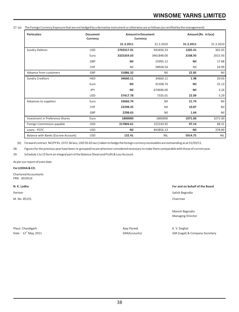## **WINSOME YARNS LIMITED**

27.(a) The Foreign Currency Exposure that are not hedged by a derivative instrument or otherwise are as follows (as certified by the management):

| <b>Particulars</b>                     | <b>Document</b><br>Currency | <b>Amount in Document</b><br>Currency |            | Amount (Rs. in lacs) |            |
|----------------------------------------|-----------------------------|---------------------------------------|------------|----------------------|------------|
|                                        |                             | 31.3.2011                             | 31.3.2010  | 31.3.2011            | 31.3.2010  |
| <b>Sundry Debtors</b>                  | <b>USD</b>                  | 2703317.91                            | 943456.33  | 1205.41              | 302.05     |
|                                        | Euro                        | 3325354.03                            | 3461848.00 | 2108.93              | 2015.93    |
|                                        | GBP                         | Nil                                   | 25995.12   | Nil                  | 17.68      |
|                                        | <b>CHF</b>                  | Nil                                   | 58928.54   | Nil                  | 24.99      |
| Advance from customers                 | GBP                         | 31886.32                              | Nil        | 22.85                | Nil        |
| <b>Sundry Creditors</b>                | <b>HKD</b>                  | 34660.11                              | 34660.11   | 1.98                 | 20.03      |
|                                        | Euro                        | Nil                                   | 41508.74   | Nil                  | 25.13      |
|                                        | <b>JPY</b>                  | Nil                                   | 674696.00  | Nil                  | 3.24       |
|                                        | <b>USD</b>                  | 57417.78                              | 7335.01    | 22.09                | 3.29       |
| Advances to suppliers                  | Euro                        | 33660.74                              | Nil        | 21.74                | Nil        |
|                                        | CHF                         | 22298.35                              | Nil        | 10.87                | Nil        |
|                                        | GBP                         | 2298.63                               | Nil        | 1.64                 | Nil        |
| <b>Investment in Preference Shares</b> | Euro                        | 1800000                               | 1800000    | 1071.00              | 1071.00    |
| Foreign Commission payable             | <b>USD</b>                  | 217804.61                             | 152143.92  | 97.14                | 68.31      |
| Loans - PCFC                           | <b>USD</b>                  | Nil                                   | 843856.13  | Nil                  | 378.89     |
| Balance with Banks (Escrow Account)    | <b>USD</b>                  | 132.41                                | <b>NIL</b> | 5914.75              | <b>NIL</b> |

(b) Forward contract Nil (PY Rs. 2372.36 lacs, USD 50.65 lacs ) taken to hedge the foreign currency receivables are outstanding as at 31/03/11.

28. Figures for the previous year have been re-grouped/recast wherever considered necessary to make them comparable with those of current year.

29. Schedule 1 to 15 form an integral part of the Balance Sheet and Profit & Loss Account.

As per our report of even date

**For LODHA & CO.** 

Chartered Accountants FRN : 301051E

M. No. 85155 Chairman Chairman Chairman Chairman Chairman Chairman Chairman Chairman Chairman Chairman Chairman

**N. K. Lodha For and on behalf of the Board**

Partner Satish Bagrodia and Satish Bagrodia and Satish Bagrodia and Satish Bagrodia and Satish Bagrodia and Satish Bagrodia

Manish Bagrodia Managing Director

Place: Chandigarh **Agament Chandigarh** Ajay Pareek Agament Ajay Pareek **K. V. Singhal** 

Date : 12<sup>th</sup> May, 2011 **GM(Accounts)** GM(Accounts) GM(Legal) & Company Secretary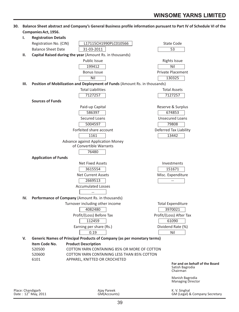## **Companies Act, 1956. I. Registration Details** Registration No. (CIN) L17115CH1990PLC010566 State Code Balance Sheet Date 31-03-2011 53 **II. Capital Raised during the year** (Amount Rs. in thousands) Public Issue **Rights** Issue 199412 Nil Bonus Issue **Private Placement** Nil 130325 **III.** Position of Mobilization and Deployment of Funds (Amount Rs. in thousands) Total Liabilities Total Assets 7127257 7127257 **Sources of Funds** Paid-up Capital **Reserve & Surplus** Reserve & Surplus 586397 674853 Secured Loans **Secured Loans** Unsecured Loans 5004597 79808 Forfeited share account **Deferred Tax Liability** 1161 13442 Advance against Application Money of Convertible Warrants 76480 **Application of Funds** Net Fixed Assets **Investments** 3615554 151671 Net Current Assets **Misc.** Expenditure 2669513 -- Accumulated Losses -- **IV. Performance of Company** (Amount Rs. in thousands) Turnover including other income Turnover including other income 4082480 3970021 Profit/(Loss) Before Tax Profit/(Loss) After Tax 112459 61090 Earning per share (Rs.) Dividend Rate (%) 0.19 Nil **V. Generic Names of Principal Products of Company (as per monetary terms) Item Code No. Product Description**<br>520500 **COTTON YARN CONT** 520500 COTTON YARN CONTAINING 85% OR MORE OF COTTON 520600 COTTON YARN CONTAINING LESS THAN 85% COTTON 6101 APPAREL, KNITTED OR CROCHETED **For and on behalf of the Board** Satish Bagrodia Chairman Manish Bagrodia Managing Director

**30. Balance Sheet abstract and Company's General Business profile information pursuant to Part IV of Schedule VI of the** 

Place: Chandigarh **Agamu Agamu Ajay Pareek** Ajay Pareek **Agamu Agamu Ajay Pareek Agamu Ajay Pareek** K. V. Singhal C<br>Pare : 12<sup>th</sup> May, 2011 **Agamu Agamu Agamu Agamu Agamu Agamu Agamu Agamu Agamu Agamu Agamu Agamu Agamu Aga**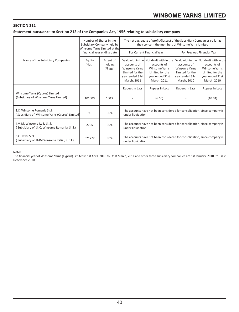## **SECTION 212**

## **Statement pursuance to Section 212 of the Companies Act, 1956 relating to subsidiary company**

|                                                                              | Number of Shares in the<br>Subsidiary Company held by<br>Winsome Yarns Limited at the<br>financial year ending date |                                                       | The net aggregate of profit/(losses) of the Subsidiary Companies so far as<br>they concern the members of Winsome Yarns Limited |                                                                                                                                                                             |                                                                                          |                                                                                          |  |
|------------------------------------------------------------------------------|---------------------------------------------------------------------------------------------------------------------|-------------------------------------------------------|---------------------------------------------------------------------------------------------------------------------------------|-----------------------------------------------------------------------------------------------------------------------------------------------------------------------------|------------------------------------------------------------------------------------------|------------------------------------------------------------------------------------------|--|
|                                                                              |                                                                                                                     |                                                       |                                                                                                                                 | For Current Financial Year                                                                                                                                                  |                                                                                          | For Previous Financial Year                                                              |  |
| Name of the Subsidiary Companies                                             | Equity<br>(Nos.)                                                                                                    | Extent of<br>holding<br>$(% \mathcal{L}_{0})$ (% age) | accounts of<br><b>Winsome Yarns</b><br>Limited for the<br>year ended 31st<br>March, 2011                                        | Dealt with in the Not dealt with in the Dealt with in the Not dealt with in the<br>accounts of<br><b>Winsome Yarns</b><br>Limited for the<br>year ended 31st<br>March, 2011 | accounts of<br><b>Winsome Yarns</b><br>Limited for the<br>year ended 31st<br>March, 2010 | accounts of<br><b>Winsome Yarns</b><br>Limited for the<br>year ended 31st<br>March, 2010 |  |
|                                                                              |                                                                                                                     |                                                       | Rupees in Lacs                                                                                                                  | Rupees in Lacs                                                                                                                                                              | Rupees in Lacs                                                                           | Rupees in Lacs                                                                           |  |
| Winsome Yarns (Cyprus) Limited<br>(Subsidiary of Winsome Yarns Limited)      | 101000                                                                                                              | 100%                                                  |                                                                                                                                 | (6.60)                                                                                                                                                                      |                                                                                          | (10.04)                                                                                  |  |
| S.C. Winsome Romania S.r.l.<br>Subsidiary of Winsome Yarns (Cyprus) Limited) | 90                                                                                                                  | 90%                                                   | The accounts have not been considered for consolidation, since company is<br>under liquidation                                  |                                                                                                                                                                             |                                                                                          |                                                                                          |  |
| I.M.M. Winsome Italia S.r.l.<br>(Subsidiary of S. C. Winsome Romania S.r.l.) | 2705                                                                                                                | 90%                                                   | The accounts have not been considered for consolidation, since company is<br>under liquidation                                  |                                                                                                                                                                             |                                                                                          |                                                                                          |  |
| S.C. Textil S.r.I.<br>(Subsidiary of IMM Winsome Italia, S. r. l.)           | 321772                                                                                                              | 90%                                                   | under liquidation                                                                                                               | The accounts have not been considered for consolidation, since company is                                                                                                   |                                                                                          |                                                                                          |  |

## **Note:**

The financial year of Winsome Yarns (Cyprus) Limited is 1st April, 2010 to 31st March, 2011 and other three subsidiary companies are 1st January, 2010 to 31st December, 2010.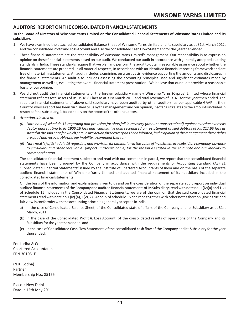## **AUDITORS' REPORT ON THE CONSOLIDATED FINANCIAL STATEMENTS**

## **To the Board of Directors of Winsome Yarns Limited on the Consolidated Financial Statements of Winsome Yarns Limited and its subsidiary.**

- 1. We have examined the attached consolidated Balance Sheet of Winsome Yarns Limited and its subsidiary as at 31st March 201*1*, and the consolidated Profit and Loss Account and also the consolidated Cash Flow Statement for the year then ended.
- 2. These financial statements are the responsibility of Winsome Yarns Limited's management. Our responsibility is to express an opinion on these financial statements based on our audit. We conducted our audit in accordance with generally accepted auditing standards in India. These standards require that we plan and perform the audit to obtain reasonable assurance about whether the financial statements are prepared, in all material respects, in accordance with an identified financial reporting framework and are free of material misstatements. An audit includes examining, on a test basis, evidence supporting the amounts and disclosures in the financial statements. An audit also includes assessing the accounting principles used and significant estimates made by management as well as, evaluating the overall financial statement presentation. We believe that our audit provides a reasonable basis for our opinion.
- 3. We did not audit the financial statements of the foreign subsidiary namely Winsome Yarns (Cyprus) Limited whose financial statement reflects total assets of Rs. 1918.82 lacs as at 31st March 2011 and total revenues of Rs. Nil for the year then ended. The separate financial statements of above said subsidiary have been audited by other auditors, as per applicable GAAP in their Country, whose report has been furnished to us by the management and our opinion, insofar as it relates to the amounts included in respect of the subsidiary, is based solely on the report of the other auditors.
- 4. *Attention is invited to;*
	- *(i) Note no.4 of schedule 15 regarding non provision for shortfall in recovery (amount unascertained) against overdue overseas debtor aggregating to Rs.1900.18 lacs and cumulative gain recognised on restatement of said debtors of Rs. 217.90 lacs as stated in the said note for which persuasive action for recovery has been initiated, in the opinion of the management these debts are good and recoverable and our inability to comment thereon.*
	- *(ii) Note no.6 (c) of Schedule 15 regarding non provision for diminution in the value of investment in a subsidiary company, advance to subsidiary and other receivable (impact unascertainable) for the reason as stated in the said note and our inability to comment thereon.*

The consolidated financial statement subject to and read with our comments in para 4, we report that the consolidated financial statements have been prepared by the Company in accordance with the requirements of Accounting Standard (AS) 21 "Consolidated Financial Statements" issued by the Institute of Chartered Accountants of India and on the basis of the separate audited financial statements of Winsome Yarns Limited and audited financial statement of its subsidiary included in the consolidated financial statements.

On the basis of the information and explanations given to us and on the consideration of the separate audit report on individual audited financial statements of the Company and audited financial statements of its Subsidiary (read with note no. 1 (iv)(a) and 1(v) of Schedule 15 included in the Consolidated Financial Statements, we are of the opinion that the said consolidated financial statements read with note no 1 (iv) (a), 1(v), 2 (B) and 5 of schedule 15 and read together with other notes thereon, give a true and fair view in conformity with the accounting principles generally accepted in India.

- a) In the case of Consolidated Balance Sheet, of the Consolidated state of affairs of the Company and its Subsidiary as at 31st March, 2011;
- (b) In the case of the Consolidated Profit & Loss Account, of the consolidated results of operations of the Company and its Subsidiary for the year then ended; and
- (c) In the case of Consolidated Cash Flow Statement, of the consolidated cash flow of the Company and its Subsidiary for the year then ended.

For Lodha & Co. Chartered Accountants FRN 301051E

(N.K. Lodha) Partner Membership No.: 85155

Place : New Delhi Date : 12th May 2011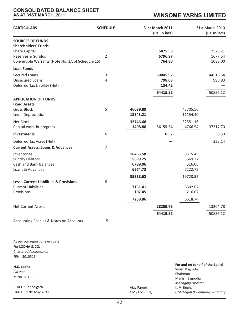## **CONSOLIDATED BALANCE SHEET AS AT 31ST MARCH, 2011**

## **WINSOME YARNS LIMITED**

| <b>PARTICULARS</b>                                                                                                                                | <b>SCHEDULE</b>     |                                           | <b>31st March 2011</b><br>(Rs. in lacs)  |                                         | 31st March 2010<br>(Rs. in lacs) |
|---------------------------------------------------------------------------------------------------------------------------------------------------|---------------------|-------------------------------------------|------------------------------------------|-----------------------------------------|----------------------------------|
| <b>SOURCES OF FUNDS</b><br><b>Shareholders' Funds</b><br>Share Capital<br>Reserves & Surplus<br>Convertible Warrants (Note No. 3A of Schedule 15) | 1<br>$\overline{2}$ |                                           | 5875.58<br>6796.97<br>764.80             |                                         | 2578.21<br>1677.54<br>1088.00    |
| <b>Loan Funds</b>                                                                                                                                 |                     |                                           |                                          |                                         |                                  |
| Secured Loans<br><b>Unsecured Loans</b><br>Deferred Tax Liability (Net)                                                                           | 3<br>4              |                                           | 50045.97<br>798.08<br>134.42<br>64415.82 |                                         | 44516.54<br>995.83<br>50856.12   |
| <b>APPLICATION OF FUNDS</b><br><b>Fixed Assets</b><br><b>Gross Block</b><br>Less: Depreciation                                                    | 5                   | 46089.89<br>13343.21                      |                                          | 43705.56<br>11154.40                    |                                  |
| Net Block<br>Capital work-in-progress                                                                                                             |                     | 32746.68<br>3408.86                       | 36155.54                                 | 32551.16<br>4766.54                     | 37317.70                         |
| <b>Investments</b>                                                                                                                                | 6                   |                                           | 0.52                                     |                                         | 0.50                             |
| Deferred Tax Asset (Net)                                                                                                                          |                     |                                           |                                          |                                         | 333.14                           |
| <b>Current Assets, Loans &amp; Advances</b>                                                                                                       | $\overline{7}$      |                                           |                                          |                                         |                                  |
| Inventories<br><b>Sundry Debtors</b><br><b>Cash and Bank Balances</b><br>Loans & Advances                                                         |                     | 16455.58<br>5699.25<br>6789.06<br>6574.73 |                                          | 8315.45<br>3669.27<br>516.05<br>7222.75 |                                  |
| <b>Less: Current Liabilities &amp; Provisions</b>                                                                                                 | 8                   | 35518.62                                  |                                          | 19723.52                                |                                  |
| <b>Current Liabilities</b><br>Provisions                                                                                                          |                     | 7151.41<br>107.45                         |                                          | 6302.67<br>216.07                       |                                  |
|                                                                                                                                                   |                     | 7258.86                                   |                                          | 6518.74                                 |                                  |
| <b>Net Current Assets</b>                                                                                                                         |                     |                                           | 28259.76                                 |                                         | 13204.78                         |
|                                                                                                                                                   |                     |                                           | 64415.82                                 |                                         | 50856.12                         |
| Accounting Policies & Notes on Accounts                                                                                                           | 15                  |                                           |                                          |                                         |                                  |

As per our report of even date. For **LODHA & CO.** Chartered Accountants FRN : 301051E

**N.K. Lodha** *Partner* M.No. 85155

PLACE : Chandigarh DATED : 12th May 2011

| For and on behalf of the Board |
|--------------------------------|
| Satish Bagrodia                |
| Chairman                       |
| Manish Bagrodia                |
| <b>Managing Director</b>       |
| K. V. Singhal                  |
| GM (Legal) & Company Secretary |
|                                |

Ajay Pareek GM *(Accounts)*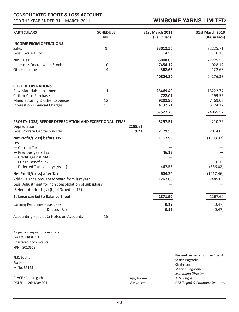## **CONSOLIDATED PROFIT & LOSS ACCOUNT**

FOR THE YEAR ENDED 31st MARCH,2011

## **WINSOME YARNS LIMITED**

| <b>PARTICULARS</b>                                                      | <b>SCHEDULE</b><br>No. |         | <b>31st March 2011</b><br>(Rs. in lacs) | 31st March 2010<br>(Rs. in lacs) |
|-------------------------------------------------------------------------|------------------------|---------|-----------------------------------------|----------------------------------|
| <b>INCOME FROM OPERATIONS</b>                                           |                        |         |                                         |                                  |
| <b>Sales</b><br>Less: Excise Duty                                       | 9                      |         | 33012.56<br>4.53                        | 22225.71<br>0.18                 |
| <b>Net Sales</b>                                                        |                        |         | 33008.03                                | 22225.53                         |
| Increase/(Decrease) in Stocks                                           | 10                     |         | 7454.12                                 | 1928.12                          |
| Other Income                                                            | 14                     |         | 362.65                                  | 122.68                           |
|                                                                         |                        |         | 40824.80                                | 24276.33                         |
| <b>COST OF OPERATIONS</b>                                               |                        |         |                                         |                                  |
| Raw Materials consumed                                                  | 11                     |         | 23469.49                                | 13222.77                         |
| <b>Cotton Yarn Purchase</b>                                             |                        |         | 722.07                                  | 199.55                           |
| Manufacturing & other Expenses                                          | 12                     |         | 9202.96                                 | 7469.08                          |
| Interest on Financial Charges                                           | 13                     |         | 4132.71                                 | 3174.17                          |
|                                                                         |                        |         | 37527.23                                | 24065.57                         |
| PROFIT/(LOSS) BEFORE DEPRECIATION AND EXCEPTIONAL ITEMS<br>Depreciation |                        | 2188.81 | 3297.57                                 | 210.76                           |
| Less: Prorata Capital Subsidy                                           |                        | 9.23    | 2179.58                                 | 2014.09                          |
| Net Profit/(Loss) before Tax                                            |                        |         | 1117.99                                 | (1803.33)                        |
| Less :                                                                  |                        |         |                                         |                                  |
| - Current Tax<br>- Previous years Tax                                   |                        |         | 46.13                                   |                                  |
| - Credit against MAT                                                    |                        |         |                                         |                                  |
| - Fringe Benefit Tax                                                    |                        |         |                                         | 0.15                             |
| - Deferred Tax Liability/(Asset)                                        |                        |         | 467.56                                  | (586.02)                         |
| Net Profit/(Loss) after Tax                                             |                        |         | 604.30                                  | (1217.46)                        |
| Add: Balance brought forward from last year                             |                        |         | 1267.60                                 | 2485.06                          |
| Less: Adjustment for non consolidation of subsidiary                    |                        |         |                                         |                                  |
| (Refer note No. 1 (iv) (b) of Schedule 15)                              |                        |         |                                         |                                  |
| <b>Balance carried to Balance Sheet</b>                                 |                        |         | 1871.90                                 | 1267.60                          |
| Earning Per Share - Basic (Rs)                                          |                        |         | 0.19                                    | (0.47)                           |
| - Diluted (Rs)                                                          |                        |         | 0.12                                    | (0.47)                           |
| Accounting Policies & Notes on Accounts                                 | 15                     |         |                                         |                                  |
|                                                                         |                        |         |                                         |                                  |

As per our report of even date. For **LODHA & CO.** Chartered Accountants FRN : 301051E

**N.K. Lodha** *Partner* M.No. 85155

PLACE : Chandigarh DATED : 12th May 2011 Ajay Pareek GM *(Accounts)*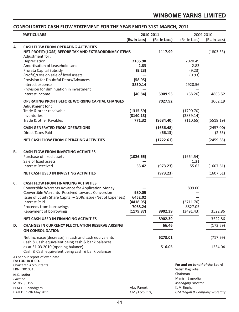## **CONSOLIDATED CASH FLOW STATEMENT FOR THE YEAR ENDED 31ST MARCH, 2011**

| <b>PARTICULARS</b> |                                                                                                                                                                                                                                                                                                             | 2010-2011                                              |                      | 2009-2010                                                                                                    |                     |
|--------------------|-------------------------------------------------------------------------------------------------------------------------------------------------------------------------------------------------------------------------------------------------------------------------------------------------------------|--------------------------------------------------------|----------------------|--------------------------------------------------------------------------------------------------------------|---------------------|
|                    |                                                                                                                                                                                                                                                                                                             | (Rs. in Lacs)                                          | (Rs. in Lacs)        | (Rs. in Lacs)                                                                                                | (Rs. in Lacs)       |
| А.                 | <b>CASH FLOW FROM OPERATING ACTIVITIES</b><br>NET PROFIT/(LOSS) BEFORE TAX AND EXTRAORDINARY ITEMS<br>Adjustment for:                                                                                                                                                                                       |                                                        | 1117.99              |                                                                                                              | (1803.33)           |
|                    | Depreciation<br>Amortisation of Leasehold Land<br>Prorata Capital Subsidy<br>(Profit)/Loss on sale of fixed assets                                                                                                                                                                                          | 2185.98<br>2.83<br>(9.23)                              |                      | 2020.49<br>2.83<br>(9.23)<br>(0.93)                                                                          |                     |
|                    | Provision for Doubtful Debts/Advances<br>Interest expense<br>Provision for diminuation in investment                                                                                                                                                                                                        | (58.95)<br>3830.14                                     |                      | 2920.56                                                                                                      |                     |
|                    | Interest income                                                                                                                                                                                                                                                                                             | (40.84)                                                | 5909.93              | (68.20)                                                                                                      | 4865.52             |
|                    | <b>OPERATING PROFIT BEFORE WORKING CAPITAL CHANGES</b><br><b>Adjustment for:</b>                                                                                                                                                                                                                            |                                                        | 7027.92              |                                                                                                              | 3062.19             |
|                    | Trade & other receivable<br>Inventories<br>Trade & other Payables                                                                                                                                                                                                                                           | (1315.59)<br>(8140.13)<br>771.32                       | (8684.40)            | (1790.70)<br>(3839.14)<br>(110.65)                                                                           | (5519.19)           |
|                    | <b>CASH GENERATED FROM OPERATIONS</b><br><b>Direct Taxes Paid</b>                                                                                                                                                                                                                                           |                                                        | (1656.48)<br>(66.13) |                                                                                                              | (2457.00)<br>(2.65) |
|                    | NET CASH FLOW FROM OPERATING ACTIVITIES                                                                                                                                                                                                                                                                     |                                                        | (1722.61)            |                                                                                                              | (2459.65)           |
| В.                 | <b>CASH FLOW FROM INVESTING ACTIVITIES</b><br>Purchase of fixed assets<br>Sale of fixed assets<br><b>Interest Received</b>                                                                                                                                                                                  | (1026.65)<br>53.42                                     | (973.23)             | (1664.54)<br>1.31<br>55.62                                                                                   | (1607.61)           |
|                    | <b>NET CASH USED IN INVESTING ACTIVITIES</b>                                                                                                                                                                                                                                                                |                                                        | (973.23)             |                                                                                                              | (1607.61)           |
| C.                 | <b>CASH FLOW FROM FINANCING ACTIVITIES</b><br>Convertible Warrants Advance for Application Money<br><b>Convertible Warrants- Received towards Conversion</b><br>Issue of Equity Share Capital - GDRs issue (Net of Expenses)<br><b>Interest Paid</b><br>Proceeds from borrowings<br>Repayment of borrowings | 980.05<br>6452.02<br>(4418.05)<br>7068.24<br>(1179.87) | 8902.39              | 899.00<br>(2711.76)<br>8827.05<br>(3491.43)                                                                  | 3522.86             |
|                    | <b>NET CASH USED IN FINANCING ACTIVITIES</b>                                                                                                                                                                                                                                                                |                                                        | 8902.39              |                                                                                                              | 3522.86             |
| D.                 | <b>CHANGES IN CURRENCY FLUCTUATION RESERVE ARISING</b><br><b>ON CONSOLIDATION</b>                                                                                                                                                                                                                           |                                                        | 66.46                |                                                                                                              | (173.59)            |
|                    | Net Increase/(decrease) in cash and cash equivalents<br>Cash & Cash equivalent being cash & bank balances<br>as at 31.03.2010 (opening balance)<br>Cash & Cash equivalent being cash & bank balances                                                                                                        |                                                        | 6273.01<br>516.05    |                                                                                                              | (717.99)<br>1234.04 |
| Partner            | As per our report of even date.<br>For LODHA & CO.<br><b>Chartered Accountants</b><br>FRN: 301051E<br>N.K. Lodha<br>M.No. 85155                                                                                                                                                                             |                                                        |                      | For and on behalf of the Board<br>Satish Bagrodia<br>Chairman<br>Manish Bagrodia<br><b>Managing Director</b> |                     |
|                    | PLACE: Chandigarh<br>DATED: 12th May 2011                                                                                                                                                                                                                                                                   | Ajay Pareek<br>GM (Accounts)                           |                      | K. V. Singhal<br>GM (Legal) & Company Secretary                                                              |                     |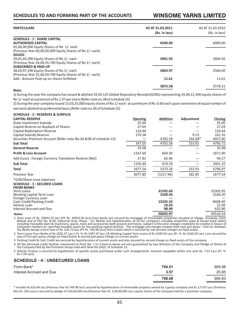## **WINSOME YARNS LIMITED**

| <b>PARTICULARS</b>                                                                                                                        | AS AT 31.03.2011<br>(Rs. in lacs) | AS AT 31.03.2010<br>(Rs. in lacs) |
|-------------------------------------------------------------------------------------------------------------------------------------------|-----------------------------------|-----------------------------------|
| <b>SCHEDULE - 1 : SHARE CAPITAL</b>                                                                                                       |                                   |                                   |
| <b>AUTHORISED CAPITAL</b><br>65,00,00,000 Equity Shares of Re. 1/- each                                                                   | 6500.00                           | 6000.00                           |
| (Previous Year 60,00,00,000 Equity Shares of Re.1/- each)<br><b>ISSUED</b>                                                                |                                   |                                   |
| 59,01,93,290 Equity Shares of Re.1/- each<br>(Previous Year 26,04,55,790 Equity Shares of Re.1/- each)<br><b>SUBSCRIBED &amp; PAID-UP</b> | 5901.93                           | 2604.56                           |
| 58,63,97,290 Equity Shares of Re.1/- each                                                                                                 | 5863.97                           | 2566.60                           |
| (Previous Year 25,66,59,790 Equity Shares of Re.1/- each)<br>Add: Amount Paid-up on shares forfeited                                      | 11.61                             | 11.61                             |
|                                                                                                                                           | 5875.58                           | 2578.21                           |

#### **Note:**

1) During the year the company has issued & allotted 19,94,125 Global Depository Receipts(GDRs) representing 19,94,12,500 equity shares of Re.1/- each at a premium of Rs.1.97 per share (Refer note no.3B of schedule 15)

2) During the year company issued 13,03,25,000 equity shares of Re.1/-each at a premium of Re. 0.60 each upon conversion of equal number of warrants allotted on preferential basis.(Refer note no.3A of Schedule 15)

## **SCHEDULE - 2 : RESERVES & SURPLUS**

| <b>CAPITAL RESERVE</b>                                                                                                                                           | Opening | <b>Addition</b>            | Adjustment | Closing                    |
|------------------------------------------------------------------------------------------------------------------------------------------------------------------|---------|----------------------------|------------|----------------------------|
| State Investment Subsidy                                                                                                                                         | 25.00   |                            |            | 25.00                      |
| Capital Reserve on Buyback of Shares                                                                                                                             | 27.03   |                            |            | 27.03                      |
| <b>Capital Redemption Reserve</b>                                                                                                                                | 124.44  |                            |            | 124.44                     |
| Capital Subsidy Reserve                                                                                                                                          | 170.58  |                            | 9.23       | 161.35                     |
| Securities Premium Account (Refer note No.3A & 3B of schedule 15)                                                                                                |         | 4702.58                    | 244.68*    | 4457.90                    |
| Sub Total                                                                                                                                                        | 347.05  | 4702.58                    | 253.91     | 4795.72                    |
| <b>General Reserve</b>                                                                                                                                           | 35.08   |                            |            | 35.08                      |
| <b>Profit &amp; Loss Account</b>                                                                                                                                 | 1267.60 | 604.30                     |            | 1871.90                    |
| Add (Less): Foreign Currency Translation Reserve (Net)                                                                                                           | 27.81   | 66.46                      |            | 94.27                      |
| Sub Total                                                                                                                                                        | 1330.49 | 670.76                     |            | 2001.25                    |
| <b>Total</b>                                                                                                                                                     | 1677.54 | 5373.34                    | 253.91     | 6796.97                    |
| Previous Year                                                                                                                                                    | 3077.85 | (1217.46)                  | 182.85     | 1677.54                    |
| *GDR/Share issue expenses<br><b>SCHEDULE - 3 : SECURED LOANS</b><br><b>FROM BANKS</b><br>Term Loans<br><b>Working Capital Term Loan</b><br>Foreign Currency Loan |         | 31592.69<br>3100.43        |            | 32302.95<br>3160.20        |
| Cash Credit/Packing Credit<br>Vehicle Loan<br>Interest Accrued and Due                                                                                           |         | 15235.33<br>19.03<br>98.49 |            | 8408.40<br>12.09<br>632.90 |
| Notes:                                                                                                                                                           |         | 50045.97                   |            | 44516.54                   |

1. Term Loan of Rs. 29943.70 lacs (PY. Rs. 30055.50 lacs) from banks are secured by mortgage of Immovable properties situated at Village- Kurawala, Distt. Mohali and at Plot No. B-58, Industrial Area, Phase - VII, Mohali and hypothecation of all the company's movable properties (save & except book debts)<br>including moveable plant & machinery, spares, tools and accessories bot the Banks except a term loan of Rs. 616.72 lacs (PY Rs. 749.98 Lacs) from a bank which is secured by sub-servient charges on fixed assets.

2. Term Loans from Banks of Rs.1032.27 Lacs ( Pr. Yr. Rs.1497.47 lacs ) & Working Capital Term Loans of Rs.3100.43 Lacs (Pr. Yr. Rs.3160.20 Lacs ) are secured by way of first pari-passu charge on Fixed Assets & second pari-passu charge on current assets.

3. Packing Credit & Cash Credit are secured by hypothecation of current assets and also secured by second charge on fixed assets of the company.

4. All the aforesaid credit facilities mentioned at Point No. 1 to 3 here-in-above are also guaranteed by two directors of the Company and Pledge of Shares of the Company held by the Promoter Group read with Note No 2A(ii) of Schedule 15.

5. Vehicle Finance is secured by hypothetion of specific assets purchased under such arrangements. Amount repayable within one year Rs. 7.23 Lacs (Pr. Yr. Rs.7.50 Lacs)

## **SCHEDULE - 4 : UNSECURED LOANS**

| From Bank*               | 794.51 | 969.98 |
|--------------------------|--------|--------|
| Interest Accrued and Due | 3.57   | 25.85  |
|                          | 798.08 | 995.83 |

\* Includes Rs.616.64 lacs (Previous Year Rs.749.98 lacs) secured by hypothecation of immovable property owned by a group company and Rs.177.87 Lacs (Previous Year Rs. 220 Lacs) is secured by pledge of 5,00,00,000 nos.(Previous Year Rs. 5,00,00,000 nos.) equity shares of the Company held be a promoter company.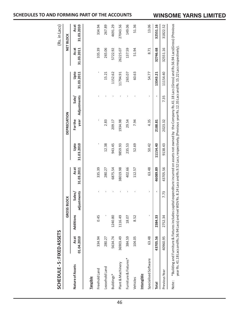|                       |                    |           | <b>GROSS BLOCK</b>    |                    |                    | <b>DEPRECIATION</b> |                      |                    |                    | <b>NET BLOCK</b>   |
|-----------------------|--------------------|-----------|-----------------------|--------------------|--------------------|---------------------|----------------------|--------------------|--------------------|--------------------|
| Nature of Assets      | Asat<br>01.04.2010 | Additions | adjustments<br>Sales/ | Asat<br>31.03.2011 | Upto<br>31.03.2010 | For the<br>year     | Adjustments<br>Sale/ | Upto<br>31.03.2011 | Asat<br>31.03.2011 | Asat<br>31.03.2010 |
| <b>Tangible</b>       |                    |           |                       |                    |                    |                     |                      |                    |                    |                    |
| Freehold Land         | 334.94             | 0.45      |                       | 335.39             |                    |                     |                      |                    | 335.39             | 334.94             |
| easehold Land         | 280.27             |           |                       | 280.27             | 12.38              | 2.83                |                      | 15.21              | 265.06             | 267.89             |
| Buildings*            | 5634.74            | 1240.80   |                       | 6875.54            | 943.45             | 209.17              |                      | 1152.62            | 5722.92            | 4691.29            |
| Plant & Machinery     | 36903.49           | 1116.49   |                       | 38019.98           | 9859.93            | 1934.98             |                      | 11794.91           | 26225.07           | 27043.56           |
| Furniture & Fixtures* | 384.59             | 18.07     |                       | 402.66             | 235.53             | 29.54               |                      | 265.07             | 137.59             | 149.06             |
| Vehicles              | 104.05             | 8.52      |                       | 112.57             | 52.69              | 7.94                |                      | 60.63              | 51.94              | 51.36              |
| Intangible            |                    |           |                       |                    |                    |                     |                      |                    |                    |                    |
| Specialised Software  | 63.48              |           |                       | 63.48              | 50.42              | 4.35                |                      | 54.77              | 8.71               | 13.06              |
| Total                 | 43705.56           | 2384.33   |                       | 46089.89           | 11154.40           | 2188.81             |                      | 13343.21           | 32746.68           | 32551.16           |
| Previous Year         | 40960.95           | 2752.34   | 7.73                  | 43705.56           | 9138.43            | 2023.32             | 7.35                 | 11154.40           | 32551.16           | 31822.52           |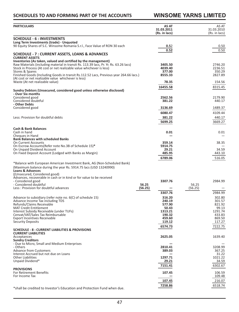## **WINSOME YARNS LIMITED**

| <b>PARTICULARS</b>                                                                                                                                      | AS AT<br>31.03.2011 | AS AT<br>31.03.2010 |
|---------------------------------------------------------------------------------------------------------------------------------------------------------|---------------------|---------------------|
|                                                                                                                                                         | (Rs. in lacs)       | (Rs. in lacs)       |
| <b>SCHEDULE - 6 : INVESTMENTS</b>                                                                                                                       |                     |                     |
| Long Term Investments (trade) - Unquoted                                                                                                                |                     |                     |
| 90 Equity Shares of S.C. Winsome Romania S.r.l., Face Value of RON 30 each                                                                              | 0.52<br>0.52        | 0.50<br>0.50        |
| SCHEDULE - 7 : CURRENT ASSETS, LOANS & ADVANCES                                                                                                         |                     |                     |
| <b>CURRENT ASSETS</b>                                                                                                                                   |                     |                     |
| Inventories (As taken, valued and certified by the management)<br>Raw Materials (including material in transit Rs. 113.39 lacs, Pr. Yr. Rs. 63.26 lacs) | 3405.50             | 2746.20             |
| Stock in Process (At cost or net realizable value whichever is less)                                                                                    | 4039.40             | 2236.51             |
| Stores & Spares<br>Finished Goods (Including Goods in transit Rs.112.52 Lacs, Previous year 264.66 lacs.)                                               | 377.00<br>8555.33   | 350.29<br>2827.89   |
| (At cost or net realizable value whichever is less)                                                                                                     |                     |                     |
| Waste (At net realizable value)                                                                                                                         | 78.35               | 154.56              |
|                                                                                                                                                         | 16455.58            | 8315.45             |
| Sundry Debtors (Unsecured, considered good unless otherwise disclosed)<br>- Over Six months                                                             |                     |                     |
| Considered good                                                                                                                                         | 2562.56             | 2179.90             |
| Considered doubtful<br>- Other Debts                                                                                                                    | 381.22              | 440.17              |
| Considered good                                                                                                                                         | 3136.69             | 1489.37             |
|                                                                                                                                                         | 6080.47             | 4109.44             |
| Less: Provision for doubtful debts                                                                                                                      | 381.22              | 440.17              |
|                                                                                                                                                         | 5699.25             | 3669.27             |
| <b>Cash &amp; Bank Balances</b>                                                                                                                         |                     |                     |
| Cash in hand                                                                                                                                            | 0.01                | 0.01                |
| Cheques in Hand                                                                                                                                         |                     |                     |
| <b>Bank Balances with scheduled Banks</b><br><b>On Current Accounts</b>                                                                                 | 359.14              | 38.35               |
| On Escrow Accounts(Refer note No.3B of Schedule 15)*                                                                                                    | 5914.75             |                     |
| On Unpaid Dividend Account<br>On Fixed Deposit Account (Lodged with Banks as Margin)                                                                    | 29.21<br>485.95     | 34.59<br>443.10     |
|                                                                                                                                                         |                     | 516.05              |
|                                                                                                                                                         | 6789.06             |                     |
| *Balance with European American Investment Bank, AG (Non-Scheduled Bank)<br>(Maximum balance during the year Rs. 5914.75 lacs (USD 13240990)            |                     |                     |
| <b>Loans &amp; Advances</b>                                                                                                                             |                     |                     |
| (Unsecured, Considered good)                                                                                                                            |                     |                     |
| Advances, recoverable in cash or in kind or for value to be received<br>- Considered good                                                               | 3307.76             | 2984.99             |
| - Considered doubtful                                                                                                                                   | 56.25               | 56.25               |
| Less: Provision for doubtful advances                                                                                                                   | (56.25)             | (56.25)             |
|                                                                                                                                                         | 3307.76             | 2984.99             |
| Advance to subsidiary (refer note no. 6(C) of schedule 15)<br>Advance Income Tax including TDS                                                          | 316.20<br>240.19    | 302.80<br>301.57    |
| Refunds/Claims Receivable                                                                                                                               | 577.90              | 821.92              |
| <b>MAT Credit Entitlement</b>                                                                                                                           | 50.43               | 99.13<br>1291.74    |
| Interest Subsidy Receivable (under TUFs)<br>Cenvat/VAT/Sales Tax Reimbursable                                                                           | 1313.21<br>190.32   | 433.83              |
| <b>Export Incentives Receivable</b>                                                                                                                     | 459.60              | 869.50              |
| <b>Security Deposits</b>                                                                                                                                | 119.12              | 117.27              |
| SCHEDULE - 8 : CURRENT LIABILITIES & PROVISIONS                                                                                                         | 6574.73             | 7222.75             |
| <b>CURRENT LIABILITIES</b>                                                                                                                              |                     |                     |
| Acceptances                                                                                                                                             | 2625.05             | 1639.40             |
| <b>Sundry Creditors</b><br>- Due to Micro, Small and Medium Enterprises                                                                                 |                     |                     |
| - Others                                                                                                                                                | 2810.41             | 3208.99             |
| <b>Advance from Customers</b><br>Interest Accrued but not due on Loans                                                                                  | 389.03              | 367.25<br>31.22     |
| <b>Other Liabilities</b>                                                                                                                                | 1297.71             | 1021.22             |
| Unpaid Dividend*                                                                                                                                        | 29.21               | 34.59               |
|                                                                                                                                                         | 7151.41             | 6302.67             |
| <b>PROVISIONS</b><br><b>For Retirement Benefits</b>                                                                                                     | 107.45              | 106.59              |
| For Income Tax                                                                                                                                          |                     | 109.48              |
|                                                                                                                                                         | 107.45              | 216.07              |
|                                                                                                                                                         | 7258.86             | 6518.74             |

\*shall be credited to Investor's Education and Protection Fund when due.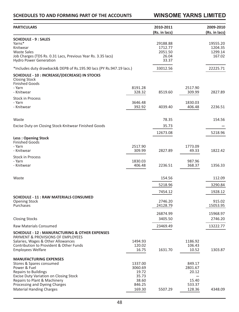**WINSOME YARNS LIMITED**

| <b>PARTICULARS</b>                                                                                                                                                                                                                                            |                                                                   | 2010-2011<br>(Rs. in lacs)                       |                                                         | 2009-2010<br>(Rs. in lacs)               |
|---------------------------------------------------------------------------------------------------------------------------------------------------------------------------------------------------------------------------------------------------------------|-------------------------------------------------------------------|--------------------------------------------------|---------------------------------------------------------|------------------------------------------|
| <b>SCHEDULE - 9 : SALES</b>                                                                                                                                                                                                                                   |                                                                   |                                                  |                                                         |                                          |
| Yarns*<br>Knitwear<br><b>Waste Sales</b><br>Job Charges (TDS Rs. 0.31 Lacs, Previous Year Rs. 3.35 lacs)<br><b>Hydro Power Generation</b>                                                                                                                     |                                                                   | 29188.88<br>1712.77<br>2051.50<br>26.04<br>33.37 |                                                         | 19555.20<br>1204.35<br>1299.14<br>167.02 |
| *Includes duty drawback& DEPB of Rs.195.90 lacs (PY Rs.947.19 lacs.)                                                                                                                                                                                          |                                                                   | 33012.56                                         |                                                         | 22225.71                                 |
| <b>SCHEDULE - 10 : INCREASE/(DECREASE) IN STOCKS</b><br><b>Closing Stock</b><br><b>Finished Goods</b><br>- Yarn                                                                                                                                               | 8191.28                                                           |                                                  | 2517.90                                                 |                                          |
| - Knitwear                                                                                                                                                                                                                                                    | 328.32                                                            | 8519.60                                          | 309.99                                                  | 2827.89                                  |
| <b>Stock in Process</b><br>- Yarn<br>- Knitwear                                                                                                                                                                                                               | 3646.48<br>392.92                                                 | 4039.40                                          | 1830.03<br>406.48                                       | 2236.51                                  |
| Waste                                                                                                                                                                                                                                                         |                                                                   | 78.35                                            |                                                         | 154.56                                   |
| Excise Duty on Closing Stock-Knitwear Finished Goods                                                                                                                                                                                                          |                                                                   | 35.73                                            |                                                         |                                          |
|                                                                                                                                                                                                                                                               |                                                                   | 12673.08                                         |                                                         | 5218.96                                  |
| <b>Less: Opening Stock</b><br><b>Finished Goods</b><br>- Yarn                                                                                                                                                                                                 | 2517.90                                                           |                                                  | 1773.09                                                 |                                          |
| - Knitwear                                                                                                                                                                                                                                                    | 309.99                                                            | 2827.89                                          | 49.33                                                   | 1822.42                                  |
| <b>Stock in Process</b><br>- Yarn<br>- Knitwear                                                                                                                                                                                                               | 1830.03<br>406.48                                                 | 2236.51                                          | 987.96<br>368.37                                        | 1356.33                                  |
| Waste                                                                                                                                                                                                                                                         |                                                                   | 154.56                                           |                                                         | 112.09                                   |
|                                                                                                                                                                                                                                                               |                                                                   | 5218.96                                          |                                                         | 3290.84                                  |
|                                                                                                                                                                                                                                                               |                                                                   | 7454.12                                          |                                                         | 1928.12                                  |
| <b>SCHEDULE - 11 : RAW MATERIALS CONSUMED</b><br><b>Opening Stock</b><br>Purchases                                                                                                                                                                            |                                                                   | 2746.20<br>24128.79                              |                                                         | 915.02<br>15053.95                       |
|                                                                                                                                                                                                                                                               |                                                                   | 26874.99                                         |                                                         | 15968.97                                 |
| <b>Closing Stocks</b>                                                                                                                                                                                                                                         |                                                                   | 3405.50                                          |                                                         | 2746.20                                  |
| <b>Raw Materials Consumed</b>                                                                                                                                                                                                                                 |                                                                   | 23469.49                                         |                                                         | 13222.77                                 |
| <b>SCHEDULE - 12 : MANUFACTURING &amp; OTHER EXPENSES</b><br>PAYMENT & PROVISIONS OF EMPLOYEES<br>Salaries, Wages & Other Allowances<br>Contribution to Provident & Other Funds<br><b>Employees Welfare</b>                                                   | 1494.93<br>120.02<br>16.75                                        | 1631.70                                          | 1186.92<br>106.43<br>10.52                              | 1303.87                                  |
| <b>MANUFACTURING EXPENSES</b><br>Stores & Spares consumed<br>Power & Fuel<br><b>Repairs to Buildings</b><br><b>Excise Duty Variation on Closing Stock</b><br>Repairs to Plant & Machinery<br>Processing and Dyeing Charges<br><b>Material Handing Charges</b> | 1337.00<br>3060.69<br>19.72<br>35.73<br>38.60<br>846.25<br>169.30 | 5507.29                                          | 849.17<br>2801.67<br>20.12<br>15.40<br>533.37<br>128.36 | 4348.09                                  |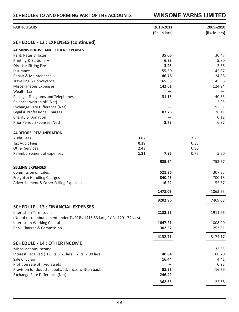## **SCHEDULES TO AND FORMING PART OF THE ACCOUNTS WINSOME YARNS LIMITED**

| <b>PARTICULARS</b>                                                       |      | 2010-2011     |      | 2009-2010     |
|--------------------------------------------------------------------------|------|---------------|------|---------------|
|                                                                          |      | (Rs. in lacs) |      | (Rs. in lacs) |
| <b>SCHEDULE - 12 : EXPENSES (continued)</b>                              |      |               |      |               |
| <b>ADMINISTRATIVE AND OTHER EXPENSES</b>                                 |      |               |      |               |
| Rent, Rates & Taxes                                                      |      | 35.06         |      | 30.47         |
| <b>Printing &amp; Stationery</b>                                         |      | 6.88          |      | 5.80          |
| Director Sitting Fee                                                     |      | 3.95          |      | 2.36          |
| Insurance                                                                |      | 55.50         |      | 45.87         |
| Repair & Maintenance                                                     |      | 46.78         |      | 24.88         |
| Travelling & Conveyance                                                  |      | 165.55        |      | 145.66        |
| Miscellaneous Expenses                                                   |      | 142.61        |      | 124.94        |
| <b>Wealth Tax</b>                                                        |      |               |      |               |
| Postage, Telegrams and Telephones                                        |      | 31.15         |      | 40.33         |
| Balances written off (Net)                                               |      |               |      | 2.95          |
| Exchange Rate Difference (Net)                                           |      |               |      | 192.51        |
| Legal & Professional Charges                                             |      | 87.78         |      | 126.11        |
| Charity & Donation                                                       |      |               |      | 0.12          |
|                                                                          |      |               |      | 6.37          |
| Prior Period Expenses (Net)                                              |      | 2.73          |      |               |
| <b>AUDITORS' REMUNERATION</b>                                            |      |               |      |               |
| <b>Audit Fees</b>                                                        | 3.82 |               | 3.29 |               |
| <b>Tax Audit Fees</b>                                                    | 0.39 |               | 0.35 |               |
| <b>Other Services</b>                                                    | 2.43 |               | 0.80 |               |
| Re-imbursement of expenses                                               | 1.31 | 7.95          | 0.76 | 5.20          |
|                                                                          |      | 585.94        |      | 753.57        |
| <b>SELLING EXPENSES</b>                                                  |      |               |      |               |
| Commission on sales                                                      |      | 521.36        |      | 307.85        |
| Freight & Handling Charges                                               |      | 840.45        |      | 700.13        |
| Advertisement & Other Selling Expenses                                   |      | 116.22        |      | 55.57         |
|                                                                          |      |               |      |               |
|                                                                          |      | 1478.03       |      | 1063.55       |
|                                                                          |      | 9202.96       |      | 7469.08       |
| <b>SCHEDULE - 13 : FINANCIAL EXPENSES</b>                                |      |               |      |               |
| Interest on Term Loans                                                   |      | 2182.93       |      | 1911.66       |
| (Net of re-reimbursement under TUFS Rs.1416.53 lacs, PY Rs.1291.74 lacs) |      |               |      |               |
| Interest on Working Capital                                              |      | 1647.21       |      | 1008.90       |
| <b>Bank Charges &amp; Commission</b>                                     |      | 302.57        |      | 253.61        |
|                                                                          |      | 4132.71       |      | 3174.17       |
| <b>SCHEDULE - 14 : OTHER INCOME</b>                                      |      |               |      |               |
| Miscellaneous Income                                                     |      |               |      | 32.55         |
| Interest Received (TDS Rs.5.61 lacs, PY Rs. 7.90 lacs)                   |      | 40.84         |      | 68.20         |
| Sale of Scrap                                                            |      | 16.44         |      | 4.41          |
| Profit on sale of fixed assets                                           |      |               |      | 0.93          |
| Provision for doubtful debts/advances written back                       |      | 58.95         |      | 16.59         |
| Exchange Rate Difference (Net)                                           |      | 246.42        |      |               |
|                                                                          |      | 362.65        |      | 122.68        |
|                                                                          |      |               |      |               |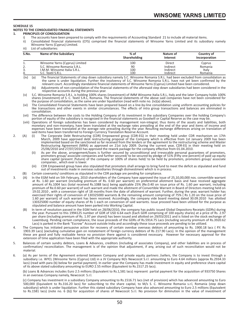## **SCHEDULE 15**

## **NOTES TO THE CONSOLIDATED FINANCIAL STATEMENTS**<br>1 **DRINCIPLES OF CONSOLIDATION**

#### **1. PRINCIPLES OF CONSOLIDATION**

- i) The accounts have been prepared to comply with the requirements of Accounting Standard 21 to include all material items.<br>ii) Consolidated financial statements (CFS) comprised the financial statements of Winsome Yarns Li
- Consolidated financial statements (CFS) comprised the financial statements of Winsome Yarns Limited and its subsidiary namely Winsome Yarns (Cyprus) Limited.
- iii) List of subsidiaries:

| S.No.    | Name of the Subsidiary                                                            | $%$ of<br>Shareholding | Nature of<br>Interest            | <b>Country of</b><br>Incorporation |
|----------|-----------------------------------------------------------------------------------|------------------------|----------------------------------|------------------------------------|
| ᆠ.       | Winsome Yarns (Cyprus) Limited                                                    | 100                    | Direct                           | Cyprus                             |
| 3.<br>4. | S.C. Winsome Romania S.R.L.<br>I.M.M. Winsome Italia S.R.L.<br>S.C. Textil S.R.L. | 90<br>100<br>100       | Indirect<br>Indirect<br>Indirect | Romania<br>Italy<br>Romania        |

iv) (a) The financial Statements of step down subsidiary namely S.C. Winsome Romania S.R.L. had been excluded from consolidation as)<br>the same is under liquidation. Further the insolvency of S.C. Winsome Romania S.R.L. have

(b) Adjustments of non-consolidation of the financial statements of the aforesaid step down subsidiaries had been considered in the respective accounts during the previous year.

(v) S.C. Winsome Romania S.R.L. is holding 100% shares (investment) of IMM Winsome Italia S.R.L, Italy and the later Company holds 100% shares (investment) of S. C. Textil S.R.L, Romania. The financial statements of the above said companies have not been considered for the purpose of consolidation, as the same are under liquidiation (read with note no. (iv)(a) above).

(vi) The Consolidated Financial Statements have been prepared based on a line-by-line consolidation using uniform accounting policies for like transactions and other events in similar circumstances. The effects of intra group transactions and balances are eliminated in consolidation.

(vii) The difference between the costs to the Holding Company of its investment in the subsidiary Companies over the holding Company's portion of equity of the subsidiary is recognized in the financial statements as Goodwill or Capital Reserve as the case may be.

- (viii) Operations of foreign subsidiaries has been considered by management non-integral; thus items of the assets and liabilities, both monetary and non-monetary, have been translated at the exchange rates prevailing at the end of the year and items of income and expenses have been translated at the average rate prevailing during the year. Resulting exchange differences arising on translation of said items have been transferred to Foreign Currency Translation Reserve Account.
- 2. (A) (i) The Corporate Debt Restructuring (CDR) Empowered group (CDR-EG) in their meeting held under CDR mechanism on 17th March, 2009 have approved debt restructuring proposal of the Company which is effective from 1st January 2009 has been implemented based on the sanctioned so far received from the lenders or the agreement to the restructuring scheme and Master Restructuring Agreement (MRA) as approved on 21st July 2009. During the current year, CDR-EG in their meeting held on 25/06/2010 and 27/07/2010 has approved the rework package for the company effective from 01.04.2010.
	- (ii) As per the above, arrangement/loans is further secured by unconditional and irrevocable personal guarantees of promoters,<br>promoters group/ associate companies and further secured/ to be secured by pledge of 51% (Fifty share capital (present /future) of the company or 100% of shares held/ to be held by promoters, promoters group/ associate companies , which ever is lower.

(iii) CDR Empowered group have also stipulated that promoters shall arrange to bring fund to meet the deficit as stipulated and fund out of investments made in overseas subsidiaries through disinvestment which is in process.

- (B) Certain covenants/ conditions as stipulated in the CDR package are pending for compliance.
- 3. (A) In the EGM held on 5th February, 2010 shareholders of the Company have approved the issue of 25,10,00,000 nos. convertible warrant at Rs. 1.60 per warrant (including premium of Rs. 0.60 per warrant) on preferential allotment basis and have received aggregate amount of Rs.1004 lacs (total received Rs.1088 lacs) being applicable 25% (Re.0.40 on issue price of Rs. 1.60 per warrant, including premium of Re.0.60 per warrant) of such warrant and made the allotment of Convertible Warrant in Board of Directors meeting held on 19.02.2010 , with a conversion right of 18 months from the date of allotment of warrant. Further, during the year, warrant holder has exercised their rights of conversion of 130325000 warrants & the remaining amount comprising of 75% ( Rs 1.20 on the issue price of 1.60 per warrant) of such warrant has been received. Accordingly, the company vide board meeting dated 30.09.2010 has allotted 130325000 number of equity shares of Rs 1 each on conversion of said warrants. Issue proceed have been utilized for the purpose as stipulated and balance amount have been parked into Working Capital.
	- (B) In term of resolution passed in the EGM held on 28/06/2010, the company has public issued Global Depository Receipts (GDRs) during the year. Pursuant to this 1994125 number of GDR of USD 6.64 each (Each GDR comprising of 100 equity shares) at a price of Rs. 2.97 per share (including premium of Rs. 1.97 per share)) has been issued and allotted on 29/03/2011 and is listed on the stock exchange of Luxemburg. Pending certain compliance, the issue proceeds of the GDRs of Rs.5914.75 Lacs (including security premium of Rs.3920.62 Lacs) is parked in the Bank "Escrow" Account outside India and accordingly these issue proceeds are pending to be utilized.
- 4. The Company has initiated persuasive action for recovery of certain overdue overseas debtors of amounting to Rs. 1900.18 lacs ( P.Y. Rs 1903.39 Lacs) {excluding cumulative gain on restatement of foreign currency debtors of Rs 217.90 Lacs}. In the opinion of the management these are good and fully realizable hence no provision there against is considered necessary. However for necessary approval for the extension of time application have been filed with the appropriate authority.
- 5. Balances of certain sundry debtors, Loans & Advances, creditors (including of associates Company), and other liabilities are in process of confirmation/ reconciliation. The management is of the opinion that adjustment, if any, arising out of such reconciliation would not be material.
- 6. (a) As per terms of the Agreement entered between Company and private equity partners /sellers, the Company is to invest through a subsidiary i.e. WYCL (Winsome Yarns (Cyprus) Ltd) in a JV Company M/s Newcocot S.r.l. amounting to Euro 4.64 millions (approx Rs.2934.33 lacs) (read with para (b) below for partial payment). In earlier year the Company has made investment in equity and preference share capital of its above stated subsidiary amounting to EURO 2.55 million (Equivalent to Rs.1517.25 lacs).

(b) Loans & Advances includes Euro 2.5 millions (Equivalent to Rs.1,581 lacs) represent partial payment for the acquisition of 933750 Shares in an overseas Company namely, Newcocot S.r.l.

(c) Company has investment in a subsidiary Company amounting to Rs.1516.71 lacs (net of provision) which has advanced amounting to Euro 500,000 (Equivalent to Rs.316.20 lacs) for subscribing to the share capital, to M/s S. C. Winsome Romania s.r.l, Romania (step down subsidiary) which is under liquidation. Further this stated subsidiary Company have also advanced amounting to Euro 2.5 millions (Equivalent to Rs.1581 lacs) (note no. 6 (b)) for acquisition of shares of Newcocot S.r.l. No provision for diminution in the value of investment of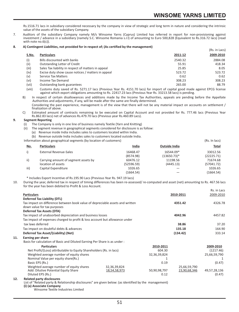Rs.1516.71 lacs in subsidiary considered necessary by the company in view of strategic and long term in nature and considering the intrinsic value of the assets of the subsidiary Company.

7. Auditors of the subsidiary Company namely M/s Winsome Yarns (Cyprus) Limited has referred in report for non-provisioning against investment / advance in a subsidiary (namely S.C. Winsome Romania s.r.l) of amounting to Euro 500,828 (Equivalent to Rs.316.72 lacs) (read with note no.6(c)).

#### **8. A) Contingent Liabilities, not provided for in respect of; (As certified by the management)**

|       | 1) Commigant Liabinties, not provided for in respect or, (As certified by the management) |         | (Rs. in Lacs) |
|-------|-------------------------------------------------------------------------------------------|---------|---------------|
| S.No. | <b>Particulars</b>                                                                        | 2011-12 | 2009-2010     |
| (i)   | <b>Bills discounted with banks</b>                                                        | 2540.32 | 2884.08       |
| (iii) | Outstanding Letter of Credit                                                              | 55.91   | 418.34        |
| (iii) | Sales Tax liability in respect of matters in appeal                                       | 25.85   | 8.05          |
| (iv)  | Excise duty show cause notices / matters in appeal                                        | 523.72  | 523.72        |
| (v)   | <b>Service Tax Matters</b>                                                                | 0.62    | 0.62          |
| (vi)  | Income Tax Demand                                                                         | 308.23  | 308.23        |
| (vii) | Outstanding bank guarantees                                                               | 265.00  | 88.79         |

viii) Customs duty saved of Rs. 5271.17 lacs (Previous Year Rs. 4151.70 lacs) for import of capital good made against EPCG license)<br>against which export obligations amounting to Rs. 22417.23 lacs (Previous Year Rs. 33213.5

B) In respect of certain disallowances and additions made by the Income Tax Authorities, appeals are pending before the Appellate Authorities and adjustments, if any, will be made after the same are finally determined. Considering the past experience, management is of the view that there will not be any material impact on accounts on settlement /

finalization of above.

C) Estimated amount of contracts remaining to be executed on Capital Account and not provided for Rs. 777.46 lacs (Previous Year Rs.862.83 lacs) net of advances Rs.479.70 lacs (Previous year Rs.460.89 Lacs).

# **9. Segment Reporting**

- The Company is only in one line of business namely Textile (Yarn and Knitting)
- (ii) The segment revenue in geographical segments considered for disclosure is as follow:
	- (a) Revenue inside India includes sales to customers located within India.

(b) Revenue outside India includes sales to customers located outside India.

Information about geographical segments (by location of customers) (Rs. In lacs)

| <u>No.</u> | <b>Particulars</b>                   | India      | <b>Outside India</b> | Total      |
|------------|--------------------------------------|------------|----------------------|------------|
|            | <b>External Revenue-Sales</b>        | 16468.47   | 16544.09*            | 33012.56   |
|            |                                      | (8574.98)  | (13650.73)*          | (22225.71) |
| ii)        | Carrying amount of segment assets by | 60476.12   | 11198.56             | 71674.68   |
|            | location of assets                   | (52596.59) | (4445.13)            | (57041.72) |
| iii)       | Capital Expenditure                  | 1026.65    |                      | 1026.65    |
|            |                                      | (1664.54)  |                      | (1664.54)  |

\* Includes Export Incentive of Rs.195.90 Lacs (Previous Year Rs. 947.19 lacs)

10. During the year, deferred tax in respect of timing differences has been re-assessed/ re-computed and asset (net) amounting to Rs. 467.56 lacs for the year has been debited to Profit & Loss Account. Rs. in Lacs

|     |                                                                               |              |              |              | RS. IN LACS  |
|-----|-------------------------------------------------------------------------------|--------------|--------------|--------------|--------------|
|     | <b>Particulars</b>                                                            |              |              | 2010-2011    | 2009-2010    |
|     | Deferred Tax Liability (DTL)                                                  |              |              |              |              |
|     | Tax impact on difference between book value of depreciable assets and written |              |              | 4351.42      | 4326.78      |
|     | down value for tax purposes                                                   |              |              |              |              |
|     | <b>Deferred Tax Assets (DTA)</b>                                              |              |              |              |              |
|     | Tax impact of unabsorbed depreciation and business losses                     |              |              | 4042.96      | 4457.82      |
|     | Tax impact of expenses charged to profit & loss account but allowance under   |              |              |              |              |
|     | tax laws deferred                                                             |              |              | 38.86        | 37.20        |
|     | Tax impact on doubtful debts & advances                                       |              |              | 135.18       | 164.90       |
|     | Deferred Tax Asset/(Liability) (Net)                                          |              |              | (134.42)     | 333.14       |
| 11. | Earning per share                                                             |              |              |              |              |
|     | Basis for calculation of Basic and Diluted Earning Per Share is as under:     |              |              |              |              |
|     | <b>Particulars</b>                                                            |              | 2010-2011    |              | 2009-2010    |
|     | Net Profit/(Loss) attributable to Equity Shareholders (Rs. in lacs)           |              | 604.30       |              | (1217.46)    |
|     | Weighted average number of equity shares                                      |              | 32,36,39,824 |              | 25,66,59,790 |
|     | Nominal Value per equity share(Rs.)                                           |              |              |              |              |
|     | Basic EPS (Rs.)                                                               |              | 0.19         |              | (0.47)       |
|     | Weighted average number of equity shares                                      | 32,36,39,824 |              | 25,66,59,790 |              |
|     | Add: Dilutive Potential Equity Share                                          | 18,54,58,973 | 50,90,98,797 | 23,90,68,346 | 49,57,28,136 |
|     | Diluted EPS (Rs.)                                                             |              | 0.12         |              | (0.47)       |
| 12. | <b>Related party disclosures</b>                                              |              |              |              |              |

**12. Related party disclosures** List of "Related party & Relationship disclosures" are given below: (as identified by the management) **(i) (a) Associate Company**

Winsome Textile Industries Limited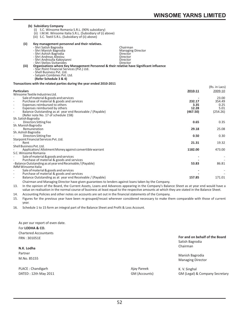## **(b) Subsidiary Company** (i) S.C. Winsome Romania S.R.L. (90% subsidiary) (ii) I.M.M. Winsome Italia S.R.L. (Subsidiary of (i) above) (iii) S.C. Textil S.R.L. (Subsidiary of (ii) above) **(ii) Key management personnel and their relatives.**  - Shri Satish Bagrodia Chairman<br>- Shri Satish Bagrodia Chairman<br>- Shri Manish Bagrodia Chairman Chairman Managing Director - Shri Manish Bagrodia<br>- Shri Ashish Bagrodia Managing Director Director Director - Shri Andreas Alexiou<br>- Shri Androulla Kakoyianni<br>- Shri Stelios Sivitanides - Shri Androulla Kakoyianni<br>- Shri Stelios Sivitanides - Shri Stelios Sivitanides Director **(iii) Organisations where Key Management Personnel & their relative have Significant influence** - Star Point Financial Services (Pvt.) Ltd. - Shell Business Pvt. Ltd.

#### **Transactions with the related parties during the year ended 2010-2011**

- Satyam Combines Pvt. Ltd.  **(Refer Schedule 3 & 4)**

|                                                                                 |          | (Rs. in Lacs) |
|---------------------------------------------------------------------------------|----------|---------------|
| <b>Particulars</b>                                                              | 2010-11  | 2009-10       |
| Winsome Textile Industries Ltd.                                                 |          |               |
| Sale of material & goods and services                                           |          | 23.00         |
| Purchase of material & goods and services<br>٠                                  | 232.17   | 354.49        |
| Expenses reimbursed to others<br>٠                                              | 3.35     | 0.25          |
| Expenses reimbursed by others<br>٠                                              | 12.28    | 5.01          |
| Balance Outstanding as at year end Receivable / (Payable)                       | (467.50) | (254.26)      |
| (Refer note No. 17 of schedule 15B)                                             |          |               |
| Sh. Satish Bagrodia                                                             |          |               |
| Directors Sitting Fee                                                           | 0.65     | 0.35          |
| Sh. Manish Bagrodia                                                             |          |               |
| Remuneration                                                                    | 29.18    | 25.08         |
| Sh. Ashish Bagrodia                                                             |          |               |
| Directors Sitting Fee                                                           | 0.50     | 0.30          |
| Starpoint Financial Services Pvt. Ltd.<br>Rent                                  |          | 19.32         |
| Shell Business Pyt. Ltd.                                                        | 21.31    |               |
|                                                                                 | 1182.00  | 473.00        |
| Application/Allotment Money against convertible warrant<br>S.C. Winsome Romania |          |               |
| Sale of material & goods and services                                           |          |               |
| Purchase of material & goods and services                                       |          |               |
| - Balance Outstanding as at year end Receivable / (Payable)                     | 53.83    | 86.81         |
| <b>IMM Winsome Italia</b>                                                       |          |               |
| Sale of material & goods and services                                           |          |               |
| Purchase of material & goods and services<br>۰                                  |          |               |
| Balance Outstanding as at year end Receivable / (Payable)<br>٠                  | 157.85   | 171.01        |
|                                                                                 |          |               |

Chairman and Managing Director have given guarantees to lenders against loans taken by the Company.

13. In the opinion of the Board, the Current Assets, Loans and Advances appearing in the Company's Balance Sheet as at year end would have a value on realisation in the normal course of business at least equal to the respective amounts at which they are stated in the Balance Sheet.

14. Accounting Policies and other notes on accounts are set out in the financial statements of the Company.

15. Figures for the previous year have been re-grouped/recast wherever considered necessary to make them comparable with those of current year.

16. Schedule 1 to 15 form an integral part of the Balance Sheet and Profit & Loss Account.

| As per our report of even date.<br>For LODHA & CO.<br><b>Chartered Accountants</b><br>FRN: 301051E<br>N.K. Lodha<br>Partner<br>M.No. 85155 |               | For and on behalf of the Board<br>Satish Bagrodia<br>Chairman<br>Manish Bagrodia<br><b>Managing Director</b> |
|--------------------------------------------------------------------------------------------------------------------------------------------|---------------|--------------------------------------------------------------------------------------------------------------|
| PLACE: Chandigarh                                                                                                                          | Ajay Pareek   | K. V. Singhal                                                                                                |
| DATED: 12th May 2011                                                                                                                       | GM (Accounts) | GM (Legal) & Company Secretary                                                                               |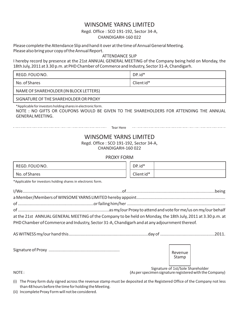## WINSOME YARNS LIMITED

## Regd. Office : SCO 191-192, Sector 34-A, CHANDIGARH-160 022

Please complete the Attendance Slip and hand it over at the time of Annual General Meeting. Please also bring your copy of the Annual Report.

## ATTENDANCE SLIP

I hereby record by presence at the 21st ANNUAL GENERAL MEETING of the Company being held on Monday, the 18th July, 2011 at 3.30 p.m. at PHD Chamber of Commerce and Industry, Sector 31-A, Chandigarh.

| REGD. FOLIO NO.                        | DP.id*     |
|----------------------------------------|------------|
| No. of Shares                          | Client id* |
| NAME OF SHAREHOLDER (IN BLOCK LETTERS) |            |
| SIGNATURE OF THE SHAREHOLDER OR PROXY  |            |

\*Applicable for investors holding shares in electronic form.

NOTE : NO GIFTS OR COUPONS WOULD BE GIVEN TO THE SHAREHOLDERS FOR ATTENDING THE ANNUAL GENERAL MEETING.

Tear Here

## WINSOME YARNS LIMITED

Regd. Office : SCO 191-192, Sector 34-A, CHANDIGARH-160 022

## PROXY FORM

| REGD. FOLIO NO. | DP. id*    |  |
|-----------------|------------|--|
| No. of Shares   | Client id* |  |

\*Applicable for investors holding shares in electronic form.

| at the 21st ANNUAL GENERAL MEETING of the Company to be held on Monday, the 18th July, 2011 at 3.30 p.m. at |  |
|-------------------------------------------------------------------------------------------------------------|--|
| PHD Chamber of Commerce and Industry, Sector 31-A, Chandigarh and at any adjournment thereof.               |  |

AS WITNESS my/our hand this...................................................................day of ..............................................2011.

Signature of Proxy ............................................................

Revenue Stamp

NOTE :

(As per specimen signature registered with the Company) Signature of 1st/Sole Shareholder

(i) The Proxy form duly signed across the revenue stamp must be deposited at the Registered Office of the Company not less than 48 hours before the time for holding the Meeting.

(ii) Incomplete Proxy Form will not be considered.